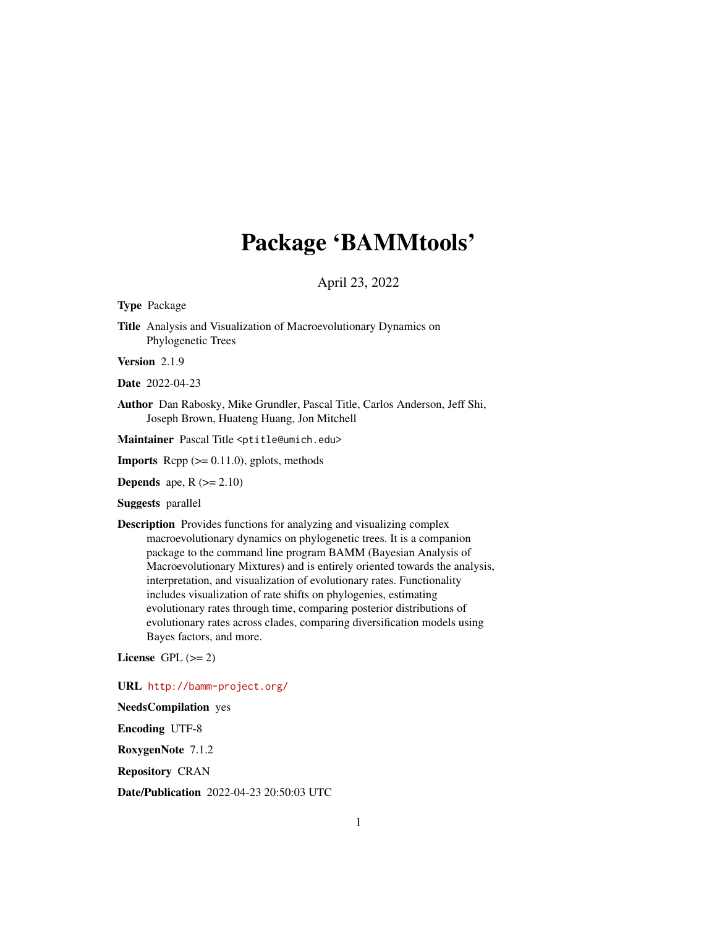# Package 'BAMMtools'

# April 23, 2022

<span id="page-0-0"></span>Type Package

Title Analysis and Visualization of Macroevolutionary Dynamics on Phylogenetic Trees

Version 2.1.9

Date 2022-04-23

Author Dan Rabosky, Mike Grundler, Pascal Title, Carlos Anderson, Jeff Shi, Joseph Brown, Huateng Huang, Jon Mitchell

Maintainer Pascal Title <ptitle@umich.edu>

**Imports** Rcpp  $(>= 0.11.0)$ , gplots, methods

**Depends** ape,  $R$  ( $>= 2.10$ )

Suggests parallel

Description Provides functions for analyzing and visualizing complex macroevolutionary dynamics on phylogenetic trees. It is a companion package to the command line program BAMM (Bayesian Analysis of Macroevolutionary Mixtures) and is entirely oriented towards the analysis, interpretation, and visualization of evolutionary rates. Functionality includes visualization of rate shifts on phylogenies, estimating evolutionary rates through time, comparing posterior distributions of evolutionary rates across clades, comparing diversification models using Bayes factors, and more.

License GPL  $(>= 2)$ 

URL <http://bamm-project.org/>

NeedsCompilation yes

Encoding UTF-8

RoxygenNote 7.1.2

Repository CRAN

Date/Publication 2022-04-23 20:50:03 UTC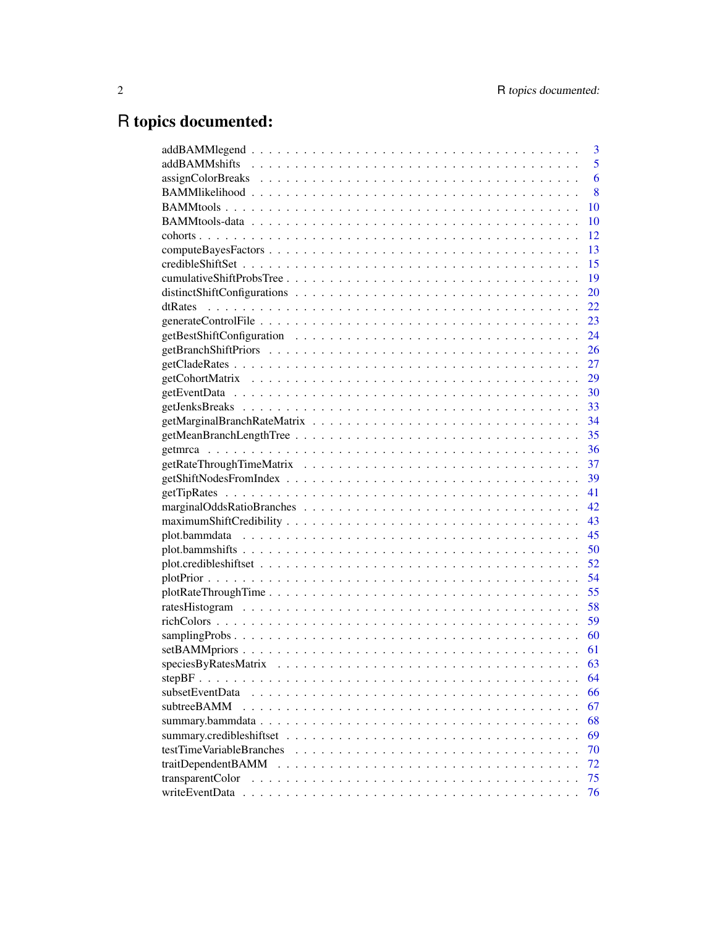# R topics documented:

|                          | 3  |
|--------------------------|----|
|                          | 5  |
|                          | 6  |
|                          | 8  |
|                          | 10 |
|                          | 10 |
|                          | 12 |
|                          | 13 |
|                          | 15 |
|                          | 19 |
|                          | 20 |
|                          | 22 |
|                          | 23 |
|                          | 24 |
|                          | 26 |
|                          | 27 |
|                          | 29 |
|                          | 30 |
|                          |    |
|                          | 34 |
|                          | 35 |
|                          | 36 |
|                          | 37 |
|                          | 39 |
|                          | 41 |
|                          | 42 |
|                          | 43 |
|                          | 45 |
|                          | 50 |
|                          | 52 |
|                          | 54 |
|                          | 55 |
|                          | 58 |
|                          | 59 |
|                          | 60 |
|                          | 61 |
|                          | 63 |
|                          | 64 |
| subsetEventData          | 66 |
| subtreeBAMM              | 67 |
|                          | 68 |
|                          | 69 |
| testTimeVariableBranches | 70 |
| traitDependentBAMM       | 72 |
| transparentColor         | 75 |
|                          | 76 |
|                          |    |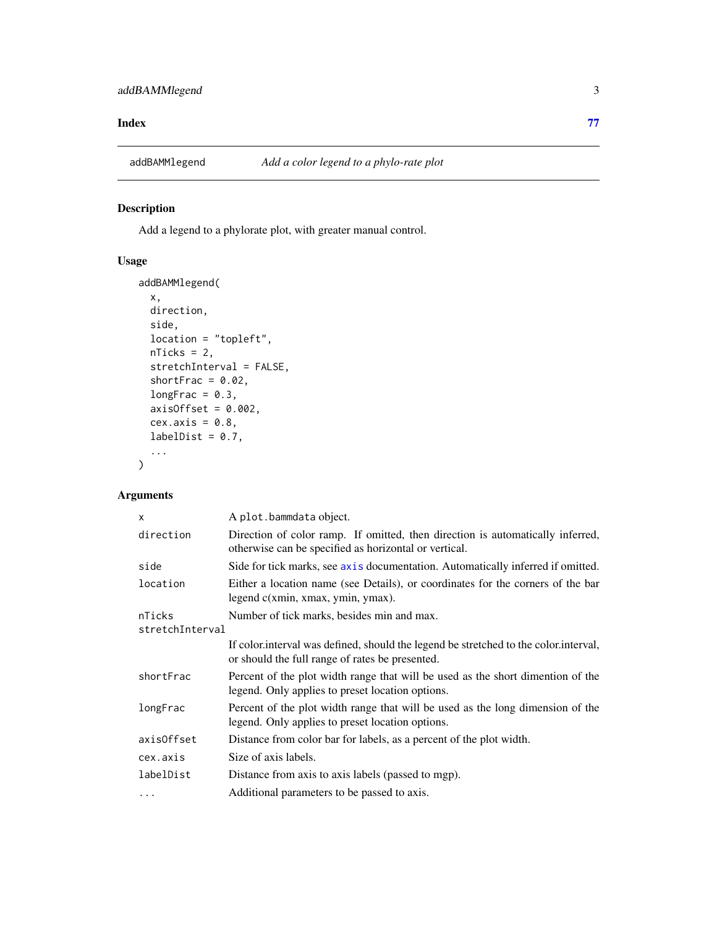#### <span id="page-2-0"></span>**Index** [77](#page-76-0)

addBAMMlegend *Add a color legend to a phylo-rate plot*

# Description

Add a legend to a phylorate plot, with greater manual control.

# Usage

```
addBAMMlegend(
 x,
 direction,
 side,
 location = "topleft",
 nTicks = 2,
 stretchInterval = FALSE,
 shortFrac = 0.02,
 longFrac = 0.3,
 axisOffset = 0.002,cex. axis = 0.8,labelDist = 0.7,
  ...
\mathcal{L}
```

| $\mathsf{x}$    | A plot.bammdata object.                                                                                                                 |
|-----------------|-----------------------------------------------------------------------------------------------------------------------------------------|
| direction       | Direction of color ramp. If omitted, then direction is automatically inferred,<br>otherwise can be specified as horizontal or vertical. |
| side            | Side for tick marks, see axis documentation. Automatically inferred if omitted.                                                         |
| location        | Either a location name (see Details), or coordinates for the corners of the bar<br>legend c(xmin, xmax, ymin, ymax).                    |
| nTicks          | Number of tick marks, besides min and max.                                                                                              |
| stretchInterval |                                                                                                                                         |
|                 | If color interval was defined, should the legend be stretched to the color interval,<br>or should the full range of rates be presented. |
| shortFrac       | Percent of the plot width range that will be used as the short dimention of the<br>legend. Only applies to preset location options.     |
| longFrac        | Percent of the plot width range that will be used as the long dimension of the<br>legend. Only applies to preset location options.      |
| axisOffset      | Distance from color bar for labels, as a percent of the plot width.                                                                     |
| cex.axis        | Size of axis labels.                                                                                                                    |
| labelDist       | Distance from axis to axis labels (passed to mgp).                                                                                      |
| $\cdots$        | Additional parameters to be passed to axis.                                                                                             |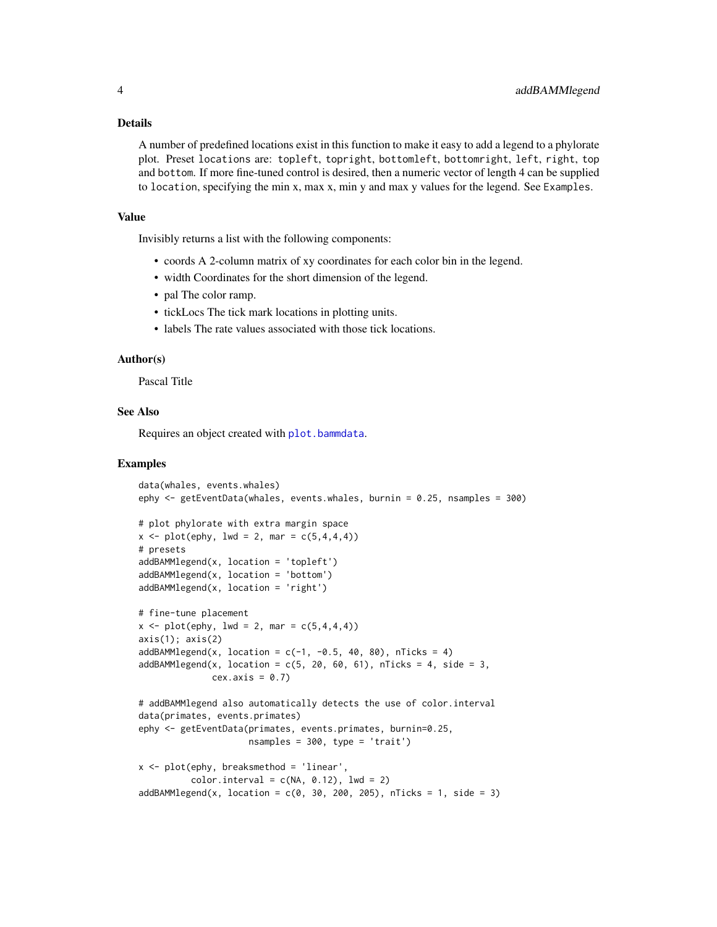#### Details

A number of predefined locations exist in this function to make it easy to add a legend to a phylorate plot. Preset locations are: topleft, topright, bottomleft, bottomright, left, right, top and bottom. If more fine-tuned control is desired, then a numeric vector of length 4 can be supplied to location, specifying the min x, max x, min y and max y values for the legend. See Examples.

#### Value

Invisibly returns a list with the following components:

- coords A 2-column matrix of xy coordinates for each color bin in the legend.
- width Coordinates for the short dimension of the legend.
- pal The color ramp.
- tickLocs The tick mark locations in plotting units.
- labels The rate values associated with those tick locations.

# Author(s)

Pascal Title

# See Also

Requires an object created with [plot.bammdata](#page-44-1).

# Examples

```
data(whales, events.whales)
ephy <- getEventData(whales, events.whales, burnin = 0.25, nsamples = 300)
# plot phylorate with extra margin space
x \le - plot(ephy, lwd = 2, mar = c(5, 4, 4, 4))
# presets
addBAMMlegend(x, location = 'topleft')
addBAMMlegend(x, location = 'bottom')
addBAMMlegend(x, location = 'right')
# fine-tune placement
x \le - plot(ephy, lwd = 2, mar = c(5, 4, 4, 4))
axis(1); axis(2)addBAMMLegend(x, location = c(-1, -0.5, 40, 80), nTicks = 4)addBAMMLegend(x, location = c(5, 20, 60, 61), nTicks = 4, side = 3,cex. axis = 0.7# addBAMMlegend also automatically detects the use of color.interval
data(primates, events.primates)
ephy <- getEventData(primates, events.primates, burnin=0.25,
                     nsamples = 300, type = 'trait')
x \leq -\text{plot}(\text{ephy}, \text{breaksmethod} = 'linear',color.interval = c(NA, 0.12), lwd = 2)
addBAMMLegend(x, location = c(0, 30, 200, 205), nTicks = 1, side = 3)
```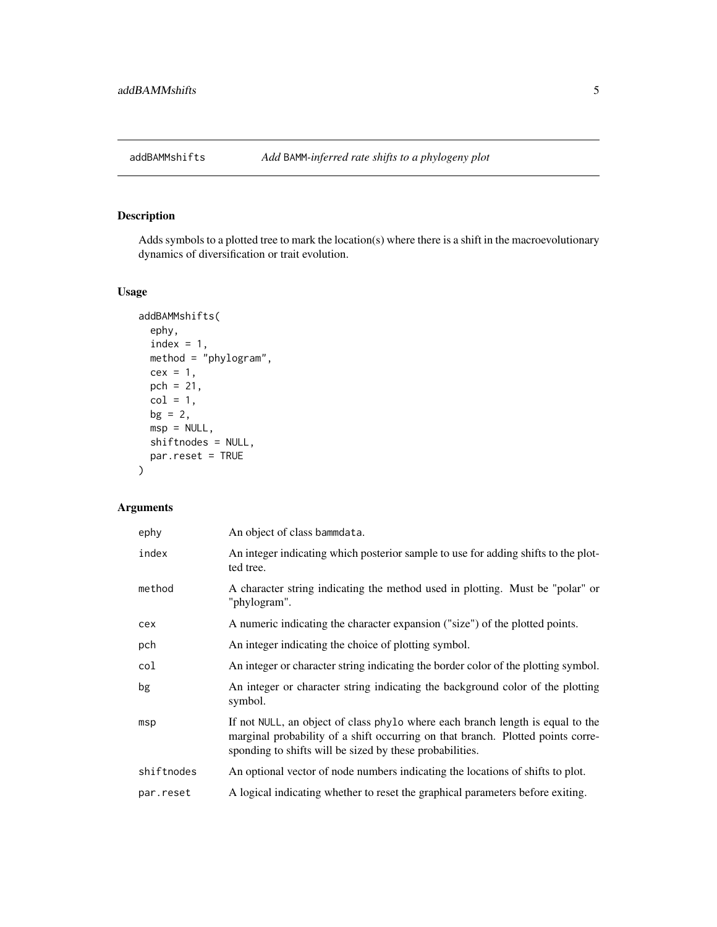<span id="page-4-1"></span><span id="page-4-0"></span>

# Description

Adds symbols to a plotted tree to mark the location(s) where there is a shift in the macroevolutionary dynamics of diversification or trait evolution.

# Usage

```
addBAMMshifts(
 ephy,
 index = 1,method = "phylogram",
 cex = 1,
 pch = 21,
 col = 1,
 bg = 2,
 msp = NULL,shiftnodes = NULL,
 par.reset = TRUE
)
```

| ephy       | An object of class bammdata.                                                                                                                                                                                                  |
|------------|-------------------------------------------------------------------------------------------------------------------------------------------------------------------------------------------------------------------------------|
| index      | An integer indicating which posterior sample to use for adding shifts to the plot-<br>ted tree.                                                                                                                               |
| method     | A character string indicating the method used in plotting. Must be "polar" or<br>"phylogram".                                                                                                                                 |
| cex        | A numeric indicating the character expansion ("size") of the plotted points.                                                                                                                                                  |
| pch        | An integer indicating the choice of plotting symbol.                                                                                                                                                                          |
| col        | An integer or character string indicating the border color of the plotting symbol.                                                                                                                                            |
| bg         | An integer or character string indicating the background color of the plotting<br>symbol.                                                                                                                                     |
| msp        | If not NULL, an object of class phylo where each branch length is equal to the<br>marginal probability of a shift occurring on that branch. Plotted points corre-<br>sponding to shifts will be sized by these probabilities. |
| shiftnodes | An optional vector of node numbers indicating the locations of shifts to plot.                                                                                                                                                |
| par.reset  | A logical indicating whether to reset the graphical parameters before exiting.                                                                                                                                                |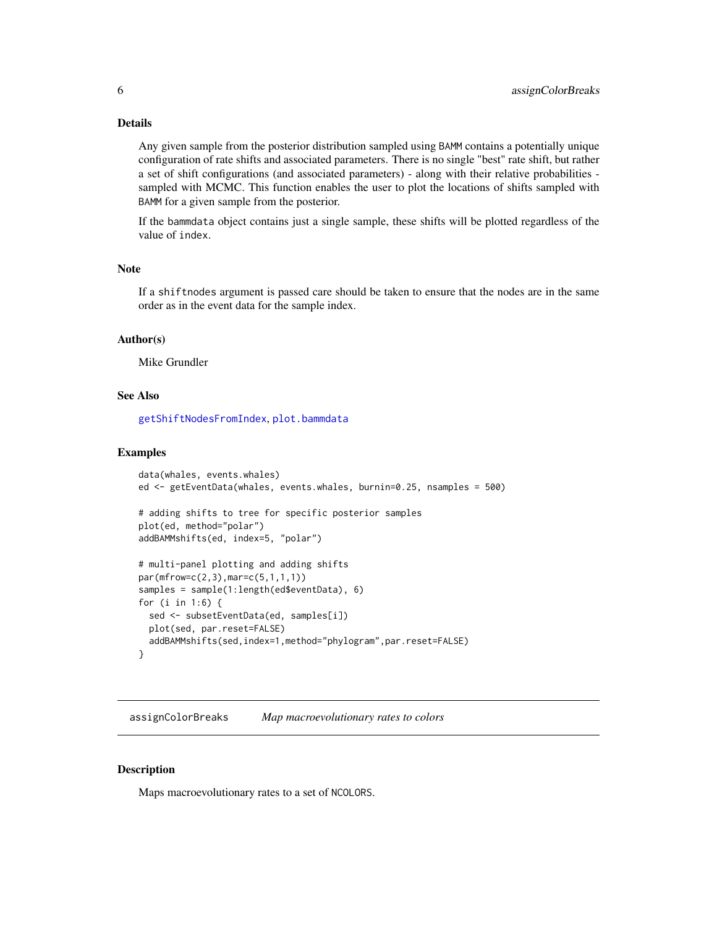# <span id="page-5-0"></span>Details

Any given sample from the posterior distribution sampled using BAMM contains a potentially unique configuration of rate shifts and associated parameters. There is no single "best" rate shift, but rather a set of shift configurations (and associated parameters) - along with their relative probabilities sampled with MCMC. This function enables the user to plot the locations of shifts sampled with BAMM for a given sample from the posterior.

If the bammdata object contains just a single sample, these shifts will be plotted regardless of the value of index.

# Note

If a shiftnodes argument is passed care should be taken to ensure that the nodes are in the same order as in the event data for the sample index.

# Author(s)

Mike Grundler

#### See Also

[getShiftNodesFromIndex](#page-38-1), [plot.bammdata](#page-44-1)

# Examples

```
data(whales, events.whales)
ed <- getEventData(whales, events.whales, burnin=0.25, nsamples = 500)
# adding shifts to tree for specific posterior samples
plot(ed, method="polar")
addBAMMshifts(ed, index=5, "polar")
# multi-panel plotting and adding shifts
par(mfrow=c(2,3),mar=c(5,1,1,1))
samples = sample(1:length(ed$eventData), 6)
for (i in 1:6) {
 sed <- subsetEventData(ed, samples[i])
 plot(sed, par.reset=FALSE)
 addBAMMshifts(sed,index=1,method="phylogram",par.reset=FALSE)
}
```
<span id="page-5-1"></span>assignColorBreaks *Map macroevolutionary rates to colors*

#### **Description**

Maps macroevolutionary rates to a set of NCOLORS.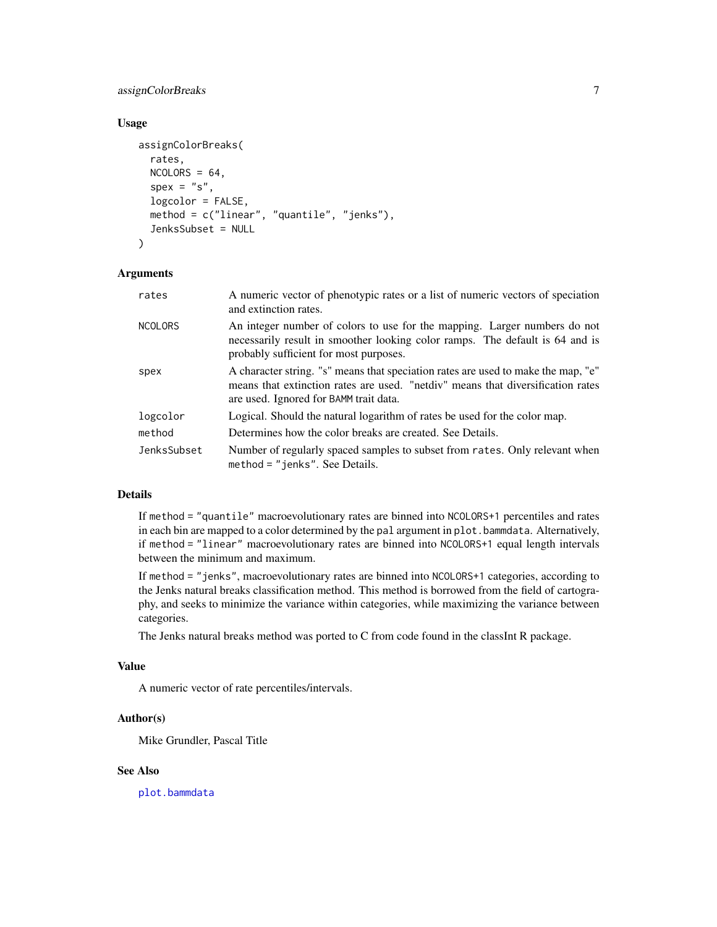assignColorBreaks 7

#### Usage

```
assignColorBreaks(
  rates,
  NCOLORS = 64,
  spec = "s",logcolor = FALSE,
  method = c("linear", "quantile", "jenks"),
  JenksSubset = NULL
)
```
# Arguments

| rates          | A numeric vector of phenotypic rates or a list of numeric vectors of speciation<br>and extinction rates.                                                                                                       |
|----------------|----------------------------------------------------------------------------------------------------------------------------------------------------------------------------------------------------------------|
| <b>NCOLORS</b> | An integer number of colors to use for the mapping. Larger numbers do not<br>necessarily result in smoother looking color ramps. The default is 64 and is<br>probably sufficient for most purposes.            |
| spex           | A character string. "s" means that speciation rates are used to make the map, "e"<br>means that extinction rates are used. "netdiv" means that diversification rates<br>are used. Ignored for BAMM trait data. |
| logcolor       | Logical. Should the natural logarithm of rates be used for the color map.                                                                                                                                      |
| method         | Determines how the color breaks are created. See Details.                                                                                                                                                      |
| JenksSubset    | Number of regularly spaced samples to subset from rates. Only relevant when<br>method = "jenks". See Details.                                                                                                  |

# Details

If method = "quantile" macroevolutionary rates are binned into NCOLORS+1 percentiles and rates in each bin are mapped to a color determined by the pal argument in plot.bammdata. Alternatively, if method = "linear" macroevolutionary rates are binned into NCOLORS+1 equal length intervals between the minimum and maximum.

If method = "jenks", macroevolutionary rates are binned into NCOLORS+1 categories, according to the Jenks natural breaks classification method. This method is borrowed from the field of cartography, and seeks to minimize the variance within categories, while maximizing the variance between categories.

The Jenks natural breaks method was ported to C from code found in the classInt R package.

# Value

A numeric vector of rate percentiles/intervals.

# Author(s)

Mike Grundler, Pascal Title

# See Also

[plot.bammdata](#page-44-1)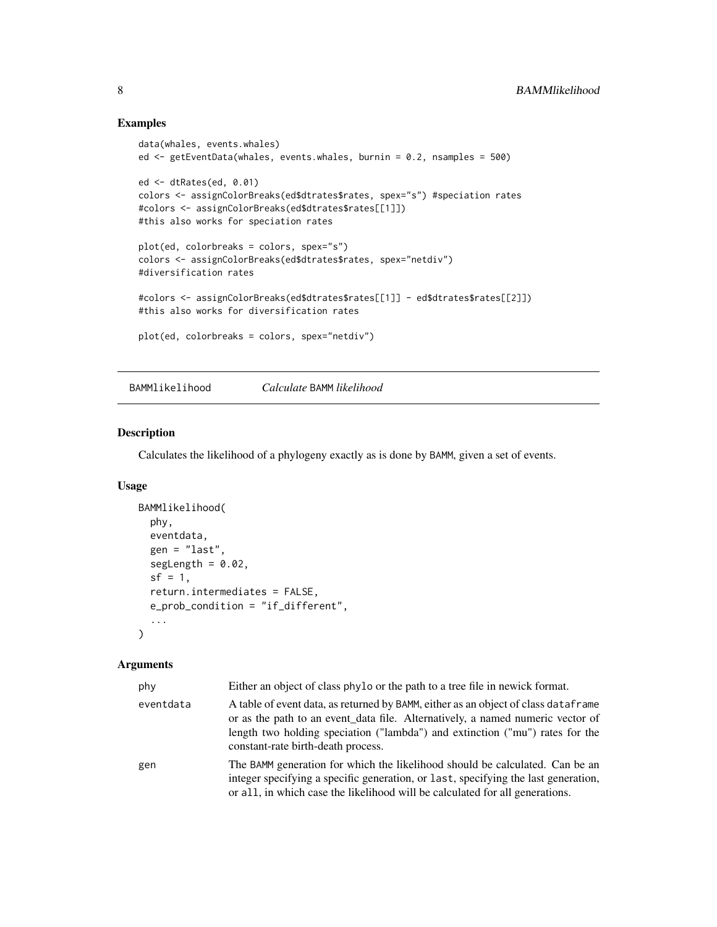# Examples

```
data(whales, events.whales)
ed <- getEventData(whales, events.whales, burnin = 0.2, nsamples = 500)
ed <- dtRates(ed, 0.01)
colors <- assignColorBreaks(ed$dtrates$rates, spex="s") #speciation rates
#colors <- assignColorBreaks(ed$dtrates$rates[[1]])
#this also works for speciation rates
plot(ed, colorbreaks = colors, spex="s")
colors <- assignColorBreaks(ed$dtrates$rates, spex="netdiv")
#diversification rates
#colors <- assignColorBreaks(ed$dtrates$rates[[1]] - ed$dtrates$rates[[2]])
#this also works for diversification rates
plot(ed, colorbreaks = colors, spex="netdiv")
```
BAMMlikelihood *Calculate* BAMM *likelihood*

# Description

Calculates the likelihood of a phylogeny exactly as is done by BAMM, given a set of events.

### Usage

```
BAMMlikelihood(
  phy,
  eventdata,
  gen = "last",
  segLength = 0.02,
  sf = 1,
  return.intermediates = FALSE,
  e_prob_condition = "if_different",
  ...
\mathcal{L}
```

| phy       | Either an object of class phylo or the path to a tree file in newick format.                                                                                                                                                                                                               |
|-----------|--------------------------------------------------------------------------------------------------------------------------------------------------------------------------------------------------------------------------------------------------------------------------------------------|
| eventdata | A table of event data, as returned by BAMM, either as an object of class dataframe<br>or as the path to an event_data file. Alternatively, a named numeric vector of<br>length two holding speciation ("lambda") and extinction ("mu") rates for the<br>constant-rate birth-death process. |
| gen       | The BAMM generation for which the likelihood should be calculated. Can be an<br>integer specifying a specific generation, or last, specifying the last generation,<br>or all, in which case the likelihood will be calculated for all generations.                                         |

<span id="page-7-0"></span>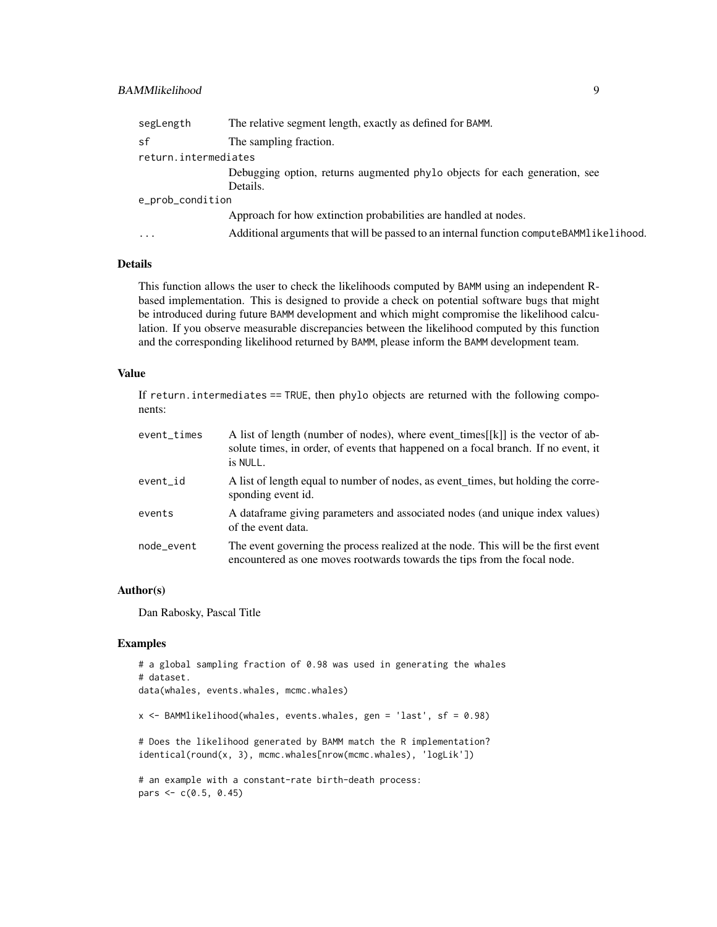# BAMMlikelihood 9

| segLength            | The relative segment length, exactly as defined for BAMM.                               |  |
|----------------------|-----------------------------------------------------------------------------------------|--|
| sf                   | The sampling fraction.                                                                  |  |
| return.intermediates |                                                                                         |  |
|                      | Debugging option, returns augmented phylo objects for each generation, see              |  |
|                      | Details.                                                                                |  |
| e_prob_condition     |                                                                                         |  |
|                      | Approach for how extinction probabilities are handled at nodes.                         |  |
| .                    | Additional arguments that will be passed to an internal function computeBAMM1ikelihood. |  |
|                      |                                                                                         |  |

# Details

This function allows the user to check the likelihoods computed by BAMM using an independent Rbased implementation. This is designed to provide a check on potential software bugs that might be introduced during future BAMM development and which might compromise the likelihood calculation. If you observe measurable discrepancies between the likelihood computed by this function and the corresponding likelihood returned by BAMM, please inform the BAMM development team.

# Value

If return. intermediates  $==$  TRUE, then phylo objects are returned with the following components:

| event_times | A list of length (number of nodes), where event_times $[[k]]$ is the vector of ab-<br>solute times, in order, of events that happened on a focal branch. If no event, it<br>is NULL. |
|-------------|--------------------------------------------------------------------------------------------------------------------------------------------------------------------------------------|
| event id    | A list of length equal to number of nodes, as event_times, but holding the corre-<br>sponding event id.                                                                              |
| events      | A dataframe giving parameters and associated nodes (and unique index values)<br>of the event data.                                                                                   |
| node event  | The event governing the process realized at the node. This will be the first event<br>encountered as one moves rootwards towards the tips from the focal node.                       |

# Author(s)

Dan Rabosky, Pascal Title

# Examples

```
# a global sampling fraction of 0.98 was used in generating the whales
# dataset.
data(whales, events.whales, mcmc.whales)
x <- BAMMlikelihood(whales, events.whales, gen = 'last', sf = 0.98)
# Does the likelihood generated by BAMM match the R implementation?
identical(round(x, 3), mcmc.whales[nrow(mcmc.whales), 'logLik'])
# an example with a constant-rate birth-death process:
pars <- c(0.5, 0.45)
```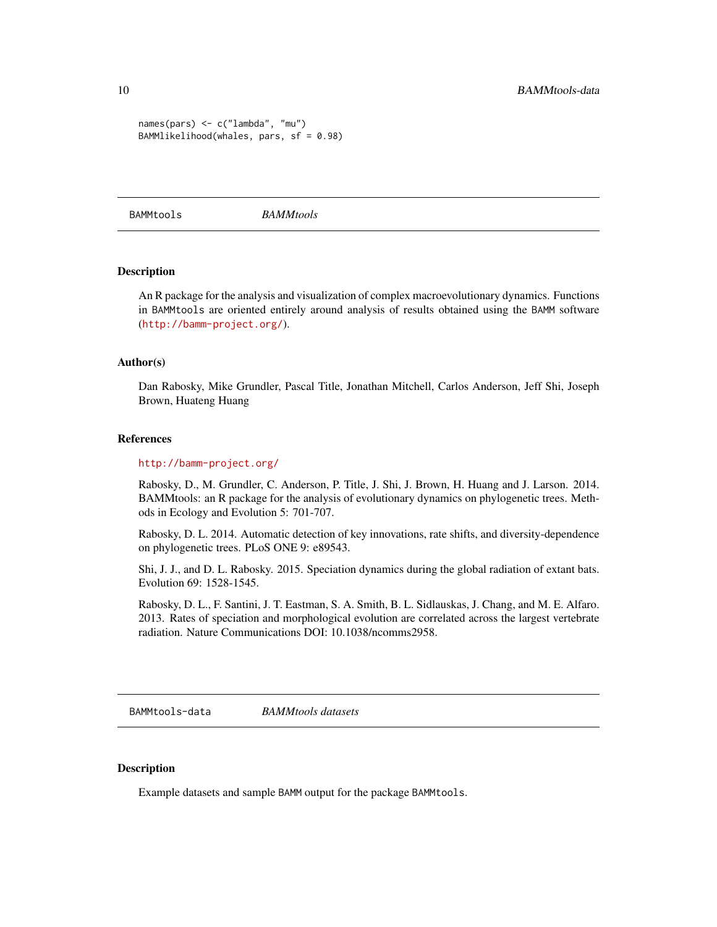```
names(pars) <- c("lambda", "mu")
BAMMlikelihood(whales, pars, sf = 0.98)
```
BAMMtools *BAMMtools*

# Description

An R package for the analysis and visualization of complex macroevolutionary dynamics. Functions in BAMMtools are oriented entirely around analysis of results obtained using the BAMM software (<http://bamm-project.org/>).

#### Author(s)

Dan Rabosky, Mike Grundler, Pascal Title, Jonathan Mitchell, Carlos Anderson, Jeff Shi, Joseph Brown, Huateng Huang

#### References

#### <http://bamm-project.org/>

Rabosky, D., M. Grundler, C. Anderson, P. Title, J. Shi, J. Brown, H. Huang and J. Larson. 2014. BAMMtools: an R package for the analysis of evolutionary dynamics on phylogenetic trees. Methods in Ecology and Evolution 5: 701-707.

Rabosky, D. L. 2014. Automatic detection of key innovations, rate shifts, and diversity-dependence on phylogenetic trees. PLoS ONE 9: e89543.

Shi, J. J., and D. L. Rabosky. 2015. Speciation dynamics during the global radiation of extant bats. Evolution 69: 1528-1545.

Rabosky, D. L., F. Santini, J. T. Eastman, S. A. Smith, B. L. Sidlauskas, J. Chang, and M. E. Alfaro. 2013. Rates of speciation and morphological evolution are correlated across the largest vertebrate radiation. Nature Communications DOI: 10.1038/ncomms2958.

BAMMtools-data *BAMMtools datasets*

#### Description

Example datasets and sample BAMM output for the package BAMMtools.

<span id="page-9-0"></span>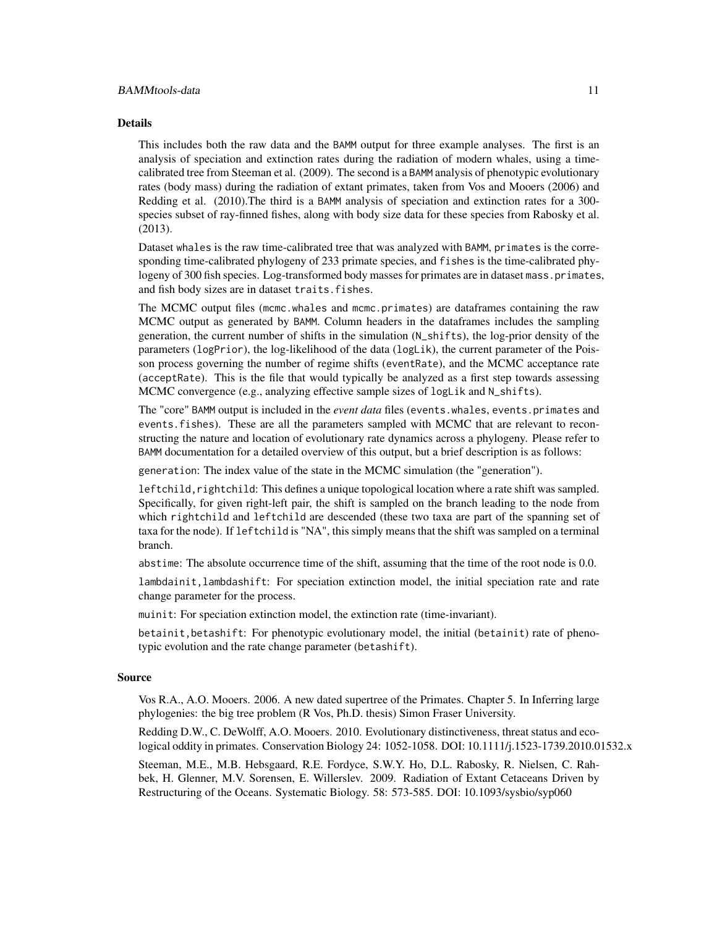#### BAMMtools-data 11

#### Details

This includes both the raw data and the BAMM output for three example analyses. The first is an analysis of speciation and extinction rates during the radiation of modern whales, using a timecalibrated tree from Steeman et al. (2009). The second is a BAMM analysis of phenotypic evolutionary rates (body mass) during the radiation of extant primates, taken from Vos and Mooers (2006) and Redding et al. (2010).The third is a BAMM analysis of speciation and extinction rates for a 300 species subset of ray-finned fishes, along with body size data for these species from Rabosky et al. (2013).

Dataset whales is the raw time-calibrated tree that was analyzed with BAMM, primates is the corresponding time-calibrated phylogeny of 233 primate species, and fishes is the time-calibrated phylogeny of 300 fish species. Log-transformed body masses for primates are in dataset mass.primates, and fish body sizes are in dataset traits.fishes.

The MCMC output files (mcmc.whales and mcmc.primates) are dataframes containing the raw MCMC output as generated by BAMM. Column headers in the dataframes includes the sampling generation, the current number of shifts in the simulation (N\_shifts), the log-prior density of the parameters (logPrior), the log-likelihood of the data (logLik), the current parameter of the Poisson process governing the number of regime shifts (eventRate), and the MCMC acceptance rate (acceptRate). This is the file that would typically be analyzed as a first step towards assessing MCMC convergence (e.g., analyzing effective sample sizes of logLik and N\_shifts).

The "core" BAMM output is included in the *event data* files (events.whales, events.primates and events.fishes). These are all the parameters sampled with MCMC that are relevant to reconstructing the nature and location of evolutionary rate dynamics across a phylogeny. Please refer to BAMM documentation for a detailed overview of this output, but a brief description is as follows:

generation: The index value of the state in the MCMC simulation (the "generation").

leftchild, rightchild: This defines a unique topological location where a rate shift was sampled. Specifically, for given right-left pair, the shift is sampled on the branch leading to the node from which rightchild and leftchild are descended (these two taxa are part of the spanning set of taxa for the node). If leftchild is "NA", this simply means that the shift was sampled on a terminal branch.

abstime: The absolute occurrence time of the shift, assuming that the time of the root node is 0.0.

lambdainit,lambdashift: For speciation extinction model, the initial speciation rate and rate change parameter for the process.

muinit: For speciation extinction model, the extinction rate (time-invariant).

betainit,betashift: For phenotypic evolutionary model, the initial (betainit) rate of phenotypic evolution and the rate change parameter (betashift).

#### Source

Vos R.A., A.O. Mooers. 2006. A new dated supertree of the Primates. Chapter 5. In Inferring large phylogenies: the big tree problem (R Vos, Ph.D. thesis) Simon Fraser University.

Redding D.W., C. DeWolff, A.O. Mooers. 2010. Evolutionary distinctiveness, threat status and ecological oddity in primates. Conservation Biology 24: 1052-1058. DOI: 10.1111/j.1523-1739.2010.01532.x

Steeman, M.E., M.B. Hebsgaard, R.E. Fordyce, S.W.Y. Ho, D.L. Rabosky, R. Nielsen, C. Rahbek, H. Glenner, M.V. Sorensen, E. Willerslev. 2009. Radiation of Extant Cetaceans Driven by Restructuring of the Oceans. Systematic Biology. 58: 573-585. DOI: 10.1093/sysbio/syp060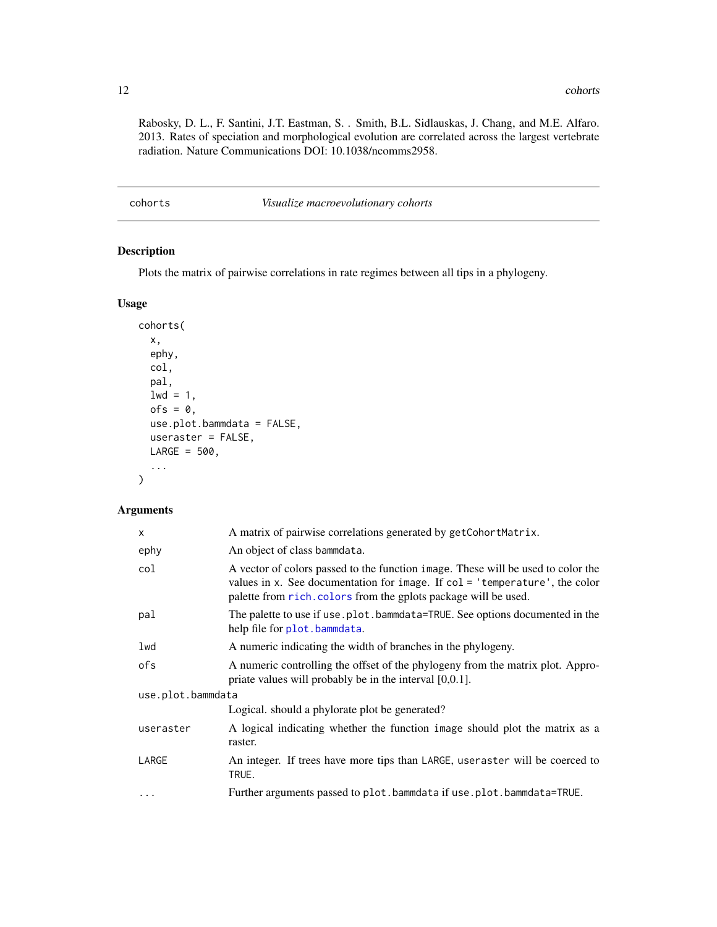<span id="page-11-0"></span>Rabosky, D. L., F. Santini, J.T. Eastman, S. . Smith, B.L. Sidlauskas, J. Chang, and M.E. Alfaro. 2013. Rates of speciation and morphological evolution are correlated across the largest vertebrate radiation. Nature Communications DOI: 10.1038/ncomms2958.

cohorts *Visualize macroevolutionary cohorts*

# Description

Plots the matrix of pairwise correlations in rate regimes between all tips in a phylogeny.

# Usage

```
cohorts(
  x,
  ephy,
  col,
  pal,
  1wd = 1,
  ofs = 0,use.plot.bammdata = FALSE,
  useraster = FALSE,
 LARGE = 500,...
```
# Arguments

)

| X                 | A matrix of pairwise correlations generated by getCohortMatrix.                                                                                                                                                                       |  |
|-------------------|---------------------------------------------------------------------------------------------------------------------------------------------------------------------------------------------------------------------------------------|--|
| ephy              | An object of class bammdata.                                                                                                                                                                                                          |  |
| col               | A vector of colors passed to the function image. These will be used to color the<br>values in x. See documentation for image. If $col = 'temperature'$ , the color<br>palette from rich. colors from the gplots package will be used. |  |
| pal               | The palette to use if use.plot.bammdata=TRUE. See options documented in the<br>help file for plot.bammdata.                                                                                                                           |  |
| lwd               | A numeric indicating the width of branches in the phylogeny.                                                                                                                                                                          |  |
| ofs               | A numeric controlling the offset of the phylogeny from the matrix plot. Appro-<br>priate values will probably be in the interval $[0,0.1]$ .                                                                                          |  |
| use.plot.bammdata |                                                                                                                                                                                                                                       |  |
|                   | Logical. should a phylorate plot be generated?                                                                                                                                                                                        |  |
| useraster         | A logical indicating whether the function image should plot the matrix as a<br>raster.                                                                                                                                                |  |
| LARGE             | An integer. If trees have more tips than LARGE, useraster will be coerced to<br>TRUE.                                                                                                                                                 |  |
| $\ddots$          | Further arguments passed to plot.bammdata if use.plot.bammdata=TRUE.                                                                                                                                                                  |  |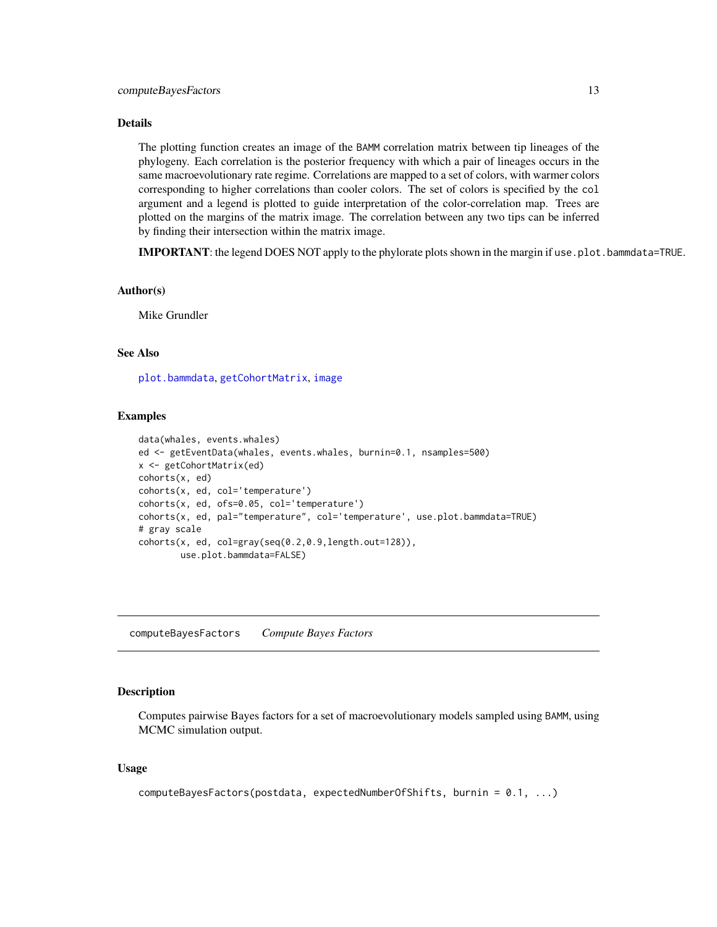# <span id="page-12-0"></span>Details

The plotting function creates an image of the BAMM correlation matrix between tip lineages of the phylogeny. Each correlation is the posterior frequency with which a pair of lineages occurs in the same macroevolutionary rate regime. Correlations are mapped to a set of colors, with warmer colors corresponding to higher correlations than cooler colors. The set of colors is specified by the col argument and a legend is plotted to guide interpretation of the color-correlation map. Trees are plotted on the margins of the matrix image. The correlation between any two tips can be inferred by finding their intersection within the matrix image.

IMPORTANT: the legend DOES NOT apply to the phylorate plots shown in the margin if use, plot. bammdata=TRUE.

#### Author(s)

Mike Grundler

# See Also

[plot.bammdata](#page-44-1), [getCohortMatrix](#page-28-1), [image](#page-0-0)

#### Examples

```
data(whales, events.whales)
ed <- getEventData(whales, events.whales, burnin=0.1, nsamples=500)
x <- getCohortMatrix(ed)
cohorts(x, ed)
cohorts(x, ed, col='temperature')
cohorts(x, ed, ofs=0.05, col='temperature')
cohorts(x, ed, pal="temperature", col='temperature', use.plot.bammdata=TRUE)
# gray scale
\text{cohorts}(x, ed, col=gray(\text{seq}(0.2, 0.9, \text{length.out=128})),use.plot.bammdata=FALSE)
```
computeBayesFactors *Compute Bayes Factors*

#### Description

Computes pairwise Bayes factors for a set of macroevolutionary models sampled using BAMM, using MCMC simulation output.

#### Usage

```
computeBayesFactors(postdata, expectedNumberOfShifts, burnin = 0.1, ...)
```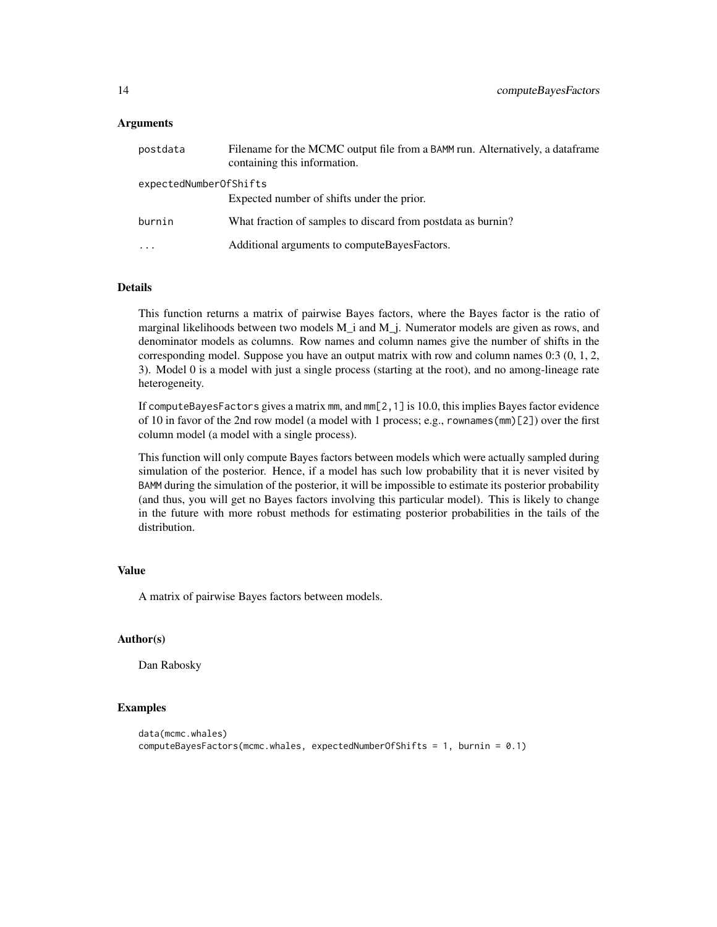#### **Arguments**

| postdata               | Filename for the MCMC output file from a BAMM run. Alternatively, a data frame<br>containing this information. |
|------------------------|----------------------------------------------------------------------------------------------------------------|
| expectedNumberOfShifts | Expected number of shifts under the prior.                                                                     |
| burnin                 | What fraction of samples to discard from postdata as burnin?                                                   |
| $\cdots$               | Additional arguments to compute Bayes Factors.                                                                 |

#### Details

This function returns a matrix of pairwise Bayes factors, where the Bayes factor is the ratio of marginal likelihoods between two models M\_i and M\_j. Numerator models are given as rows, and denominator models as columns. Row names and column names give the number of shifts in the corresponding model. Suppose you have an output matrix with row and column names 0:3 (0, 1, 2, 3). Model 0 is a model with just a single process (starting at the root), and no among-lineage rate heterogeneity.

If computeBayesFactors gives a matrix mm, and mm[2,1] is 10.0, this implies Bayes factor evidence of 10 in favor of the 2nd row model (a model with 1 process; e.g., rownames(mm)[2]) over the first column model (a model with a single process).

This function will only compute Bayes factors between models which were actually sampled during simulation of the posterior. Hence, if a model has such low probability that it is never visited by BAMM during the simulation of the posterior, it will be impossible to estimate its posterior probability (and thus, you will get no Bayes factors involving this particular model). This is likely to change in the future with more robust methods for estimating posterior probabilities in the tails of the distribution.

#### Value

A matrix of pairwise Bayes factors between models.

#### Author(s)

Dan Rabosky

# Examples

```
data(mcmc.whales)
computeBayesFactors(mcmc.whales, expectedNumberOfShifts = 1, burnin = 0.1)
```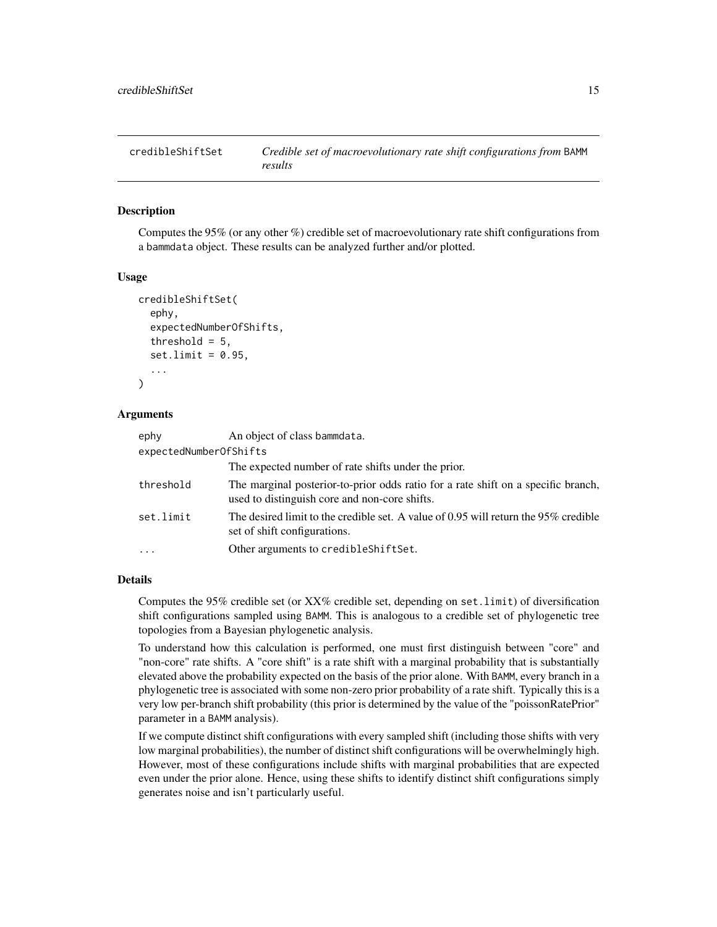<span id="page-14-1"></span><span id="page-14-0"></span>

#### Description

Computes the 95% (or any other %) credible set of macroevolutionary rate shift configurations from a bammdata object. These results can be analyzed further and/or plotted.

#### Usage

```
credibleShiftSet(
  ephy,
  expectedNumberOfShifts,
  threshold = 5,
  set.limit = 0.95,...
)
```
#### Arguments

| ephy                   | An object of class bammdata.                                                                                                       |
|------------------------|------------------------------------------------------------------------------------------------------------------------------------|
| expectedNumberOfShifts |                                                                                                                                    |
|                        | The expected number of rate shifts under the prior.                                                                                |
| threshold              | The marginal posterior-to-prior odds ratio for a rate shift on a specific branch,<br>used to distinguish core and non-core shifts. |
| set.limit              | The desired limit to the credible set. A value of 0.95 will return the 95% credible<br>set of shift configurations.                |
|                        | Other arguments to credible Shift Set.                                                                                             |

# Details

Computes the 95% credible set (or  $XX\%$  credible set, depending on set. limit) of diversification shift configurations sampled using BAMM. This is analogous to a credible set of phylogenetic tree topologies from a Bayesian phylogenetic analysis.

To understand how this calculation is performed, one must first distinguish between "core" and "non-core" rate shifts. A "core shift" is a rate shift with a marginal probability that is substantially elevated above the probability expected on the basis of the prior alone. With BAMM, every branch in a phylogenetic tree is associated with some non-zero prior probability of a rate shift. Typically this is a very low per-branch shift probability (this prior is determined by the value of the "poissonRatePrior" parameter in a BAMM analysis).

If we compute distinct shift configurations with every sampled shift (including those shifts with very low marginal probabilities), the number of distinct shift configurations will be overwhelmingly high. However, most of these configurations include shifts with marginal probabilities that are expected even under the prior alone. Hence, using these shifts to identify distinct shift configurations simply generates noise and isn't particularly useful.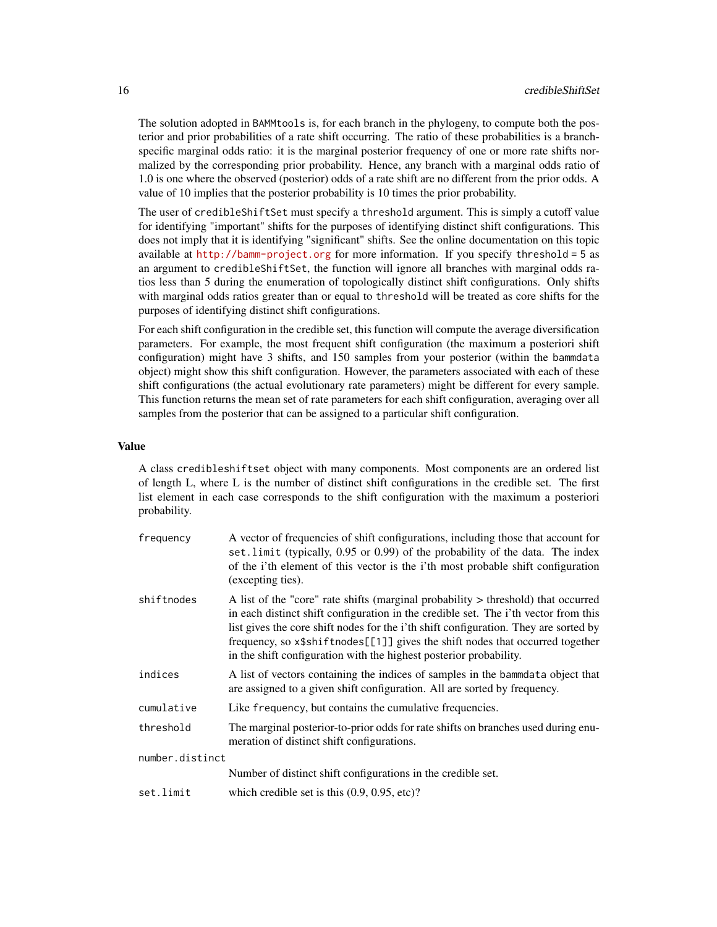The solution adopted in BAMMtools is, for each branch in the phylogeny, to compute both the posterior and prior probabilities of a rate shift occurring. The ratio of these probabilities is a branchspecific marginal odds ratio: it is the marginal posterior frequency of one or more rate shifts normalized by the corresponding prior probability. Hence, any branch with a marginal odds ratio of 1.0 is one where the observed (posterior) odds of a rate shift are no different from the prior odds. A value of 10 implies that the posterior probability is 10 times the prior probability.

The user of credibleShiftSet must specify a threshold argument. This is simply a cutoff value for identifying "important" shifts for the purposes of identifying distinct shift configurations. This does not imply that it is identifying "significant" shifts. See the online documentation on this topic available at <http://bamm-project.org> for more information. If you specify threshold = 5 as an argument to credibleShiftSet, the function will ignore all branches with marginal odds ratios less than 5 during the enumeration of topologically distinct shift configurations. Only shifts with marginal odds ratios greater than or equal to threshold will be treated as core shifts for the purposes of identifying distinct shift configurations.

For each shift configuration in the credible set, this function will compute the average diversification parameters. For example, the most frequent shift configuration (the maximum a posteriori shift configuration) might have 3 shifts, and 150 samples from your posterior (within the bammdata object) might show this shift configuration. However, the parameters associated with each of these shift configurations (the actual evolutionary rate parameters) might be different for every sample. This function returns the mean set of rate parameters for each shift configuration, averaging over all samples from the posterior that can be assigned to a particular shift configuration.

#### Value

A class credibleshiftset object with many components. Most components are an ordered list of length L, where L is the number of distinct shift configurations in the credible set. The first list element in each case corresponds to the shift configuration with the maximum a posteriori probability.

| frequency       | A vector of frequencies of shift configurations, including those that account for<br>set. limit (typically, 0.95 or 0.99) of the probability of the data. The index<br>of the i'th element of this vector is the i'th most probable shift configuration<br>(excepting ties).                                                                                                                                            |  |
|-----------------|-------------------------------------------------------------------------------------------------------------------------------------------------------------------------------------------------------------------------------------------------------------------------------------------------------------------------------------------------------------------------------------------------------------------------|--|
| shiftnodes      | A list of the "core" rate shifts (marginal probability > threshold) that occurred<br>in each distinct shift configuration in the credible set. The i'th vector from this<br>list gives the core shift nodes for the i'th shift configuration. They are sorted by<br>frequency, so x\$shiftnodes[[1]] gives the shift nodes that occurred together<br>in the shift configuration with the highest posterior probability. |  |
| indices         | A list of vectors containing the indices of samples in the bammdata object that<br>are assigned to a given shift configuration. All are sorted by frequency.                                                                                                                                                                                                                                                            |  |
| cumulative      | Like frequency, but contains the cumulative frequencies.                                                                                                                                                                                                                                                                                                                                                                |  |
| threshold       | The marginal posterior-to-prior odds for rate shifts on branches used during enu-<br>meration of distinct shift configurations.                                                                                                                                                                                                                                                                                         |  |
| number.distinct |                                                                                                                                                                                                                                                                                                                                                                                                                         |  |
|                 | Number of distinct shift configurations in the credible set.                                                                                                                                                                                                                                                                                                                                                            |  |
| set.limit       | which credible set is this $(0.9, 0.95, etc)?$                                                                                                                                                                                                                                                                                                                                                                          |  |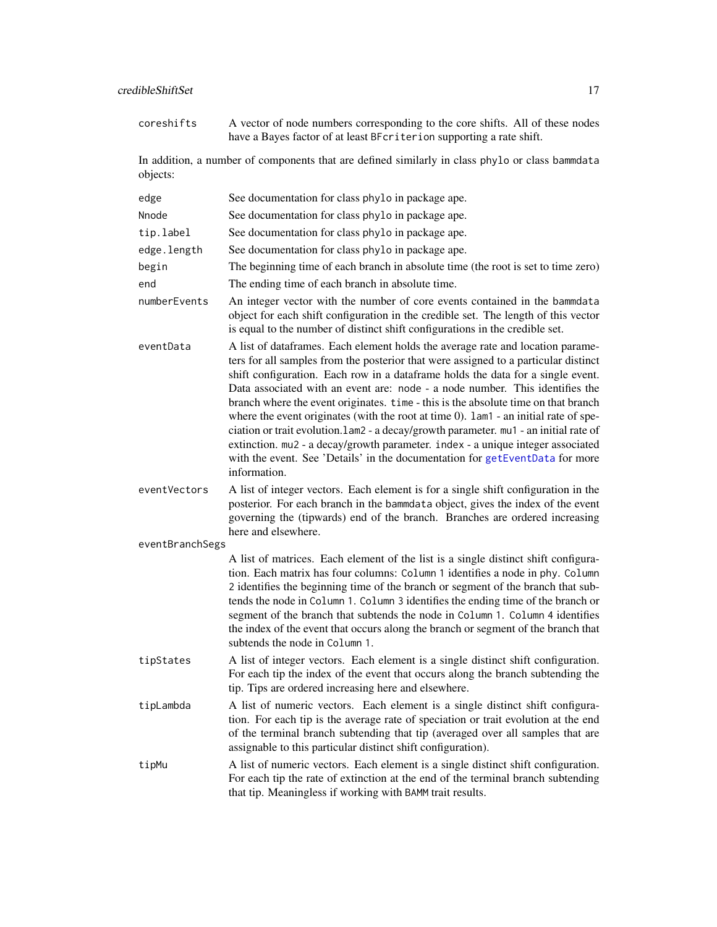| coreshifts      | A vector of node numbers corresponding to the core shifts. All of these nodes<br>have a Bayes factor of at least BFcriterion supporting a rate shift.                                                                                                                                                                                                                                                                                                                                                                                                                                                                                                                                                                                                                                                      |  |  |
|-----------------|------------------------------------------------------------------------------------------------------------------------------------------------------------------------------------------------------------------------------------------------------------------------------------------------------------------------------------------------------------------------------------------------------------------------------------------------------------------------------------------------------------------------------------------------------------------------------------------------------------------------------------------------------------------------------------------------------------------------------------------------------------------------------------------------------------|--|--|
| objects:        | In addition, a number of components that are defined similarly in class phylo or class bammdata                                                                                                                                                                                                                                                                                                                                                                                                                                                                                                                                                                                                                                                                                                            |  |  |
| edge            | See documentation for class phylo in package ape.                                                                                                                                                                                                                                                                                                                                                                                                                                                                                                                                                                                                                                                                                                                                                          |  |  |
| Nnode           | See documentation for class phylo in package ape.                                                                                                                                                                                                                                                                                                                                                                                                                                                                                                                                                                                                                                                                                                                                                          |  |  |
| tip.label       | See documentation for class phylo in package ape.                                                                                                                                                                                                                                                                                                                                                                                                                                                                                                                                                                                                                                                                                                                                                          |  |  |
| edge.length     | See documentation for class phylo in package ape.                                                                                                                                                                                                                                                                                                                                                                                                                                                                                                                                                                                                                                                                                                                                                          |  |  |
| begin           | The beginning time of each branch in absolute time (the root is set to time zero)                                                                                                                                                                                                                                                                                                                                                                                                                                                                                                                                                                                                                                                                                                                          |  |  |
| end             | The ending time of each branch in absolute time.                                                                                                                                                                                                                                                                                                                                                                                                                                                                                                                                                                                                                                                                                                                                                           |  |  |
| numberEvents    | An integer vector with the number of core events contained in the bammdata<br>object for each shift configuration in the credible set. The length of this vector<br>is equal to the number of distinct shift configurations in the credible set.                                                                                                                                                                                                                                                                                                                                                                                                                                                                                                                                                           |  |  |
| eventData       | A list of dataframes. Each element holds the average rate and location parame-<br>ters for all samples from the posterior that were assigned to a particular distinct<br>shift configuration. Each row in a dataframe holds the data for a single event.<br>Data associated with an event are: node - a node number. This identifies the<br>branch where the event originates. time - this is the absolute time on that branch<br>where the event originates (with the root at time $0$ ). $1$ am $1$ - an initial rate of spe-<br>ciation or trait evolution.lam2 - a decay/growth parameter. mu1 - an initial rate of<br>extinction. mu2 - a decay/growth parameter. index - a unique integer associated<br>with the event. See 'Details' in the documentation for getEventData for more<br>information. |  |  |
| eventVectors    | A list of integer vectors. Each element is for a single shift configuration in the<br>posterior. For each branch in the bammdata object, gives the index of the event<br>governing the (tipwards) end of the branch. Branches are ordered increasing<br>here and elsewhere.                                                                                                                                                                                                                                                                                                                                                                                                                                                                                                                                |  |  |
| eventBranchSegs |                                                                                                                                                                                                                                                                                                                                                                                                                                                                                                                                                                                                                                                                                                                                                                                                            |  |  |
|                 | A list of matrices. Each element of the list is a single distinct shift configura-<br>tion. Each matrix has four columns: Column 1 identifies a node in phy. Column<br>2 identifies the beginning time of the branch or segment of the branch that sub-<br>tends the node in Column 1. Column 3 identifies the ending time of the branch or<br>segment of the branch that subtends the node in Column 1. Column 4 identifies<br>the index of the event that occurs along the branch or segment of the branch that<br>subtends the node in Column 1.                                                                                                                                                                                                                                                        |  |  |
| tipStates       | A list of integer vectors. Each element is a single distinct shift configuration.<br>For each tip the index of the event that occurs along the branch subtending the<br>tip. Tips are ordered increasing here and elsewhere.                                                                                                                                                                                                                                                                                                                                                                                                                                                                                                                                                                               |  |  |
| tipLambda       | A list of numeric vectors. Each element is a single distinct shift configura-<br>tion. For each tip is the average rate of speciation or trait evolution at the end<br>of the terminal branch subtending that tip (averaged over all samples that are<br>assignable to this particular distinct shift configuration).                                                                                                                                                                                                                                                                                                                                                                                                                                                                                      |  |  |
| tipMu           | A list of numeric vectors. Each element is a single distinct shift configuration.<br>For each tip the rate of extinction at the end of the terminal branch subtending                                                                                                                                                                                                                                                                                                                                                                                                                                                                                                                                                                                                                                      |  |  |

that tip. Meaningless if working with BAMM trait results.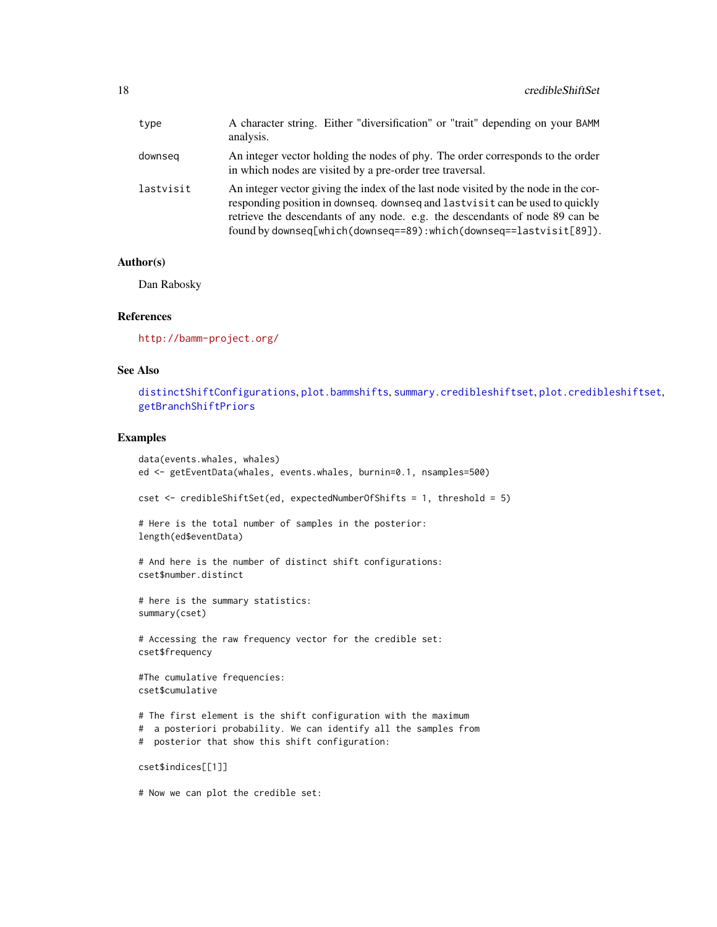| type      | A character string. Either "diversification" or "trait" depending on your BAMM<br>analysis.                                                                                                                                                                                                                                |
|-----------|----------------------------------------------------------------------------------------------------------------------------------------------------------------------------------------------------------------------------------------------------------------------------------------------------------------------------|
| downseg   | An integer vector holding the nodes of phy. The order corresponds to the order<br>in which nodes are visited by a pre-order tree traversal.                                                                                                                                                                                |
| lastvisit | An integer vector giving the index of the last node visited by the node in the cor-<br>responding position in downseq. downseq and last visit can be used to quickly<br>retrieve the descendants of any node. e.g. the descendants of node 89 can be<br>found by downseq[which(downseq==89):which(downseq==lastvisit[89]). |

#### Author(s)

Dan Rabosky

# References

<http://bamm-project.org/>

#### See Also

[distinctShiftConfigurations](#page-19-1), [plot.bammshifts](#page-49-1), [summary.credibleshiftset](#page-68-1), [plot.credibleshiftset](#page-51-1), [getBranchShiftPriors](#page-25-1)

# Examples

```
data(events.whales, whales)
ed <- getEventData(whales, events.whales, burnin=0.1, nsamples=500)
cset <- credibleShiftSet(ed, expectedNumberOfShifts = 1, threshold = 5)
# Here is the total number of samples in the posterior:
length(ed$eventData)
# And here is the number of distinct shift configurations:
cset$number.distinct
# here is the summary statistics:
summary(cset)
# Accessing the raw frequency vector for the credible set:
cset$frequency
#The cumulative frequencies:
cset$cumulative
# The first element is the shift configuration with the maximum
# a posteriori probability. We can identify all the samples from
# posterior that show this shift configuration:
cset$indices[[1]]
```
# Now we can plot the credible set: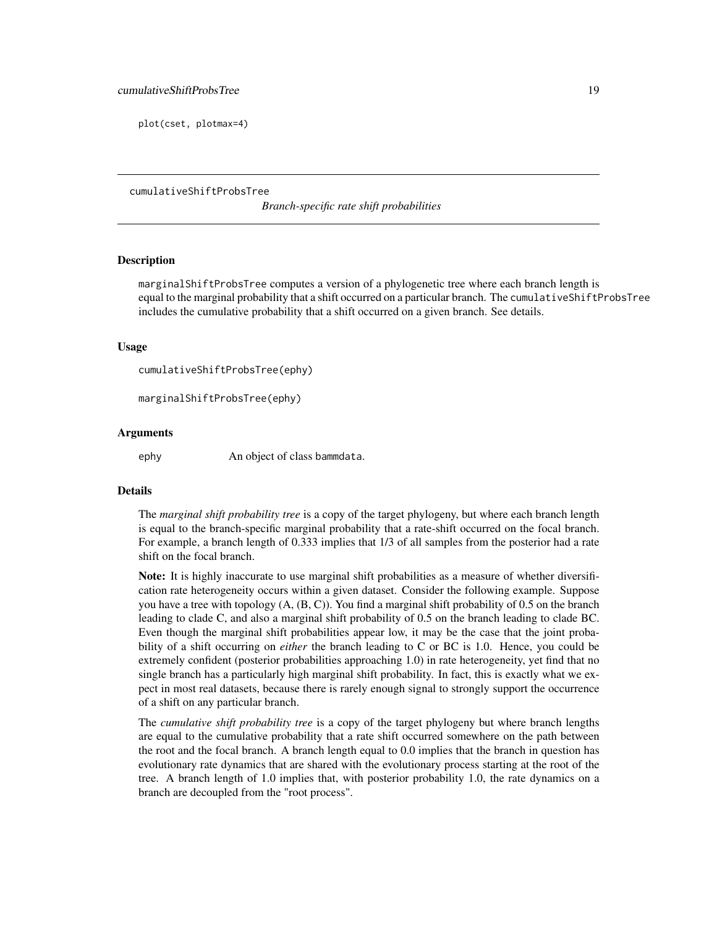<span id="page-18-0"></span>plot(cset, plotmax=4)

cumulativeShiftProbsTree

*Branch-specific rate shift probabilities*

#### **Description**

marginalShiftProbsTree computes a version of a phylogenetic tree where each branch length is equal to the marginal probability that a shift occurred on a particular branch. The cumulativeShiftProbsTree includes the cumulative probability that a shift occurred on a given branch. See details.

#### Usage

cumulativeShiftProbsTree(ephy)

marginalShiftProbsTree(ephy)

#### Arguments

ephy An object of class bammdata.

#### Details

The *marginal shift probability tree* is a copy of the target phylogeny, but where each branch length is equal to the branch-specific marginal probability that a rate-shift occurred on the focal branch. For example, a branch length of 0.333 implies that 1/3 of all samples from the posterior had a rate shift on the focal branch.

Note: It is highly inaccurate to use marginal shift probabilities as a measure of whether diversification rate heterogeneity occurs within a given dataset. Consider the following example. Suppose you have a tree with topology (A, (B, C)). You find a marginal shift probability of 0.5 on the branch leading to clade C, and also a marginal shift probability of 0.5 on the branch leading to clade BC. Even though the marginal shift probabilities appear low, it may be the case that the joint probability of a shift occurring on *either* the branch leading to C or BC is 1.0. Hence, you could be extremely confident (posterior probabilities approaching 1.0) in rate heterogeneity, yet find that no single branch has a particularly high marginal shift probability. In fact, this is exactly what we expect in most real datasets, because there is rarely enough signal to strongly support the occurrence of a shift on any particular branch.

The *cumulative shift probability tree* is a copy of the target phylogeny but where branch lengths are equal to the cumulative probability that a rate shift occurred somewhere on the path between the root and the focal branch. A branch length equal to 0.0 implies that the branch in question has evolutionary rate dynamics that are shared with the evolutionary process starting at the root of the tree. A branch length of 1.0 implies that, with posterior probability 1.0, the rate dynamics on a branch are decoupled from the "root process".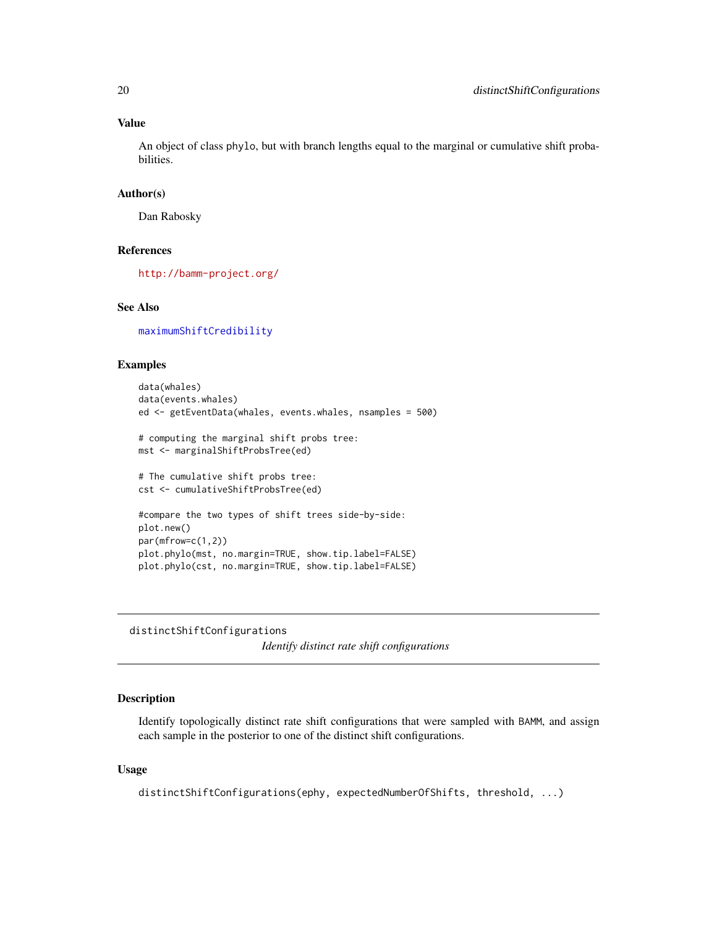# <span id="page-19-0"></span>Value

An object of class phylo, but with branch lengths equal to the marginal or cumulative shift probabilities.

#### Author(s)

Dan Rabosky

# References

<http://bamm-project.org/>

# See Also

[maximumShiftCredibility](#page-42-1)

# Examples

```
data(whales)
data(events.whales)
ed <- getEventData(whales, events.whales, nsamples = 500)
# computing the marginal shift probs tree:
mst <- marginalShiftProbsTree(ed)
# The cumulative shift probs tree:
cst <- cumulativeShiftProbsTree(ed)
#compare the two types of shift trees side-by-side:
plot.new()
par(mfrow=c(1,2))
plot.phylo(mst, no.margin=TRUE, show.tip.label=FALSE)
plot.phylo(cst, no.margin=TRUE, show.tip.label=FALSE)
```
<span id="page-19-1"></span>distinctShiftConfigurations

*Identify distinct rate shift configurations*

# Description

Identify topologically distinct rate shift configurations that were sampled with BAMM, and assign each sample in the posterior to one of the distinct shift configurations.

# Usage

```
distinctShiftConfigurations(ephy, expectedNumberOfShifts, threshold, ...)
```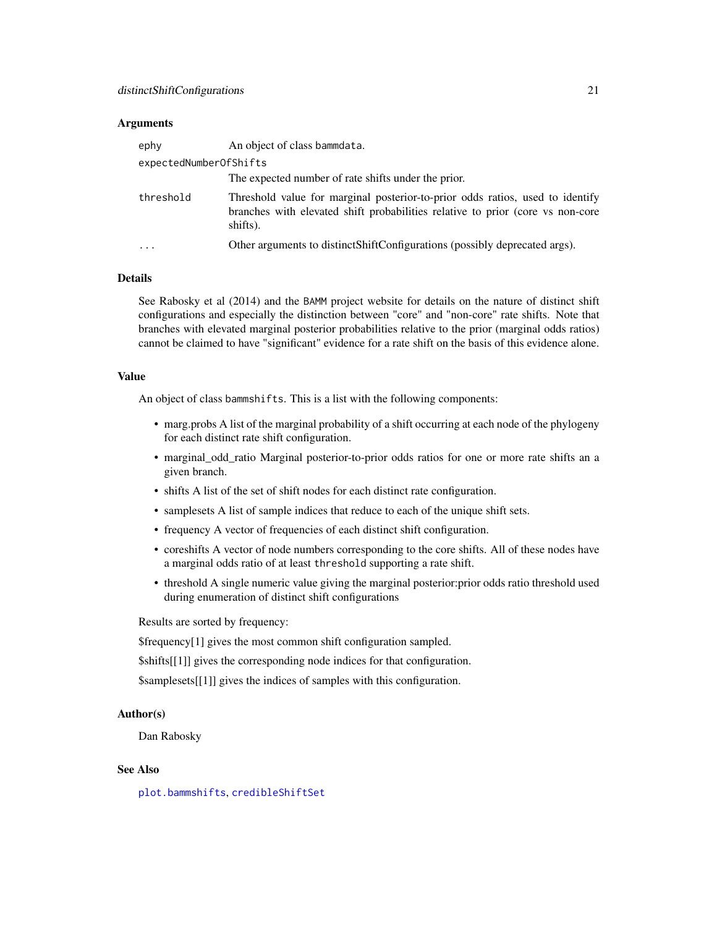#### Arguments

| ephy                   | An object of class bammdata.                                                                                                                                                |
|------------------------|-----------------------------------------------------------------------------------------------------------------------------------------------------------------------------|
| expectedNumberOfShifts |                                                                                                                                                                             |
|                        | The expected number of rate shifts under the prior.                                                                                                                         |
| threshold              | Threshold value for marginal posterior-to-prior odds ratios, used to identify<br>branches with elevated shift probabilities relative to prior (core vs non-core<br>shifts). |
|                        | Other arguments to distinct Shift Configurations (possibly deprecated args).                                                                                                |

#### Details

See Rabosky et al (2014) and the BAMM project website for details on the nature of distinct shift configurations and especially the distinction between "core" and "non-core" rate shifts. Note that branches with elevated marginal posterior probabilities relative to the prior (marginal odds ratios) cannot be claimed to have "significant" evidence for a rate shift on the basis of this evidence alone.

#### Value

An object of class bammshifts. This is a list with the following components:

- marg.probs A list of the marginal probability of a shift occurring at each node of the phylogeny for each distinct rate shift configuration.
- marginal\_odd\_ratio Marginal posterior-to-prior odds ratios for one or more rate shifts an a given branch.
- shifts A list of the set of shift nodes for each distinct rate configuration.
- samplesets A list of sample indices that reduce to each of the unique shift sets.
- frequency A vector of frequencies of each distinct shift configuration.
- coreshifts A vector of node numbers corresponding to the core shifts. All of these nodes have a marginal odds ratio of at least threshold supporting a rate shift.
- threshold A single numeric value giving the marginal posterior:prior odds ratio threshold used during enumeration of distinct shift configurations

Results are sorted by frequency:

\$frequency[1] gives the most common shift configuration sampled.

\$shifts[[1]] gives the corresponding node indices for that configuration.

\$samplesets[[1]] gives the indices of samples with this configuration.

# Author(s)

Dan Rabosky

# See Also

[plot.bammshifts](#page-49-1), [credibleShiftSet](#page-14-1)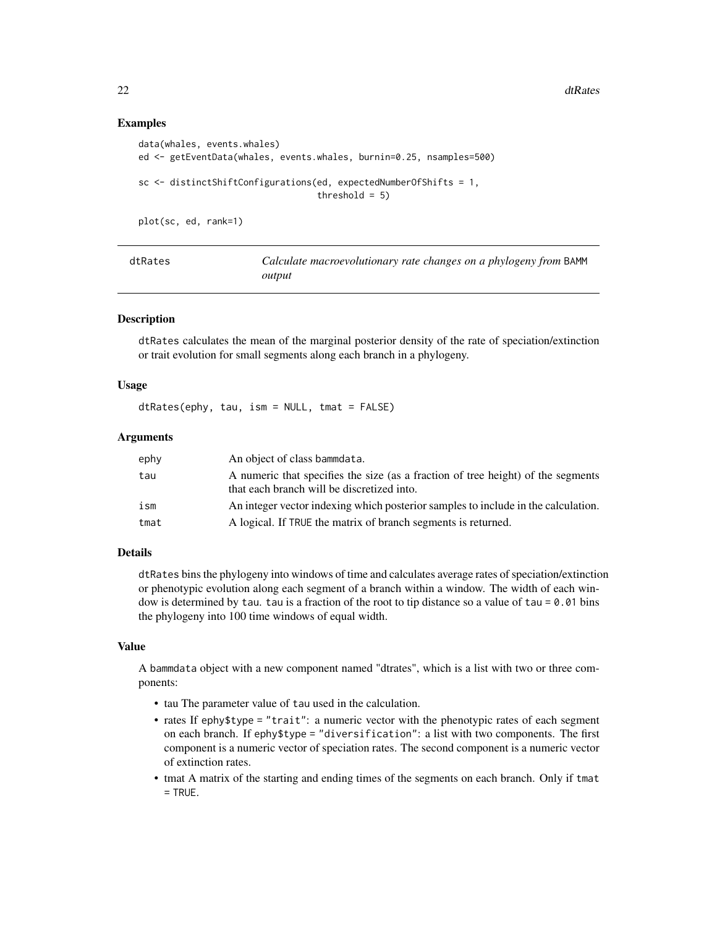22 dtRates and the contract of the contract of the contract of the contract of the contract of the contract of the contract of the contract of the contract of the contract of the contract of the contract of the contract of

#### Examples

```
data(whales, events.whales)
ed <- getEventData(whales, events.whales, burnin=0.25, nsamples=500)
sc <- distinctShiftConfigurations(ed, expectedNumberOfShifts = 1,
                                  threshold = 5)
```
plot(sc, ed, rank=1)

<span id="page-21-1"></span>

| dtRates | Calculate macroevolutionary rate changes on a phylogeny from BAMM |
|---------|-------------------------------------------------------------------|
|         | output                                                            |

#### Description

dtRates calculates the mean of the marginal posterior density of the rate of speciation/extinction or trait evolution for small segments along each branch in a phylogeny.

#### Usage

dtRates(ephy, tau, ism = NULL, tmat = FALSE)

#### Arguments

| ephy | An object of class bammdata.                                                                                                   |
|------|--------------------------------------------------------------------------------------------------------------------------------|
| tau  | A numeric that specifies the size (as a fraction of tree height) of the segments<br>that each branch will be discretized into. |
| ism  | An integer vector indexing which posterior samples to include in the calculation.                                              |
| tmat | A logical. If TRUE the matrix of branch segments is returned.                                                                  |

# Details

dtRates bins the phylogeny into windows of time and calculates average rates of speciation/extinction or phenotypic evolution along each segment of a branch within a window. The width of each window is determined by tau. tau is a fraction of the root to tip distance so a value of tau = 0.01 bins the phylogeny into 100 time windows of equal width.

#### Value

A bammdata object with a new component named "dtrates", which is a list with two or three components:

- tau The parameter value of tau used in the calculation.
- rates If ephy\$type = "trait": a numeric vector with the phenotypic rates of each segment on each branch. If ephy\$type = "diversification": a list with two components. The first component is a numeric vector of speciation rates. The second component is a numeric vector of extinction rates.
- tmat A matrix of the starting and ending times of the segments on each branch. Only if tmat  $=$  TRUE.

<span id="page-21-0"></span>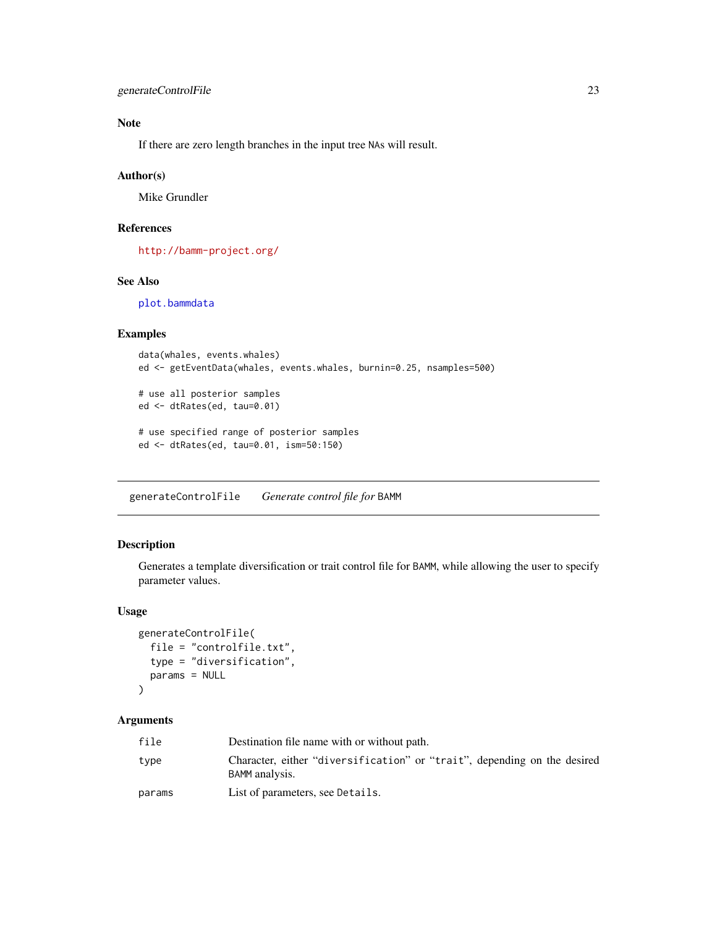# <span id="page-22-0"></span>Note

If there are zero length branches in the input tree NAs will result.

#### Author(s)

Mike Grundler

# References

<http://bamm-project.org/>

# See Also

[plot.bammdata](#page-44-1)

# Examples

```
data(whales, events.whales)
ed <- getEventData(whales, events.whales, burnin=0.25, nsamples=500)
# use all posterior samples
ed <- dtRates(ed, tau=0.01)
# use specified range of posterior samples
ed <- dtRates(ed, tau=0.01, ism=50:150)
```
generateControlFile *Generate control file for* BAMM

# Description

Generates a template diversification or trait control file for BAMM, while allowing the user to specify parameter values.

#### Usage

```
generateControlFile(
  file = "controlfile.txt",
  type = "diversification",
  params = NULL
\mathcal{L}
```

| file   | Destination file name with or without path.                                                |
|--------|--------------------------------------------------------------------------------------------|
| type   | Character, either "diversification" or "trait", depending on the desired<br>BAMM analysis. |
| params | List of parameters, see Details.                                                           |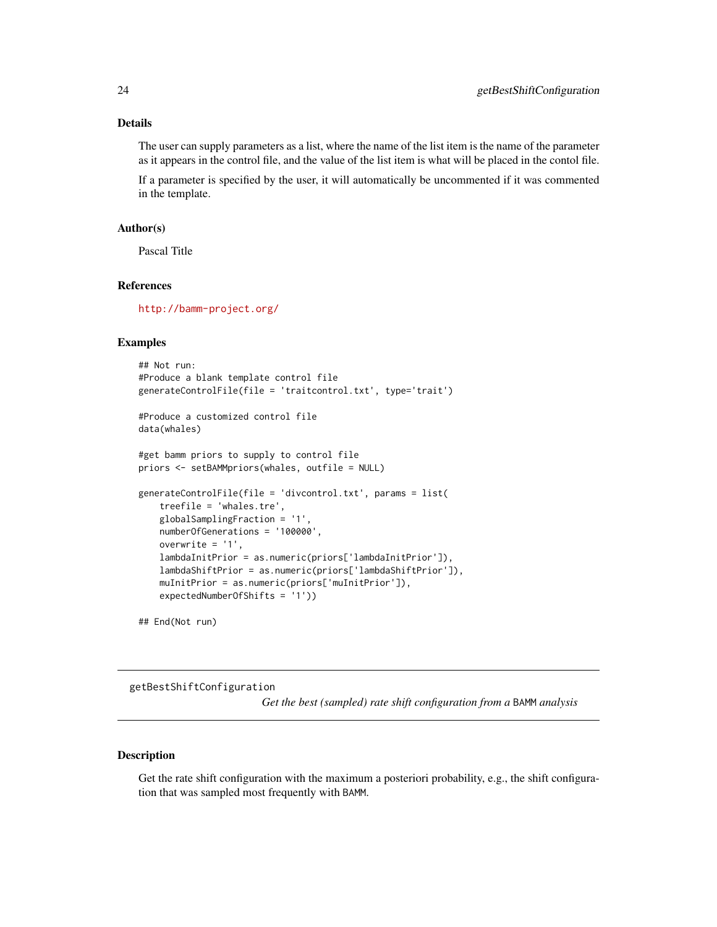# <span id="page-23-0"></span>Details

The user can supply parameters as a list, where the name of the list item is the name of the parameter as it appears in the control file, and the value of the list item is what will be placed in the contol file.

If a parameter is specified by the user, it will automatically be uncommented if it was commented in the template.

# Author(s)

Pascal Title

# References

<http://bamm-project.org/>

#### Examples

```
## Not run:
#Produce a blank template control file
generateControlFile(file = 'traitcontrol.txt', type='trait')
#Produce a customized control file
data(whales)
#get bamm priors to supply to control file
priors <- setBAMMpriors(whales, outfile = NULL)
generateControlFile(file = 'divcontrol.txt', params = list(
   treefile = 'whales.tre',
   globalSamplingFraction = '1',
   numberOfGenerations = '100000',
   overwrite = '1',
   lambdaInitPrior = as.numeric(priors['lambdaInitPrior']),
   lambdaShiftPrior = as.numeric(priors['lambdaShiftPrior']),
   muInitPrior = as.numeric(priors['muInitPrior']),
   expectedNumberOfShifts = '1'))
```
## End(Not run)

getBestShiftConfiguration

*Get the best (sampled) rate shift configuration from a* BAMM *analysis*

#### Description

Get the rate shift configuration with the maximum a posteriori probability, e.g., the shift configuration that was sampled most frequently with BAMM.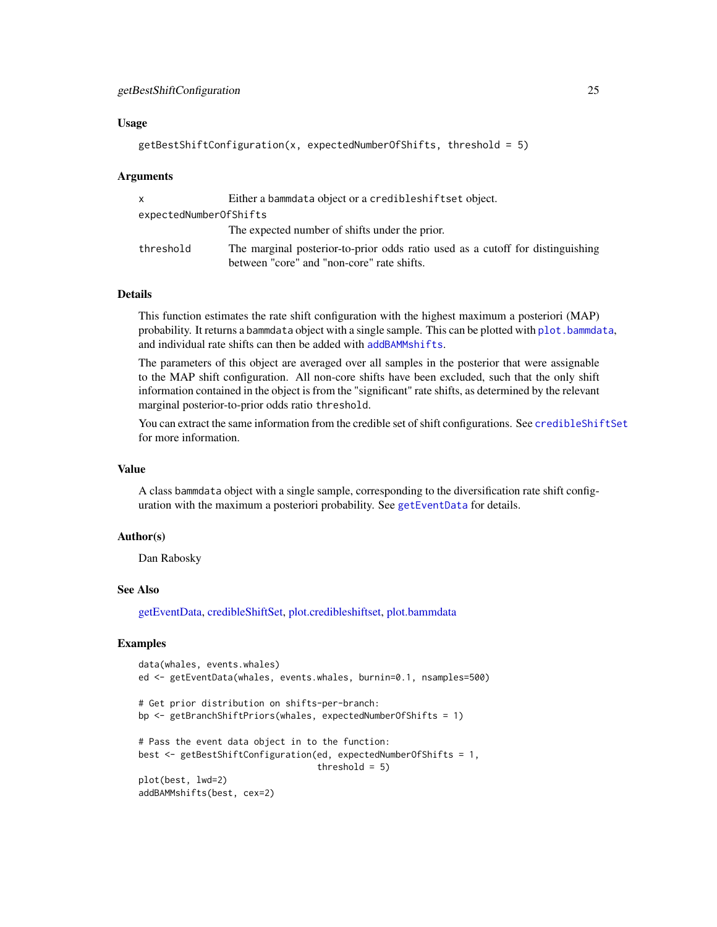#### Usage

```
getBestShiftConfiguration(x, expectedNumberOfShifts, threshold = 5)
```
#### Arguments

|                        | Either a bammdata object or a credible shiftset object.                                                                      |  |
|------------------------|------------------------------------------------------------------------------------------------------------------------------|--|
| expectedNumberOfShifts |                                                                                                                              |  |
|                        | The expected number of shifts under the prior.                                                                               |  |
| threshold              | The marginal posterior-to-prior odds ratio used as a cutoff for distinguishing<br>between "core" and "non-core" rate shifts. |  |

# Details

This function estimates the rate shift configuration with the highest maximum a posteriori (MAP) probability. It returns a bammdata object with a single sample. This can be plotted with plot, bammdata, and individual rate shifts can then be added with [addBAMMshifts](#page-4-1).

The parameters of this object are averaged over all samples in the posterior that were assignable to the MAP shift configuration. All non-core shifts have been excluded, such that the only shift information contained in the object is from the "significant" rate shifts, as determined by the relevant marginal posterior-to-prior odds ratio threshold.

You can extract the same information from the credible set of shift configurations. See [credibleShiftSet](#page-14-1) for more information.

#### Value

A class bammdata object with a single sample, corresponding to the diversification rate shift configuration with the maximum a posteriori probability. See [getEventData](#page-29-1) for details.

#### Author(s)

Dan Rabosky

#### See Also

[getEventData,](#page-29-1) [credibleShiftSet,](#page-14-1) [plot.credibleshiftset,](#page-51-1) [plot.bammdata](#page-44-1)

# Examples

```
data(whales, events.whales)
ed <- getEventData(whales, events.whales, burnin=0.1, nsamples=500)
# Get prior distribution on shifts-per-branch:
bp <- getBranchShiftPriors(whales, expectedNumberOfShifts = 1)
# Pass the event data object in to the function:
best <- getBestShiftConfiguration(ed, expectedNumberOfShifts = 1,
                                 threshold = 5)
plot(best, lwd=2)
addBAMMshifts(best, cex=2)
```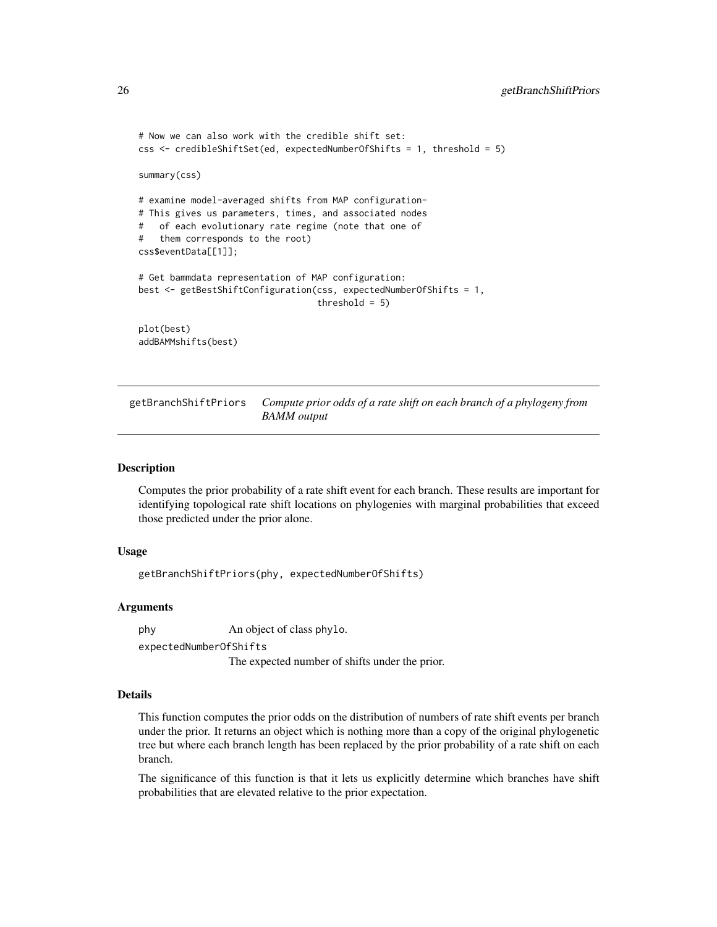```
# Now we can also work with the credible shift set:
css <- credibleShiftSet(ed, expectedNumberOfShifts = 1, threshold = 5)
summary(css)
# examine model-averaged shifts from MAP configuration-
# This gives us parameters, times, and associated nodes
# of each evolutionary rate regime (note that one of
# them corresponds to the root)
css$eventData[[1]];
# Get bammdata representation of MAP configuration:
best <- getBestShiftConfiguration(css, expectedNumberOfShifts = 1,
                                  threshold = 5)
plot(best)
addBAMMshifts(best)
```
<span id="page-25-1"></span>getBranchShiftPriors *Compute prior odds of a rate shift on each branch of a phylogeny from BAMM output*

#### Description

Computes the prior probability of a rate shift event for each branch. These results are important for identifying topological rate shift locations on phylogenies with marginal probabilities that exceed those predicted under the prior alone.

#### Usage

getBranchShiftPriors(phy, expectedNumberOfShifts)

#### Arguments

phy An object of class phylo.

expectedNumberOfShifts

The expected number of shifts under the prior.

#### Details

This function computes the prior odds on the distribution of numbers of rate shift events per branch under the prior. It returns an object which is nothing more than a copy of the original phylogenetic tree but where each branch length has been replaced by the prior probability of a rate shift on each branch.

The significance of this function is that it lets us explicitly determine which branches have shift probabilities that are elevated relative to the prior expectation.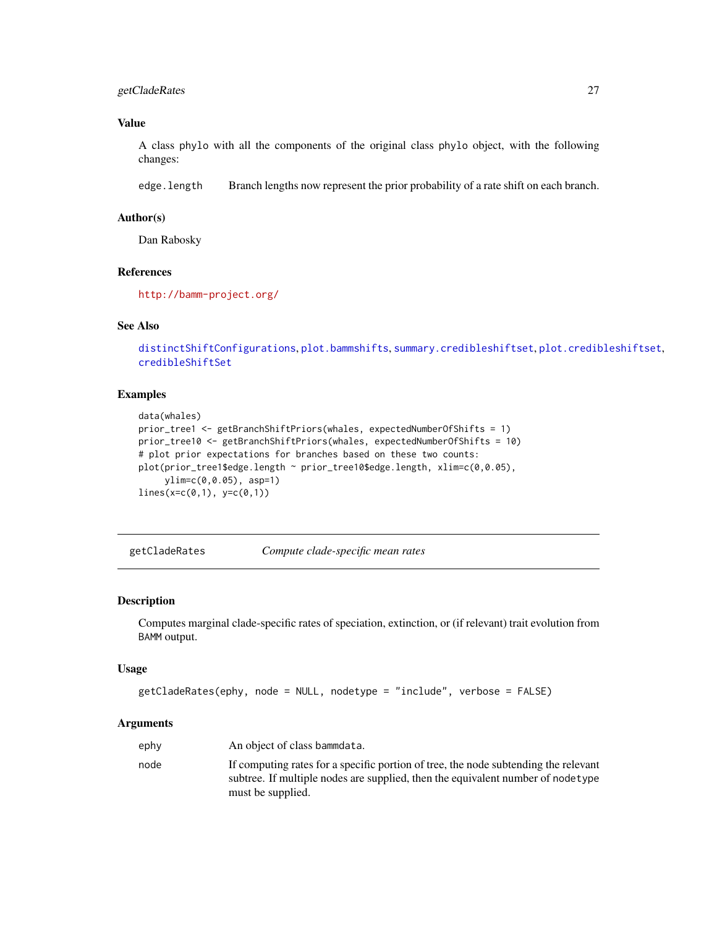# <span id="page-26-0"></span>getCladeRates 27

# Value

A class phylo with all the components of the original class phylo object, with the following changes:

edge.length Branch lengths now represent the prior probability of a rate shift on each branch.

#### Author(s)

Dan Rabosky

# References

<http://bamm-project.org/>

# See Also

```
distinctShiftConfigurations, plot.bammshifts, summary.credibleshiftset, plot.credibleshiftset,
credibleShiftSet
```
#### Examples

```
data(whales)
prior_tree1 <- getBranchShiftPriors(whales, expectedNumberOfShifts = 1)
prior_tree10 <- getBranchShiftPriors(whales, expectedNumberOfShifts = 10)
# plot prior expectations for branches based on these two counts:
plot(prior_tree1$edge.length ~ prior_tree10$edge.length, xlim=c(0,0.05),
     ylim=c(0,0.05), asp=1)
lines(x=c(0,1), y=c(0,1))
```
getCladeRates *Compute clade-specific mean rates*

# Description

Computes marginal clade-specific rates of speciation, extinction, or (if relevant) trait evolution from BAMM output.

#### Usage

```
getCladeRates(ephy, node = NULL, nodetype = "include", verbose = FALSE)
```

| ephy | An object of class bammdata.                                                                                                                                                                 |
|------|----------------------------------------------------------------------------------------------------------------------------------------------------------------------------------------------|
| node | If computing rates for a specific portion of tree, the node subtending the relevant<br>subtree. If multiple nodes are supplied, then the equivalent number of node type<br>must be supplied. |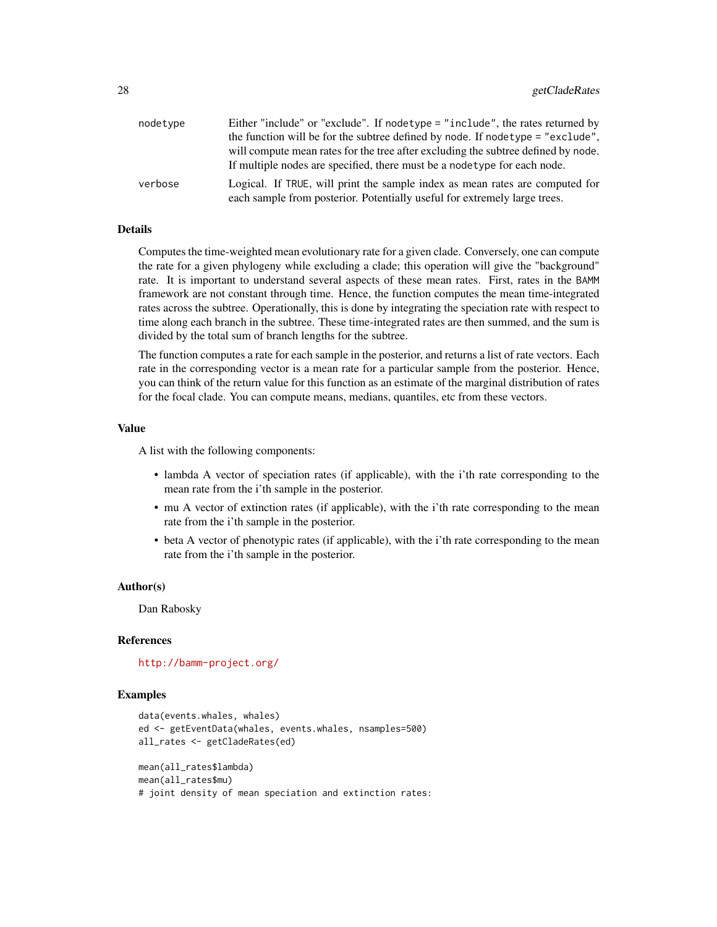| nodetype | Either "include" or "exclude". If nodetype = "include", the rates returned by                                                                             |
|----------|-----------------------------------------------------------------------------------------------------------------------------------------------------------|
|          | the function will be for the subtree defined by node. If nodetype = "exclude",                                                                            |
|          | will compute mean rates for the tree after excluding the subtree defined by node.                                                                         |
|          | If multiple nodes are specified, there must be a nodetype for each node.                                                                                  |
| verbose  | Logical. If TRUE, will print the sample index as mean rates are computed for<br>each sample from posterior. Potentially useful for extremely large trees. |
|          |                                                                                                                                                           |

#### Details

Computes the time-weighted mean evolutionary rate for a given clade. Conversely, one can compute the rate for a given phylogeny while excluding a clade; this operation will give the "background" rate. It is important to understand several aspects of these mean rates. First, rates in the BAMM framework are not constant through time. Hence, the function computes the mean time-integrated rates across the subtree. Operationally, this is done by integrating the speciation rate with respect to time along each branch in the subtree. These time-integrated rates are then summed, and the sum is divided by the total sum of branch lengths for the subtree.

The function computes a rate for each sample in the posterior, and returns a list of rate vectors. Each rate in the corresponding vector is a mean rate for a particular sample from the posterior. Hence, you can think of the return value for this function as an estimate of the marginal distribution of rates for the focal clade. You can compute means, medians, quantiles, etc from these vectors.

#### Value

A list with the following components:

- lambda A vector of speciation rates (if applicable), with the i'th rate corresponding to the mean rate from the i'th sample in the posterior.
- mu A vector of extinction rates (if applicable), with the i'th rate corresponding to the mean rate from the i'th sample in the posterior.
- beta A vector of phenotypic rates (if applicable), with the i'th rate corresponding to the mean rate from the i'th sample in the posterior.

#### Author(s)

Dan Rabosky

#### References

<http://bamm-project.org/>

#### Examples

```
data(events.whales, whales)
ed <- getEventData(whales, events.whales, nsamples=500)
all_rates <- getCladeRates(ed)
mean(all_rates$lambda)
mean(all_rates$mu)
# joint density of mean speciation and extinction rates:
```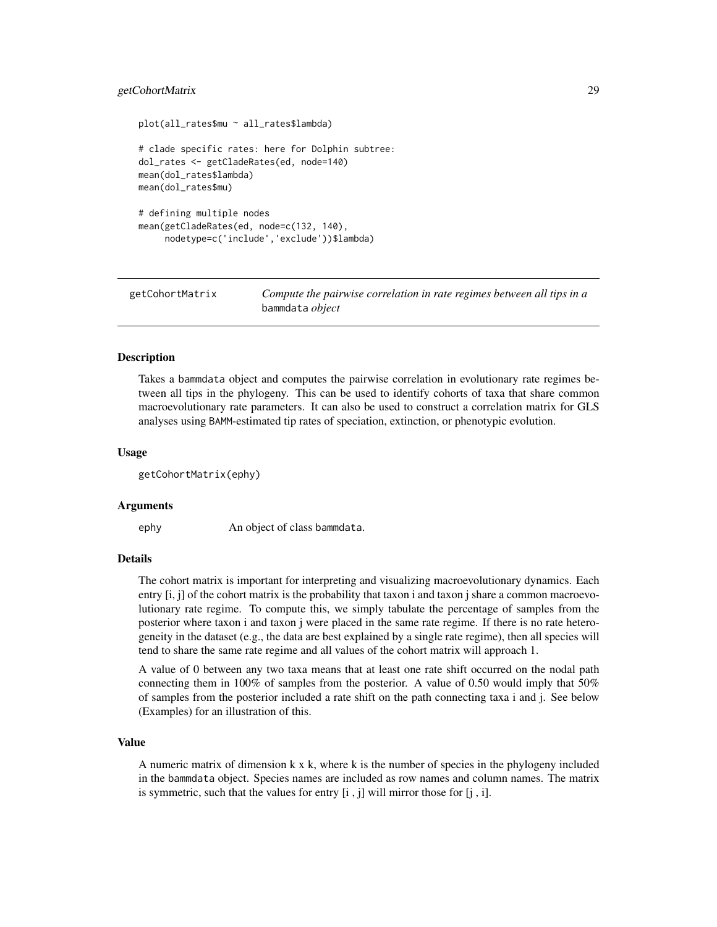#### <span id="page-28-0"></span>getCohortMatrix 29

```
plot(all_rates$mu ~ all_rates$lambda)
# clade specific rates: here for Dolphin subtree:
dol_rates <- getCladeRates(ed, node=140)
mean(dol_rates$lambda)
mean(dol_rates$mu)
# defining multiple nodes
mean(getCladeRates(ed, node=c(132, 140),
     nodetype=c('include','exclude'))$lambda)
```
<span id="page-28-1"></span>

getCohortMatrix *Compute the pairwise correlation in rate regimes between all tips in a* bammdata *object*

# Description

Takes a bammdata object and computes the pairwise correlation in evolutionary rate regimes between all tips in the phylogeny. This can be used to identify cohorts of taxa that share common macroevolutionary rate parameters. It can also be used to construct a correlation matrix for GLS analyses using BAMM-estimated tip rates of speciation, extinction, or phenotypic evolution.

#### Usage

getCohortMatrix(ephy)

#### Arguments

ephy An object of class bammdata.

#### Details

The cohort matrix is important for interpreting and visualizing macroevolutionary dynamics. Each entry [i, j] of the cohort matrix is the probability that taxon i and taxon j share a common macroevolutionary rate regime. To compute this, we simply tabulate the percentage of samples from the posterior where taxon i and taxon j were placed in the same rate regime. If there is no rate heterogeneity in the dataset (e.g., the data are best explained by a single rate regime), then all species will tend to share the same rate regime and all values of the cohort matrix will approach 1.

A value of 0 between any two taxa means that at least one rate shift occurred on the nodal path connecting them in 100% of samples from the posterior. A value of 0.50 would imply that 50% of samples from the posterior included a rate shift on the path connecting taxa i and j. See below (Examples) for an illustration of this.

# Value

A numeric matrix of dimension k x k, where k is the number of species in the phylogeny included in the bammdata object. Species names are included as row names and column names. The matrix is symmetric, such that the values for entry [i , j] will mirror those for [j , i].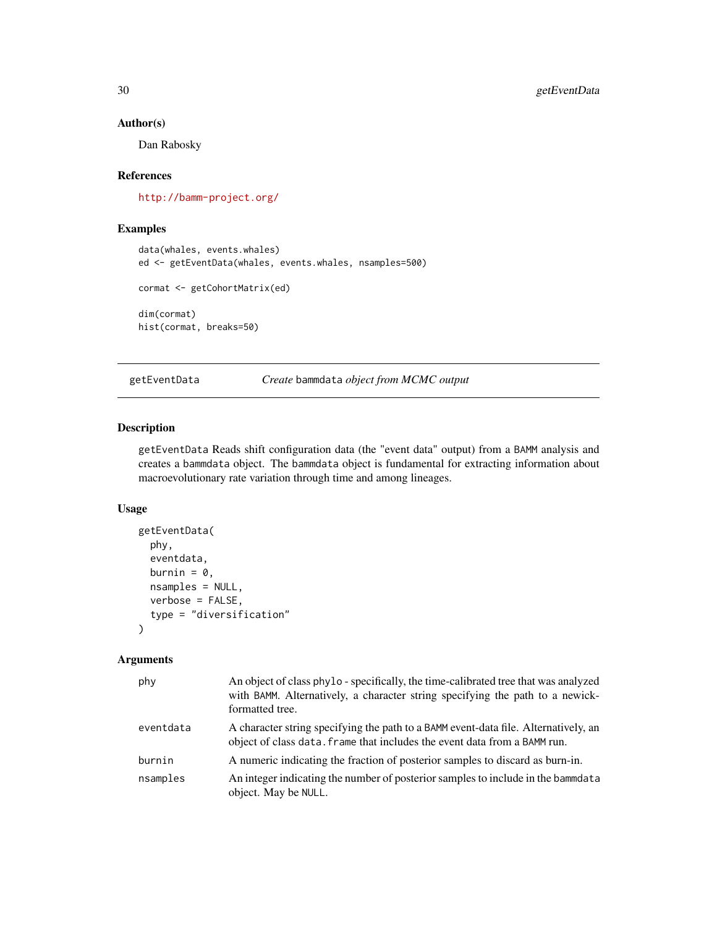# Author(s)

Dan Rabosky

#### References

<http://bamm-project.org/>

# Examples

```
data(whales, events.whales)
ed <- getEventData(whales, events.whales, nsamples=500)
```

```
cormat <- getCohortMatrix(ed)
```
dim(cormat) hist(cormat, breaks=50)

<span id="page-29-1"></span>getEventData *Create* bammdata *object from MCMC output*

# Description

getEventData Reads shift configuration data (the "event data" output) from a BAMM analysis and creates a bammdata object. The bammdata object is fundamental for extracting information about macroevolutionary rate variation through time and among lineages.

# Usage

```
getEventData(
 phy,
  eventdata,
 burnin = 0,
  nsamples = NULL,
  verbose = FALSE,
  type = "diversification"
)
```

| phy       | An object of class phylo - specifically, the time-calibrated tree that was analyzed<br>with BAMM. Alternatively, a character string specifying the path to a newick-<br>formatted tree. |
|-----------|-----------------------------------------------------------------------------------------------------------------------------------------------------------------------------------------|
| eventdata | A character string specifying the path to a BAMM event-data file. Alternatively, an<br>object of class data. Frame that includes the event data from a BAMM run.                        |
| burnin    | A numeric indicating the fraction of posterior samples to discard as burn-in.                                                                                                           |
| nsamples  | An integer indicating the number of posterior samples to include in the bammdata<br>object. May be NULL.                                                                                |

<span id="page-29-0"></span>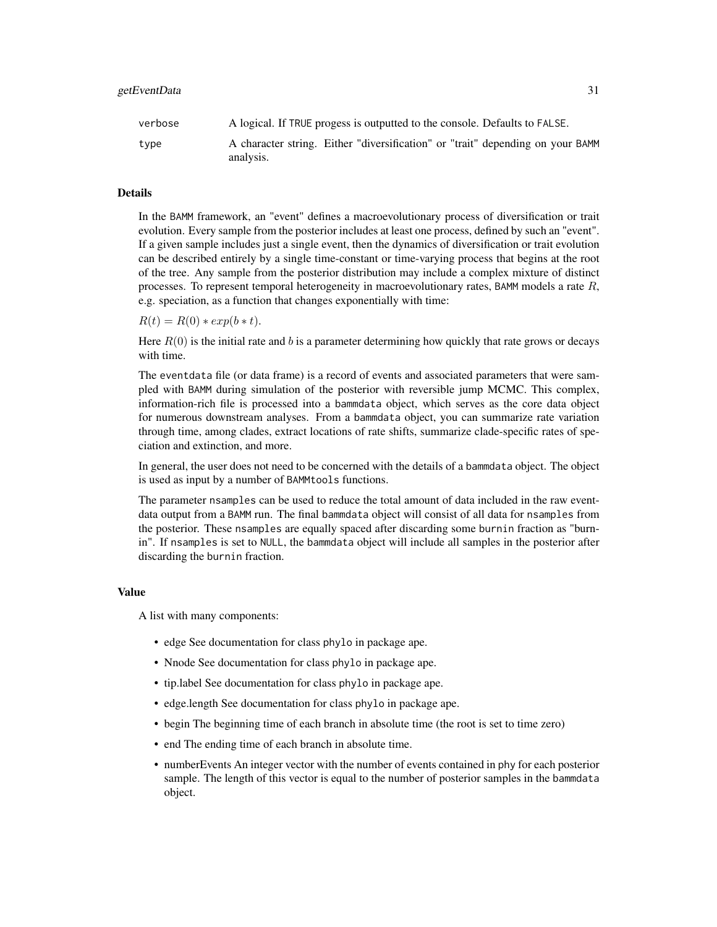| verbose | A logical. If TRUE progess is outputted to the console. Defaults to FALSE.                  |
|---------|---------------------------------------------------------------------------------------------|
| type    | A character string. Either "diversification" or "trait" depending on your BAMM<br>analysis. |

# Details

In the BAMM framework, an "event" defines a macroevolutionary process of diversification or trait evolution. Every sample from the posterior includes at least one process, defined by such an "event". If a given sample includes just a single event, then the dynamics of diversification or trait evolution can be described entirely by a single time-constant or time-varying process that begins at the root of the tree. Any sample from the posterior distribution may include a complex mixture of distinct processes. To represent temporal heterogeneity in macroevolutionary rates, BAMM models a rate  $R$ , e.g. speciation, as a function that changes exponentially with time:

 $R(t) = R(0) * exp(b * t).$ 

Here  $R(0)$  is the initial rate and b is a parameter determining how quickly that rate grows or decays with time.

The eventdata file (or data frame) is a record of events and associated parameters that were sampled with BAMM during simulation of the posterior with reversible jump MCMC. This complex, information-rich file is processed into a bammdata object, which serves as the core data object for numerous downstream analyses. From a bammdata object, you can summarize rate variation through time, among clades, extract locations of rate shifts, summarize clade-specific rates of speciation and extinction, and more.

In general, the user does not need to be concerned with the details of a bammdata object. The object is used as input by a number of BAMMtools functions.

The parameter nsamples can be used to reduce the total amount of data included in the raw eventdata output from a BAMM run. The final bammdata object will consist of all data for nsamples from the posterior. These nsamples are equally spaced after discarding some burnin fraction as "burnin". If nsamples is set to NULL, the bammdata object will include all samples in the posterior after discarding the burnin fraction.

#### Value

A list with many components:

- edge See documentation for class phylo in package ape.
- Nnode See documentation for class phylo in package ape.
- tip.label See documentation for class phylo in package ape.
- edge.length See documentation for class phylo in package ape.
- begin The beginning time of each branch in absolute time (the root is set to time zero)
- end The ending time of each branch in absolute time.
- numberEvents An integer vector with the number of events contained in phy for each posterior sample. The length of this vector is equal to the number of posterior samples in the bammdata object.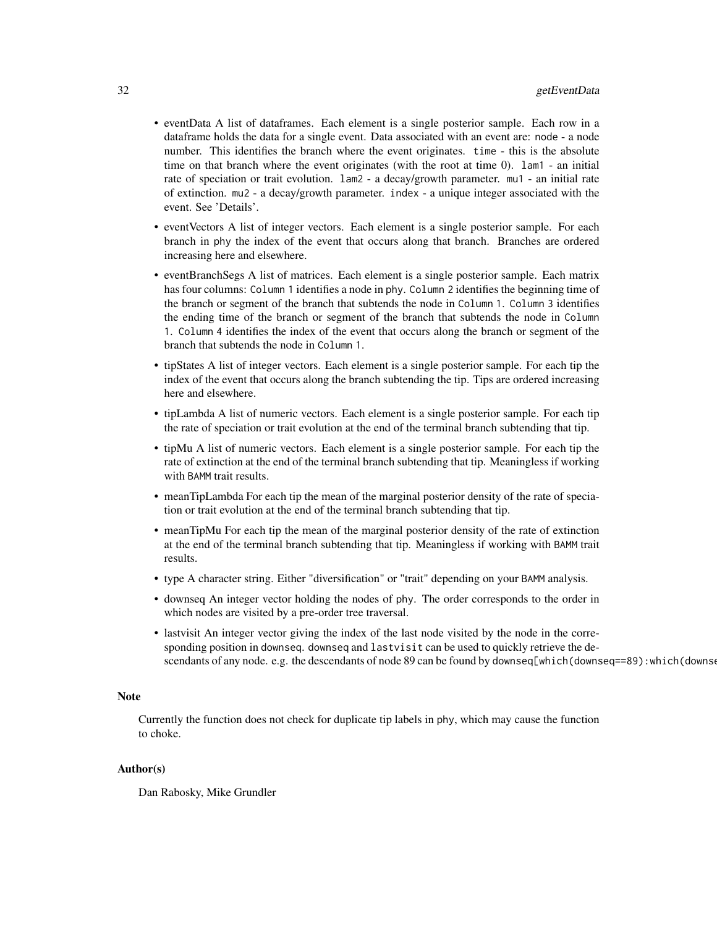- eventData A list of dataframes. Each element is a single posterior sample. Each row in a dataframe holds the data for a single event. Data associated with an event are: node - a node number. This identifies the branch where the event originates. time - this is the absolute time on that branch where the event originates (with the root at time 0). lam1 - an initial rate of speciation or trait evolution. lam2 - a decay/growth parameter. mu1 - an initial rate of extinction. mu2 - a decay/growth parameter. index - a unique integer associated with the event. See 'Details'.
- eventVectors A list of integer vectors. Each element is a single posterior sample. For each branch in phy the index of the event that occurs along that branch. Branches are ordered increasing here and elsewhere.
- eventBranchSegs A list of matrices. Each element is a single posterior sample. Each matrix has four columns: Column 1 identifies a node in phy. Column 2 identifies the beginning time of the branch or segment of the branch that subtends the node in Column 1. Column 3 identifies the ending time of the branch or segment of the branch that subtends the node in Column 1. Column 4 identifies the index of the event that occurs along the branch or segment of the branch that subtends the node in Column 1.
- tipStates A list of integer vectors. Each element is a single posterior sample. For each tip the index of the event that occurs along the branch subtending the tip. Tips are ordered increasing here and elsewhere.
- tipLambda A list of numeric vectors. Each element is a single posterior sample. For each tip the rate of speciation or trait evolution at the end of the terminal branch subtending that tip.
- tipMu A list of numeric vectors. Each element is a single posterior sample. For each tip the rate of extinction at the end of the terminal branch subtending that tip. Meaningless if working with BAMM trait results.
- meanTipLambda For each tip the mean of the marginal posterior density of the rate of speciation or trait evolution at the end of the terminal branch subtending that tip.
- meanTipMu For each tip the mean of the marginal posterior density of the rate of extinction at the end of the terminal branch subtending that tip. Meaningless if working with BAMM trait results.
- type A character string. Either "diversification" or "trait" depending on your BAMM analysis.
- downseq An integer vector holding the nodes of phy. The order corresponds to the order in which nodes are visited by a pre-order tree traversal.
- lastvisit An integer vector giving the index of the last node visited by the node in the corresponding position in downseq. downseq and lastvisit can be used to quickly retrieve the descendants of any node. e.g. the descendants of node 89 can be found by downseq[which(downseq==89): which(downse

#### Note

Currently the function does not check for duplicate tip labels in phy, which may cause the function to choke.

#### Author(s)

Dan Rabosky, Mike Grundler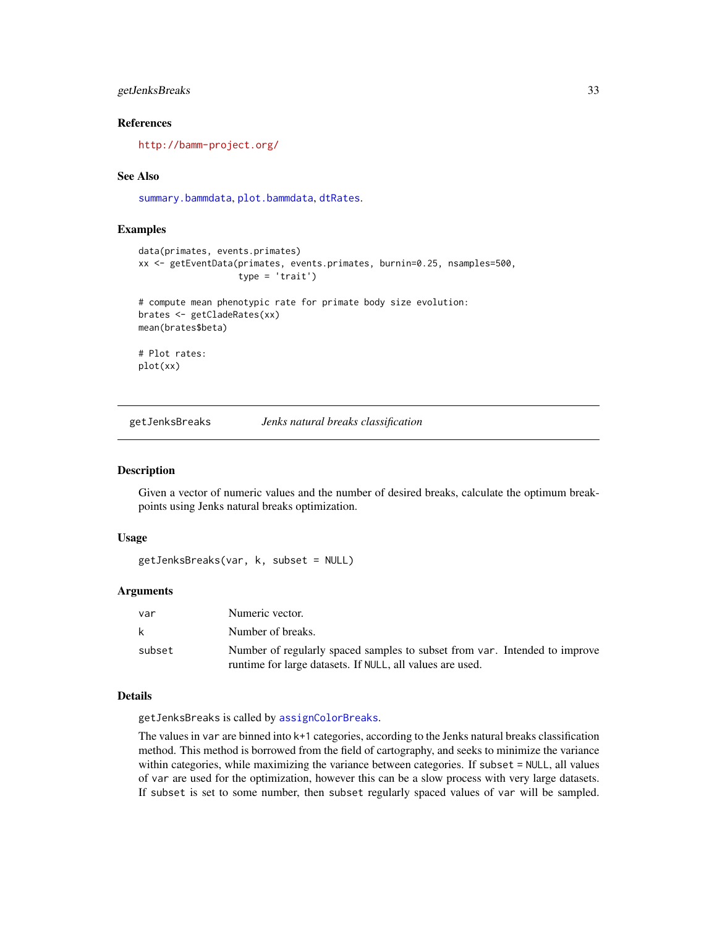# <span id="page-32-0"></span>getJenksBreaks 33

# References

<http://bamm-project.org/>

#### See Also

[summary.bammdata](#page-67-1), [plot.bammdata](#page-44-1), [dtRates](#page-21-1).

#### Examples

```
data(primates, events.primates)
xx <- getEventData(primates, events.primates, burnin=0.25, nsamples=500,
                   type = 'trait')
```

```
# compute mean phenotypic rate for primate body size evolution:
brates <- getCladeRates(xx)
mean(brates$beta)
```
# Plot rates: plot(xx)

getJenksBreaks *Jenks natural breaks classification*

#### Description

Given a vector of numeric values and the number of desired breaks, calculate the optimum breakpoints using Jenks natural breaks optimization.

#### Usage

getJenksBreaks(var, k, subset = NULL)

# Arguments

| var    | Numeric vector.                                                            |
|--------|----------------------------------------------------------------------------|
| k      | Number of breaks.                                                          |
| subset | Number of regularly spaced samples to subset from var. Intended to improve |
|        | runtime for large datasets. If NULL, all values are used.                  |

# Details

getJenksBreaks is called by [assignColorBreaks](#page-5-1).

The values in var are binned into k+1 categories, according to the Jenks natural breaks classification method. This method is borrowed from the field of cartography, and seeks to minimize the variance within categories, while maximizing the variance between categories. If subset = NULL, all values of var are used for the optimization, however this can be a slow process with very large datasets. If subset is set to some number, then subset regularly spaced values of var will be sampled.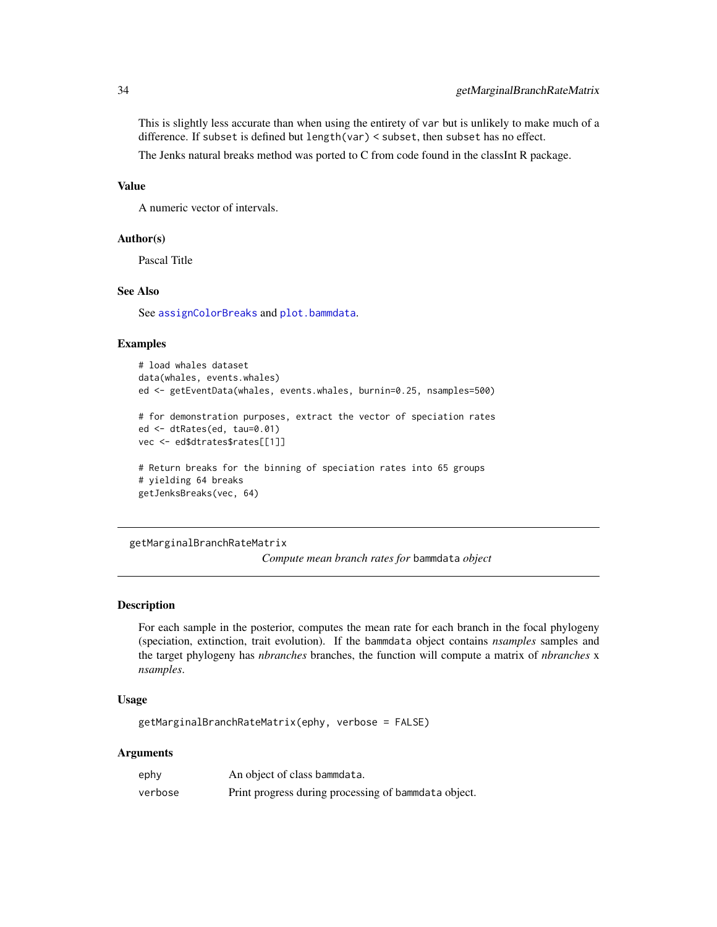This is slightly less accurate than when using the entirety of var but is unlikely to make much of a difference. If subset is defined but length(var) < subset, then subset has no effect.

The Jenks natural breaks method was ported to C from code found in the classInt R package.

# Value

A numeric vector of intervals.

# Author(s)

Pascal Title

# See Also

See [assignColorBreaks](#page-5-1) and [plot.bammdata](#page-44-1).

#### Examples

```
# load whales dataset
data(whales, events.whales)
ed <- getEventData(whales, events.whales, burnin=0.25, nsamples=500)
# for demonstration purposes, extract the vector of speciation rates
ed <- dtRates(ed, tau=0.01)
vec <- ed$dtrates$rates[[1]]
# Return breaks for the binning of speciation rates into 65 groups
# yielding 64 breaks
getJenksBreaks(vec, 64)
```
getMarginalBranchRateMatrix

*Compute mean branch rates for* bammdata *object*

# Description

For each sample in the posterior, computes the mean rate for each branch in the focal phylogeny (speciation, extinction, trait evolution). If the bammdata object contains *nsamples* samples and the target phylogeny has *nbranches* branches, the function will compute a matrix of *nbranches* x *nsamples*.

# Usage

getMarginalBranchRateMatrix(ephy, verbose = FALSE)

| ephy    | An object of class bammdata.                          |
|---------|-------------------------------------------------------|
| verbose | Print progress during processing of bammedata object. |

<span id="page-33-0"></span>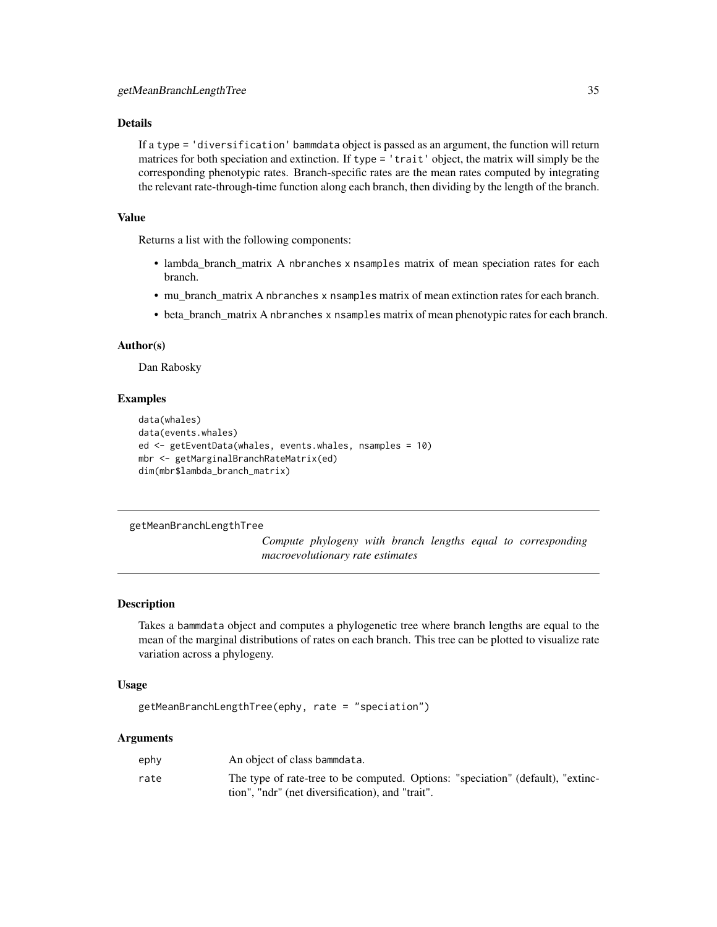# <span id="page-34-0"></span>Details

If a type = 'diversification' bammdata object is passed as an argument, the function will return matrices for both speciation and extinction. If type = 'trait' object, the matrix will simply be the corresponding phenotypic rates. Branch-specific rates are the mean rates computed by integrating the relevant rate-through-time function along each branch, then dividing by the length of the branch.

# Value

Returns a list with the following components:

- lambda\_branch\_matrix A nbranches x nsamples matrix of mean speciation rates for each branch.
- mu\_branch\_matrix A nbranches x nsamples matrix of mean extinction rates for each branch.
- beta\_branch\_matrix A nbranches x nsamples matrix of mean phenotypic rates for each branch.

#### Author(s)

Dan Rabosky

### Examples

```
data(whales)
data(events.whales)
ed <- getEventData(whales, events.whales, nsamples = 10)
mbr <- getMarginalBranchRateMatrix(ed)
dim(mbr$lambda_branch_matrix)
```
#### getMeanBranchLengthTree

*Compute phylogeny with branch lengths equal to corresponding macroevolutionary rate estimates*

# Description

Takes a bammdata object and computes a phylogenetic tree where branch lengths are equal to the mean of the marginal distributions of rates on each branch. This tree can be plotted to visualize rate variation across a phylogeny.

#### Usage

```
getMeanBranchLengthTree(ephy, rate = "speciation")
```

| ephy | An object of class bammdata.                                                    |
|------|---------------------------------------------------------------------------------|
| rate | The type of rate-tree to be computed. Options: "speciation" (default), "extinc- |
|      | tion", "ndr" (net diversification), and "trait".                                |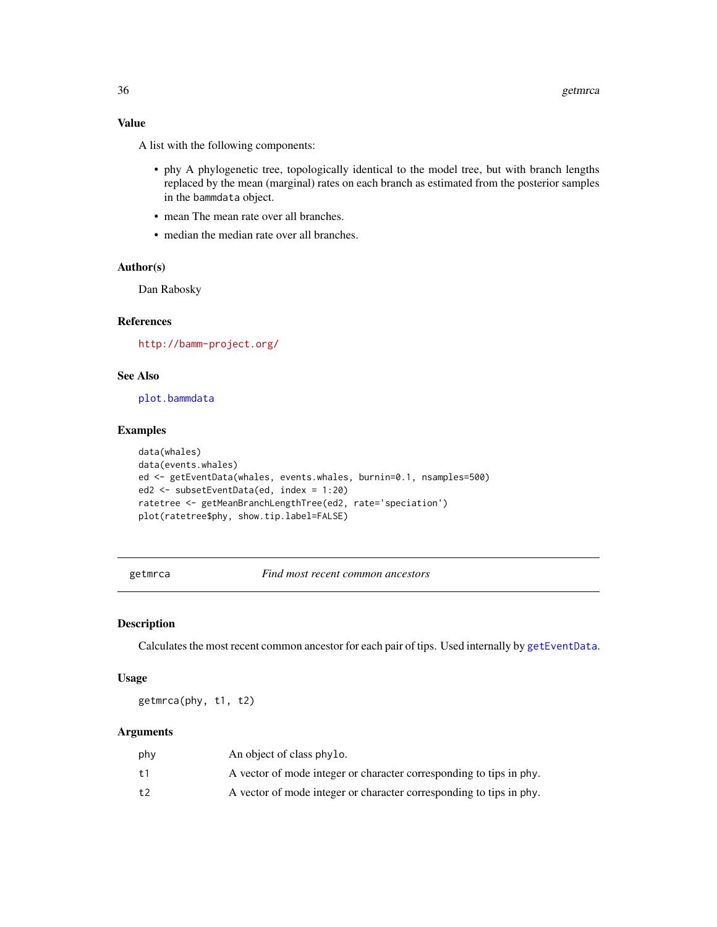# <span id="page-35-0"></span>Value

A list with the following components:

- phy A phylogenetic tree, topologically identical to the model tree, but with branch lengths replaced by the mean (marginal) rates on each branch as estimated from the posterior samples in the bammdata object.
- mean The mean rate over all branches.
- median the median rate over all branches.

#### Author(s)

Dan Rabosky

# References

<http://bamm-project.org/>

# See Also

[plot.bammdata](#page-44-1)

#### Examples

```
data(whales)
data(events.whales)
ed <- getEventData(whales, events.whales, burnin=0.1, nsamples=500)
ed2 <- subsetEventData(ed, index = 1:20)
ratetree <- getMeanBranchLengthTree(ed2, rate='speciation')
plot(ratetree$phy, show.tip.label=FALSE)
```
getmrca *Find most recent common ancestors*

# Description

Calculates the most recent common ancestor for each pair of tips. Used internally by [getEventData](#page-29-1).

# Usage

getmrca(phy, t1, t2)

| phy | An object of class phylo.                                           |
|-----|---------------------------------------------------------------------|
| t1  | A vector of mode integer or character corresponding to tips in phy. |
| t2  | A vector of mode integer or character corresponding to tips in phy. |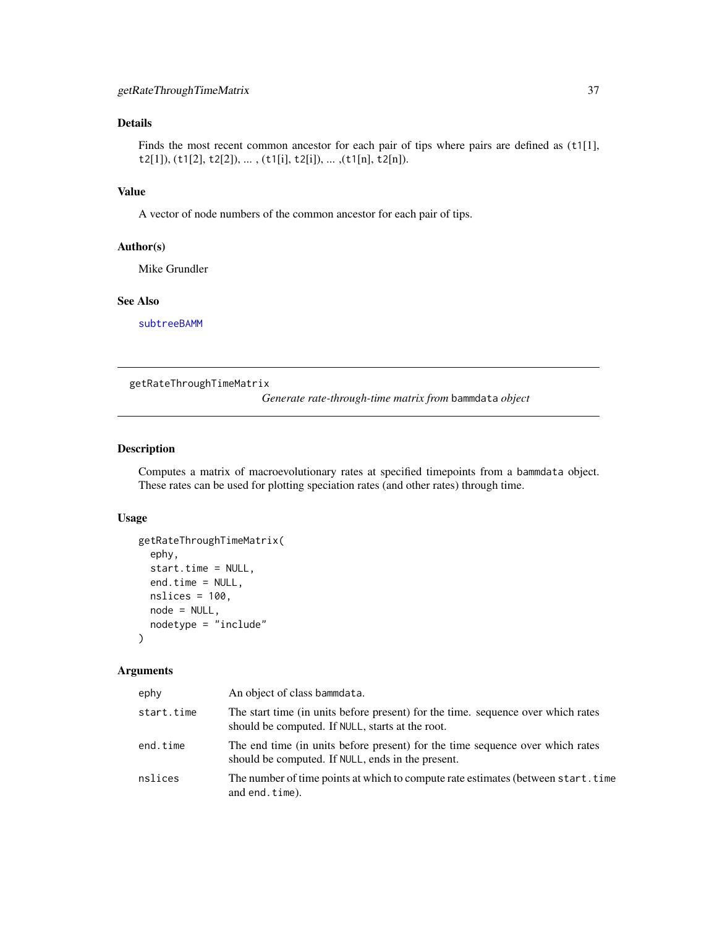Finds the most recent common ancestor for each pair of tips where pairs are defined as (t1[1], t2[1]), (t1[2], t2[2]), ... , (t1[i], t2[i]), ... ,(t1[n], t2[n]).

# Value

A vector of node numbers of the common ancestor for each pair of tips.

### Author(s)

Mike Grundler

## See Also

[subtreeBAMM](#page-66-0)

<span id="page-36-0"></span>getRateThroughTimeMatrix

*Generate rate-through-time matrix from* bammdata *object*

# Description

Computes a matrix of macroevolutionary rates at specified timepoints from a bammdata object. These rates can be used for plotting speciation rates (and other rates) through time.

# Usage

```
getRateThroughTimeMatrix(
  ephy,
  start.time = NULL,
  end.time = NULL,
 nslices = 100,
 node = NULL,
  nodetype = "include"
)
```

| ephy       | An object of class bammdata.                                                                                                         |
|------------|--------------------------------------------------------------------------------------------------------------------------------------|
| start.time | The start time (in units before present) for the time. sequence over which rates<br>should be computed. If NULL, starts at the root. |
| end.time   | The end time (in units before present) for the time sequence over which rates<br>should be computed. If NULL, ends in the present.   |
| nslices    | The number of time points at which to compute rate estimates (between start.time<br>and end.time).                                   |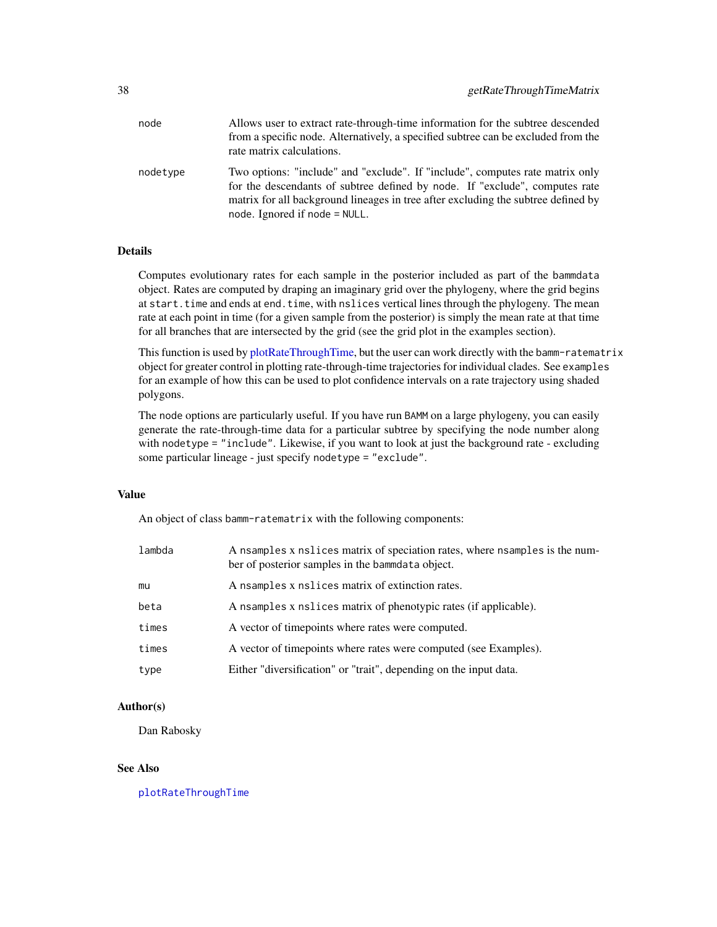| node     | Allows user to extract rate-through-time information for the subtree descended<br>from a specific node. Alternatively, a specified subtree can be excluded from the<br>rate matrix calculations.                                                                                     |
|----------|--------------------------------------------------------------------------------------------------------------------------------------------------------------------------------------------------------------------------------------------------------------------------------------|
| nodetype | Two options: "include" and "exclude". If "include", computes rate matrix only<br>for the descendants of subtree defined by node. If "exclude", computes rate<br>matrix for all background lineages in tree after excluding the subtree defined by<br>node. Ignored if node $=$ NULL. |

Computes evolutionary rates for each sample in the posterior included as part of the bammdata object. Rates are computed by draping an imaginary grid over the phylogeny, where the grid begins at start.time and ends at end.time, with nslices vertical lines through the phylogeny. The mean rate at each point in time (for a given sample from the posterior) is simply the mean rate at that time for all branches that are intersected by the grid (see the grid plot in the examples section).

This function is used by [plotRateThroughTime,](#page-54-0) but the user can work directly with the bamm-ratematrix object for greater control in plotting rate-through-time trajectories for individual clades. See examples for an example of how this can be used to plot confidence intervals on a rate trajectory using shaded polygons.

The node options are particularly useful. If you have run BAMM on a large phylogeny, you can easily generate the rate-through-time data for a particular subtree by specifying the node number along with nodetype = "include". Likewise, if you want to look at just the background rate - excluding some particular lineage - just specify nodetype = "exclude".

### Value

An object of class bamm-ratematrix with the following components:

| lambda | A nsamples x nslices matrix of speciation rates, where nsamples is the num-<br>ber of posterior samples in the bammdata object. |
|--------|---------------------------------------------------------------------------------------------------------------------------------|
| mu     | A nsamples x nslices matrix of extinction rates.                                                                                |
| beta   | A nsamples x nslices matrix of phenotypic rates (if applicable).                                                                |
| times  | A vector of timepoints where rates were computed.                                                                               |
| times  | A vector of timepoints where rates were computed (see Examples).                                                                |
| type   | Either "diversification" or "trait", depending on the input data.                                                               |

### Author(s)

Dan Rabosky

#### See Also

[plotRateThroughTime](#page-54-0)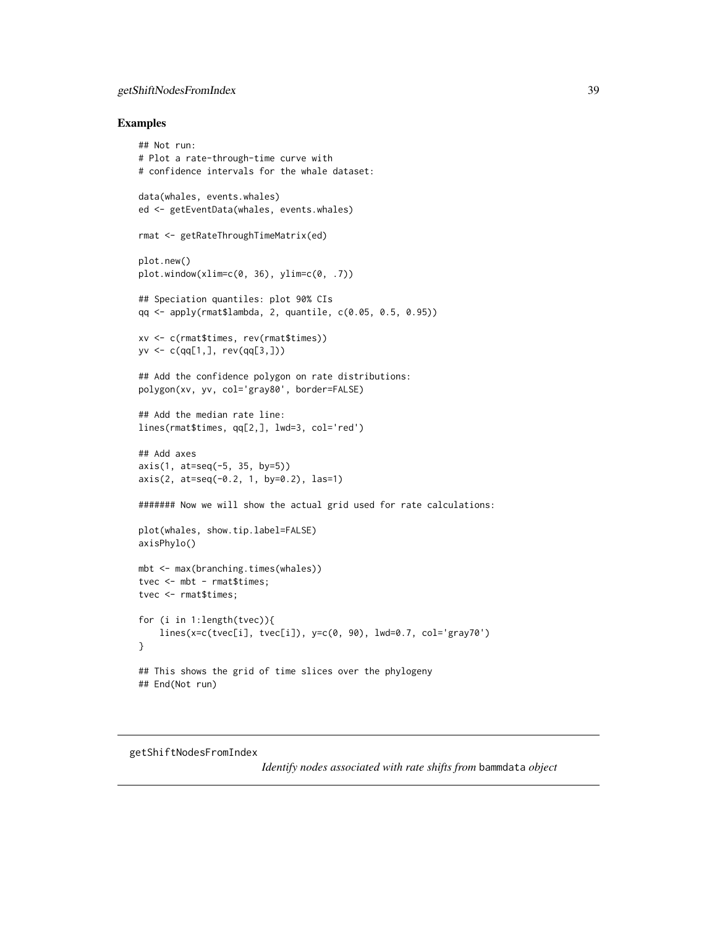# getShiftNodesFromIndex 39

### Examples

```
## Not run:
# Plot a rate-through-time curve with
# confidence intervals for the whale dataset:
data(whales, events.whales)
ed <- getEventData(whales, events.whales)
rmat <- getRateThroughTimeMatrix(ed)
plot.new()
plot.window(xlim=c(0, 36), ylim=c(0, .7))
## Speciation quantiles: plot 90% CIs
qq <- apply(rmat$lambda, 2, quantile, c(0.05, 0.5, 0.95))
xv <- c(rmat$times, rev(rmat$times))
yv <- c(qq[1,], rev(qq[3,]))
## Add the confidence polygon on rate distributions:
polygon(xv, yv, col='gray80', border=FALSE)
## Add the median rate line:
lines(rmat$times, qq[2,], lwd=3, col='red')
## Add axes
axis(1, at=seq(-5, 35, by=5))axis(2, at=seq(-0.2, 1, by=0.2), las=1)
####### Now we will show the actual grid used for rate calculations:
plot(whales, show.tip.label=FALSE)
axisPhylo()
mbt <- max(branching.times(whales))
tvec <- mbt - rmat$times;
tvec <- rmat$times;
for (i in 1:length(tvec)){
    lines(x=c(tvec[i], tvec[i]), y=c(0, 90), lwd=0.7, col='gray70')
}
## This shows the grid of time slices over the phylogeny
## End(Not run)
```
getShiftNodesFromIndex

*Identify nodes associated with rate shifts from* bammdata *object*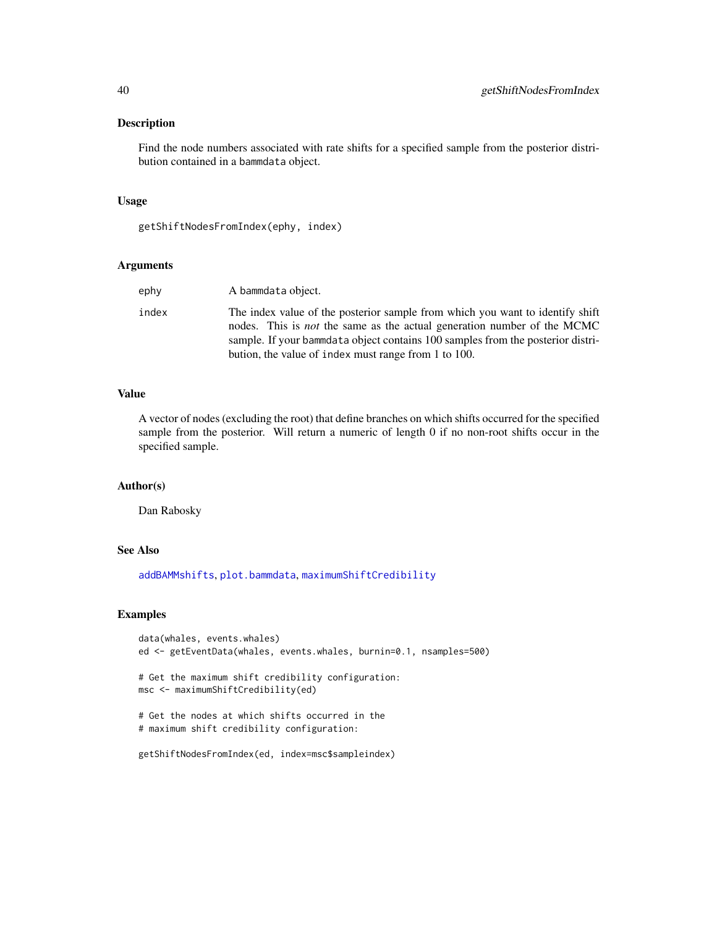# Description

Find the node numbers associated with rate shifts for a specified sample from the posterior distribution contained in a bammdata object.

# Usage

```
getShiftNodesFromIndex(ephy, index)
```
### Arguments

| ephy  | A bammdata object.                                                                                                                                                                                                                                                                                         |
|-------|------------------------------------------------------------------------------------------------------------------------------------------------------------------------------------------------------------------------------------------------------------------------------------------------------------|
| index | The index value of the posterior sample from which you want to identify shift<br>nodes. This is <i>not</i> the same as the actual generation number of the MCMC<br>sample. If your bammdata object contains 100 samples from the posterior distri-<br>bution, the value of index must range from 1 to 100. |

# Value

A vector of nodes (excluding the root) that define branches on which shifts occurred for the specified sample from the posterior. Will return a numeric of length 0 if no non-root shifts occur in the specified sample.

### Author(s)

Dan Rabosky

## See Also

[addBAMMshifts](#page-4-0), [plot.bammdata](#page-44-0), [maximumShiftCredibility](#page-42-0)

```
data(whales, events.whales)
ed <- getEventData(whales, events.whales, burnin=0.1, nsamples=500)
# Get the maximum shift credibility configuration:
msc <- maximumShiftCredibility(ed)
# Get the nodes at which shifts occurred in the
# maximum shift credibility configuration:
getShiftNodesFromIndex(ed, index=msc$sampleindex)
```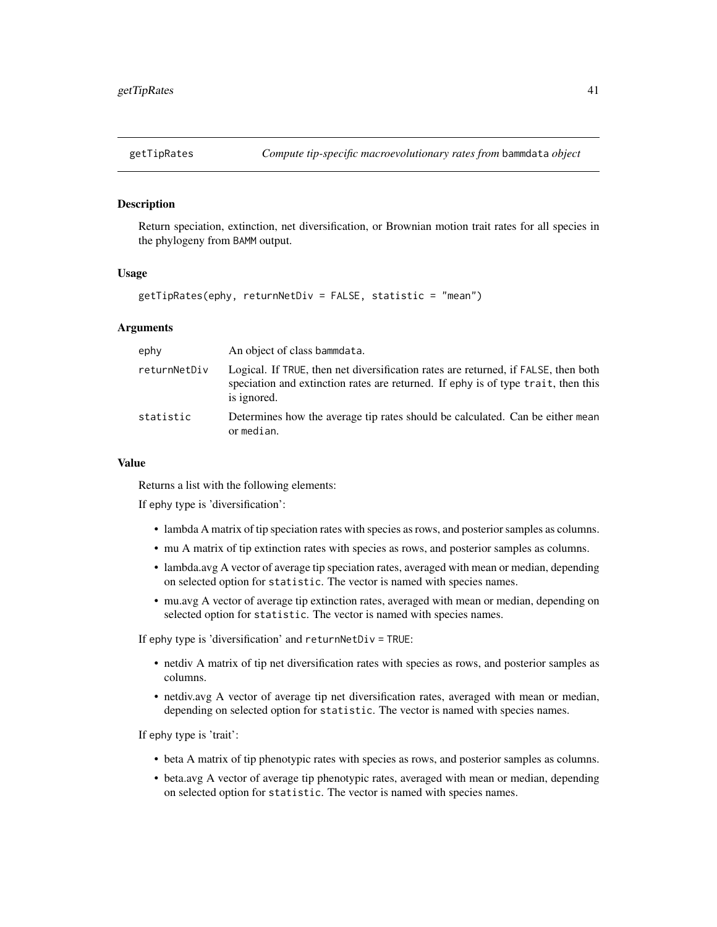## Description

Return speciation, extinction, net diversification, or Brownian motion trait rates for all species in the phylogeny from BAMM output.

### Usage

```
getTipRates(ephy, returnNetDiv = FALSE, statistic = "mean")
```
# Arguments

| ephy         | An object of class bammdata.                                                                                                                                                           |
|--------------|----------------------------------------------------------------------------------------------------------------------------------------------------------------------------------------|
| returnNetDiv | Logical. If TRUE, then net diversification rates are returned, if FALSE, then both<br>speciation and extinction rates are returned. If ephy is of type trait, then this<br>is ignored. |
| statistic    | Determines how the average tip rates should be calculated. Can be either mean<br>or median.                                                                                            |

## Value

Returns a list with the following elements:

If ephy type is 'diversification':

- lambda A matrix of tip speciation rates with species as rows, and posterior samples as columns.
- mu A matrix of tip extinction rates with species as rows, and posterior samples as columns.
- lambda.avg A vector of average tip speciation rates, averaged with mean or median, depending on selected option for statistic. The vector is named with species names.
- mu.avg A vector of average tip extinction rates, averaged with mean or median, depending on selected option for statistic. The vector is named with species names.

If ephy type is 'diversification' and returnNetDiv = TRUE:

- netdiv A matrix of tip net diversification rates with species as rows, and posterior samples as columns.
- netdiv.avg A vector of average tip net diversification rates, averaged with mean or median, depending on selected option for statistic. The vector is named with species names.

If ephy type is 'trait':

- beta A matrix of tip phenotypic rates with species as rows, and posterior samples as columns.
- beta.avg A vector of average tip phenotypic rates, averaged with mean or median, depending on selected option for statistic. The vector is named with species names.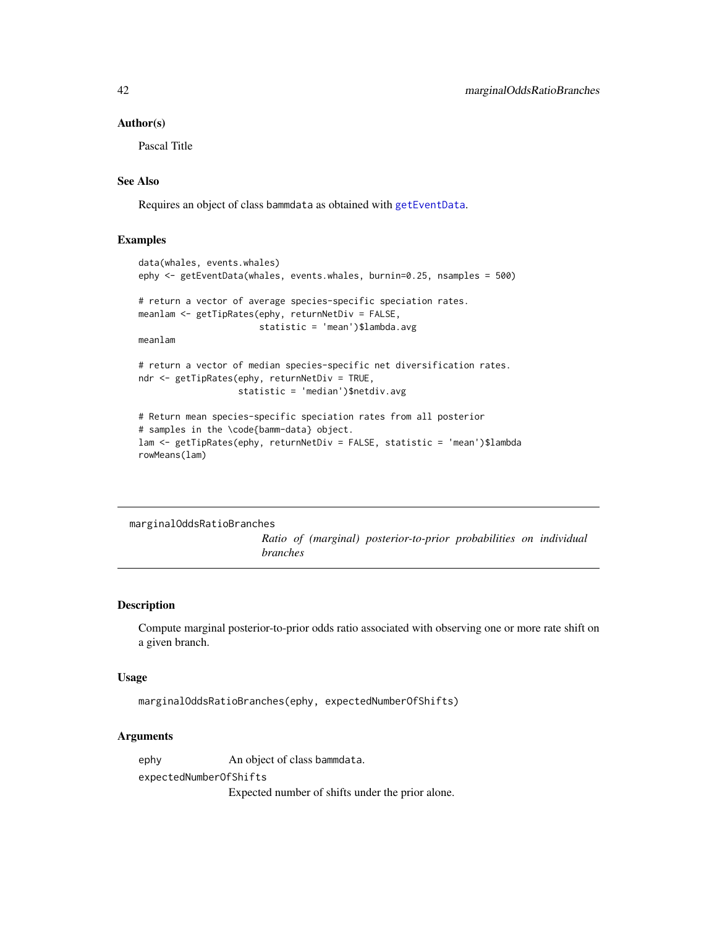### Author(s)

Pascal Title

# See Also

Requires an object of class bammdata as obtained with [getEventData](#page-29-0).

## Examples

```
data(whales, events.whales)
ephy <- getEventData(whales, events.whales, burnin=0.25, nsamples = 500)
# return a vector of average species-specific speciation rates.
meanlam <- getTipRates(ephy, returnNetDiv = FALSE,
                       statistic = 'mean')$lambda.avg
meanlam
# return a vector of median species-specific net diversification rates.
ndr <- getTipRates(ephy, returnNetDiv = TRUE,
                  statistic = 'median')$netdiv.avg
# Return mean species-specific speciation rates from all posterior
# samples in the \code{bamm-data} object.
```

```
lam <- getTipRates(ephy, returnNetDiv = FALSE, statistic = 'mean')$lambda
rowMeans(lam)
```
marginalOddsRatioBranches

*Ratio of (marginal) posterior-to-prior probabilities on individual branches*

# Description

Compute marginal posterior-to-prior odds ratio associated with observing one or more rate shift on a given branch.

# Usage

```
marginalOddsRatioBranches(ephy, expectedNumberOfShifts)
```
## Arguments

ephy An object of class bammdata. expectedNumberOfShifts

Expected number of shifts under the prior alone.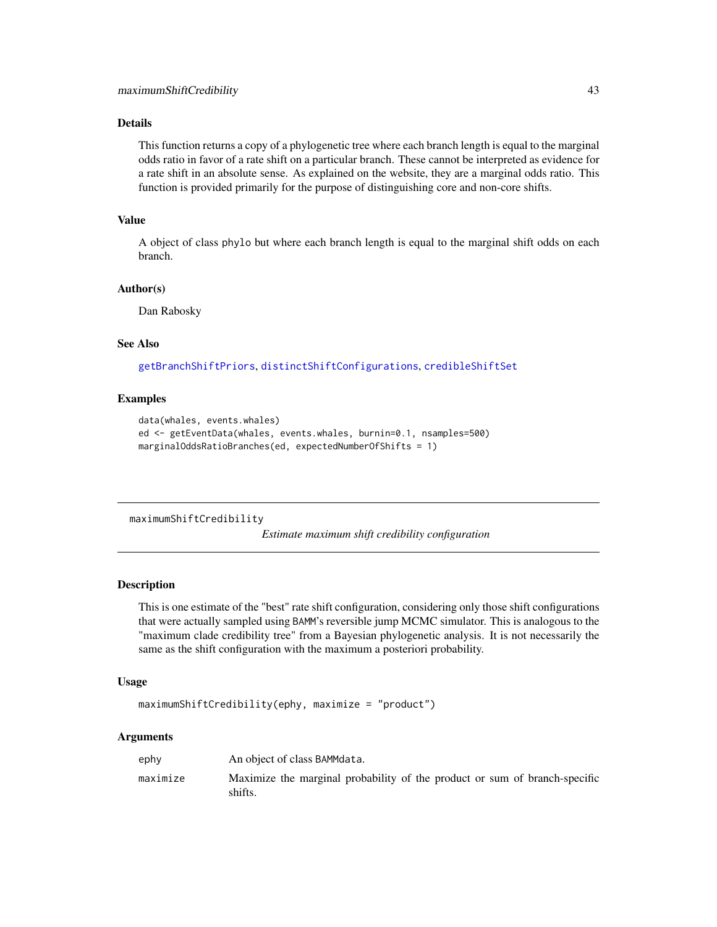This function returns a copy of a phylogenetic tree where each branch length is equal to the marginal odds ratio in favor of a rate shift on a particular branch. These cannot be interpreted as evidence for a rate shift in an absolute sense. As explained on the website, they are a marginal odds ratio. This function is provided primarily for the purpose of distinguishing core and non-core shifts.

# Value

A object of class phylo but where each branch length is equal to the marginal shift odds on each branch.

# Author(s)

Dan Rabosky

### See Also

[getBranchShiftPriors](#page-25-0), [distinctShiftConfigurations](#page-19-0), [credibleShiftSet](#page-14-0)

# Examples

```
data(whales, events.whales)
ed <- getEventData(whales, events.whales, burnin=0.1, nsamples=500)
marginalOddsRatioBranches(ed, expectedNumberOfShifts = 1)
```
<span id="page-42-0"></span>maximumShiftCredibility

*Estimate maximum shift credibility configuration*

### Description

This is one estimate of the "best" rate shift configuration, considering only those shift configurations that were actually sampled using BAMM's reversible jump MCMC simulator. This is analogous to the "maximum clade credibility tree" from a Bayesian phylogenetic analysis. It is not necessarily the same as the shift configuration with the maximum a posteriori probability.

### Usage

```
maximumShiftCredibility(ephy, maximize = "product")
```

| ephy     | An object of class BAMMdata.                                                          |
|----------|---------------------------------------------------------------------------------------|
| maximize | Maximize the marginal probability of the product or sum of branch-specific<br>shifts. |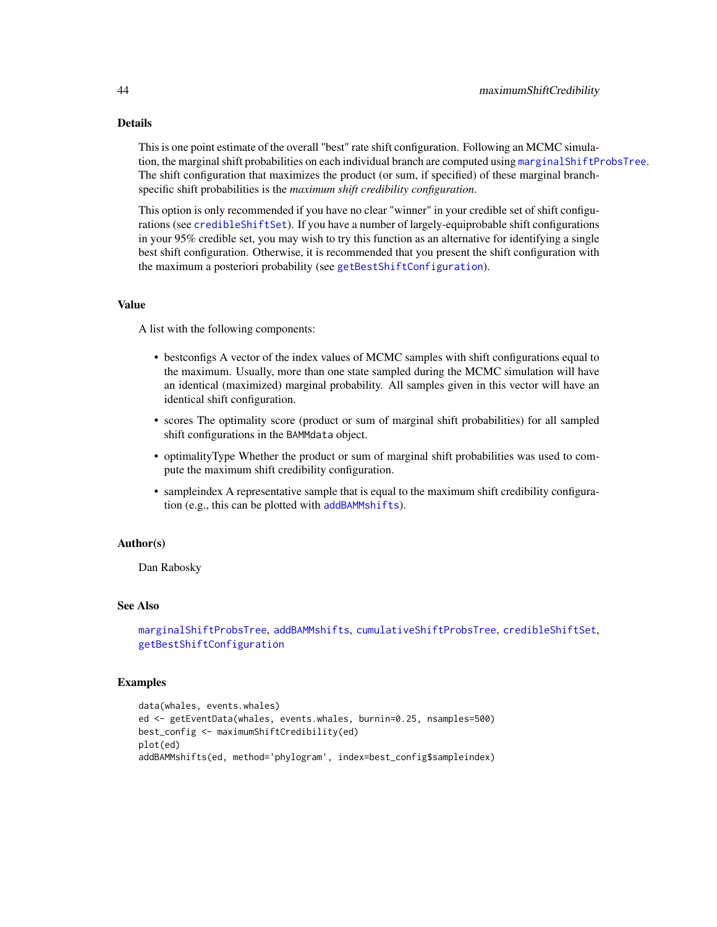This is one point estimate of the overall "best" rate shift configuration. Following an MCMC simulation, the marginal shift probabilities on each individual branch are computed using [marginalShiftProbsTree](#page-18-0). The shift configuration that maximizes the product (or sum, if specified) of these marginal branchspecific shift probabilities is the *maximum shift credibility configuration*.

This option is only recommended if you have no clear "winner" in your credible set of shift configurations (see [credibleShiftSet](#page-14-0)). If you have a number of largely-equiprobable shift configurations in your 95% credible set, you may wish to try this function as an alternative for identifying a single best shift configuration. Otherwise, it is recommended that you present the shift configuration with the maximum a posteriori probability (see [getBestShiftConfiguration](#page-23-0)).

# Value

A list with the following components:

- bestconfigs A vector of the index values of MCMC samples with shift configurations equal to the maximum. Usually, more than one state sampled during the MCMC simulation will have an identical (maximized) marginal probability. All samples given in this vector will have an identical shift configuration.
- scores The optimality score (product or sum of marginal shift probabilities) for all sampled shift configurations in the BAMMdata object.
- optimalityType Whether the product or sum of marginal shift probabilities was used to compute the maximum shift credibility configuration.
- sampleindex A representative sample that is equal to the maximum shift credibility configuration (e.g., this can be plotted with [addBAMMshifts](#page-4-0)).

#### Author(s)

Dan Rabosky

### See Also

```
marginalShiftProbsTree, addBAMMshifts, cumulativeShiftProbsTree, credibleShiftSet,
getBestShiftConfiguration
```

```
data(whales, events.whales)
ed <- getEventData(whales, events.whales, burnin=0.25, nsamples=500)
best_config <- maximumShiftCredibility(ed)
plot(ed)
addBAMMshifts(ed, method='phylogram', index=best_config$sampleindex)
```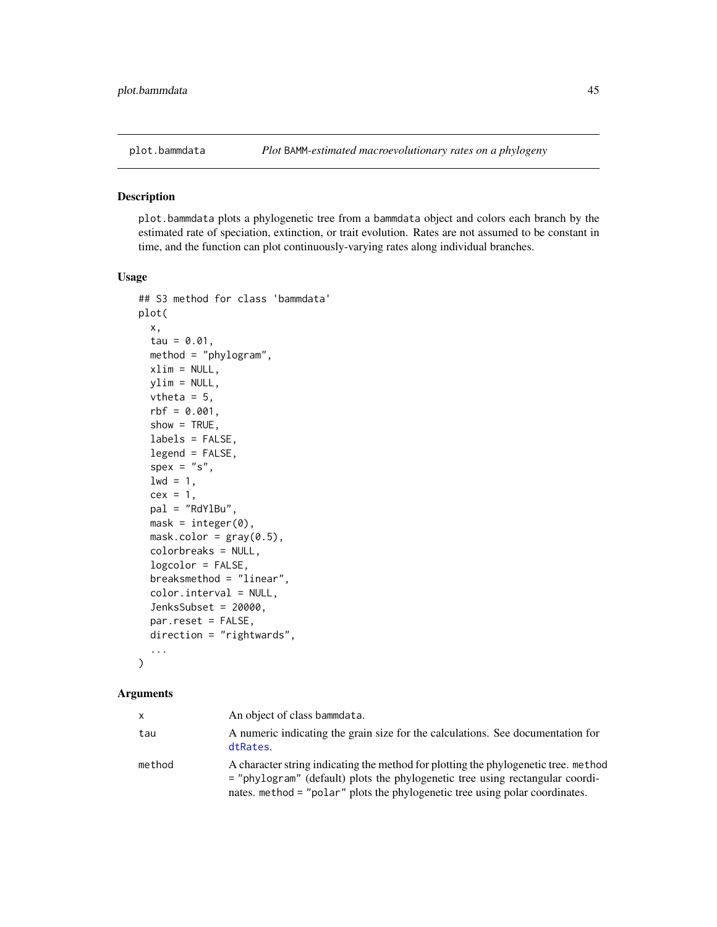<span id="page-44-0"></span>

#### Description

plot.bammdata plots a phylogenetic tree from a bammdata object and colors each branch by the estimated rate of speciation, extinction, or trait evolution. Rates are not assumed to be constant in time, and the function can plot continuously-varying rates along individual branches.

### Usage

```
## S3 method for class 'bammdata'
plot(
  x,
  tau = 0.01,
 method = "phylogram",
 xlim = NULL,
 ylim = NULL,
  vtheta = 5,
  rbf = 0.001,
  show = TRUE,
  labels = FALSE,
  legend = FALSE,
  spec = "s",1wd = 1,
  cex = 1,
 pal = "RdYlBu",
 mask = integer(0),
 maskcolor = gray(0.5),
  colorbreaks = NULL,
  logcolor = FALSE,
  breaksmethod = "linear",
  color.interval = NULL,
  JenksSubset = 20000,
 par.reset = FALSE,
  direction = "rightwards",
  ...
)
```

| x      | An object of class bammdata.                                                                                                                                                                                                                         |
|--------|------------------------------------------------------------------------------------------------------------------------------------------------------------------------------------------------------------------------------------------------------|
| tau    | A numeric indicating the grain size for the calculations. See documentation for<br>dtRates.                                                                                                                                                          |
| method | A character string indicating the method for plotting the phylogenetic tree, method<br>= "phylogram" (default) plots the phylogenetic tree using rectangular coordi-<br>nates. method = "polar" plots the phylogenetic tree using polar coordinates. |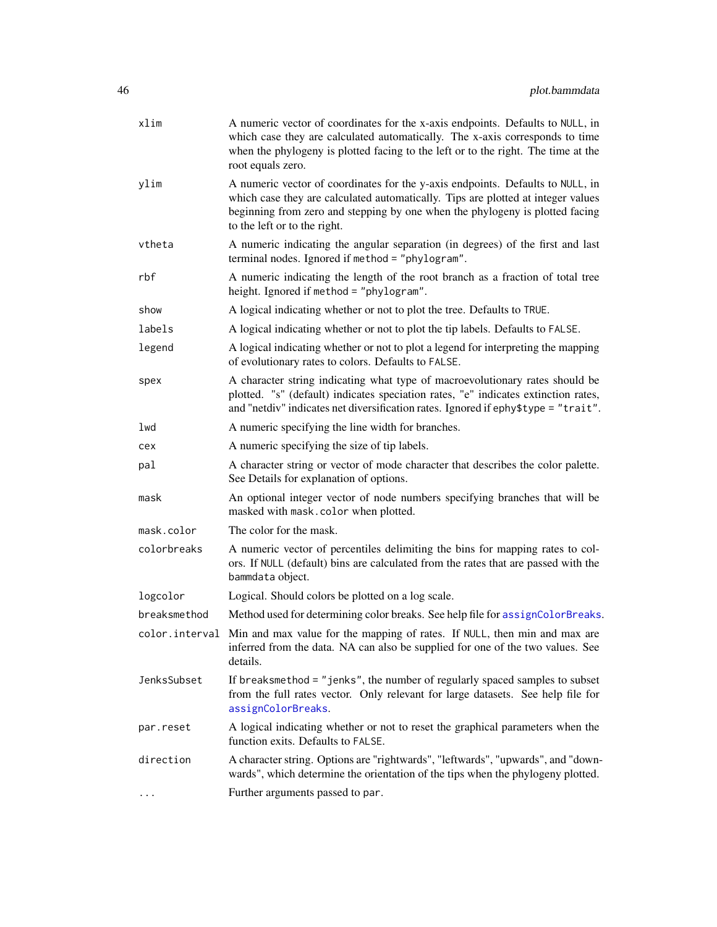| xlim           | A numeric vector of coordinates for the x-axis endpoints. Defaults to NULL, in<br>which case they are calculated automatically. The x-axis corresponds to time<br>when the phylogeny is plotted facing to the left or to the right. The time at the<br>root equals zero.           |
|----------------|------------------------------------------------------------------------------------------------------------------------------------------------------------------------------------------------------------------------------------------------------------------------------------|
| ylim           | A numeric vector of coordinates for the y-axis endpoints. Defaults to NULL, in<br>which case they are calculated automatically. Tips are plotted at integer values<br>beginning from zero and stepping by one when the phylogeny is plotted facing<br>to the left or to the right. |
| vtheta         | A numeric indicating the angular separation (in degrees) of the first and last<br>terminal nodes. Ignored if method = "phylogram".                                                                                                                                                 |
| rbf            | A numeric indicating the length of the root branch as a fraction of total tree<br>height. Ignored if method = "phylogram".                                                                                                                                                         |
| show           | A logical indicating whether or not to plot the tree. Defaults to TRUE.                                                                                                                                                                                                            |
| labels         | A logical indicating whether or not to plot the tip labels. Defaults to FALSE.                                                                                                                                                                                                     |
| legend         | A logical indicating whether or not to plot a legend for interpreting the mapping<br>of evolutionary rates to colors. Defaults to FALSE.                                                                                                                                           |
| spex           | A character string indicating what type of macroevolutionary rates should be<br>plotted. "s" (default) indicates speciation rates, "e" indicates extinction rates,<br>and "netdiv" indicates net diversification rates. Ignored if ephy\$type = "trait".                           |
| lwd            | A numeric specifying the line width for branches.                                                                                                                                                                                                                                  |
| cex            | A numeric specifying the size of tip labels.                                                                                                                                                                                                                                       |
| pal            | A character string or vector of mode character that describes the color palette.<br>See Details for explanation of options.                                                                                                                                                        |
| mask           | An optional integer vector of node numbers specifying branches that will be<br>masked with mask.color when plotted.                                                                                                                                                                |
| mask.color     | The color for the mask.                                                                                                                                                                                                                                                            |
| colorbreaks    | A numeric vector of percentiles delimiting the bins for mapping rates to col-<br>ors. If NULL (default) bins are calculated from the rates that are passed with the<br>bammdata object.                                                                                            |
| logcolor       | Logical. Should colors be plotted on a log scale.                                                                                                                                                                                                                                  |
| breaksmethod   | Method used for determining color breaks. See help file for assignColorBreaks.                                                                                                                                                                                                     |
| color.interval | Min and max value for the mapping of rates. If NULL, then min and max are<br>inferred from the data. NA can also be supplied for one of the two values. See<br>details.                                                                                                            |
| JenksSubset    | If breaksmethod = "jenks", the number of regularly spaced samples to subset<br>from the full rates vector. Only relevant for large datasets. See help file for<br>assignColorBreaks.                                                                                               |
| par.reset      | A logical indicating whether or not to reset the graphical parameters when the<br>function exits. Defaults to FALSE.                                                                                                                                                               |
| direction      | A character string. Options are "rightwards", "leftwards", "upwards", and "down-<br>wards", which determine the orientation of the tips when the phylogeny plotted.                                                                                                                |
| .              | Further arguments passed to par.                                                                                                                                                                                                                                                   |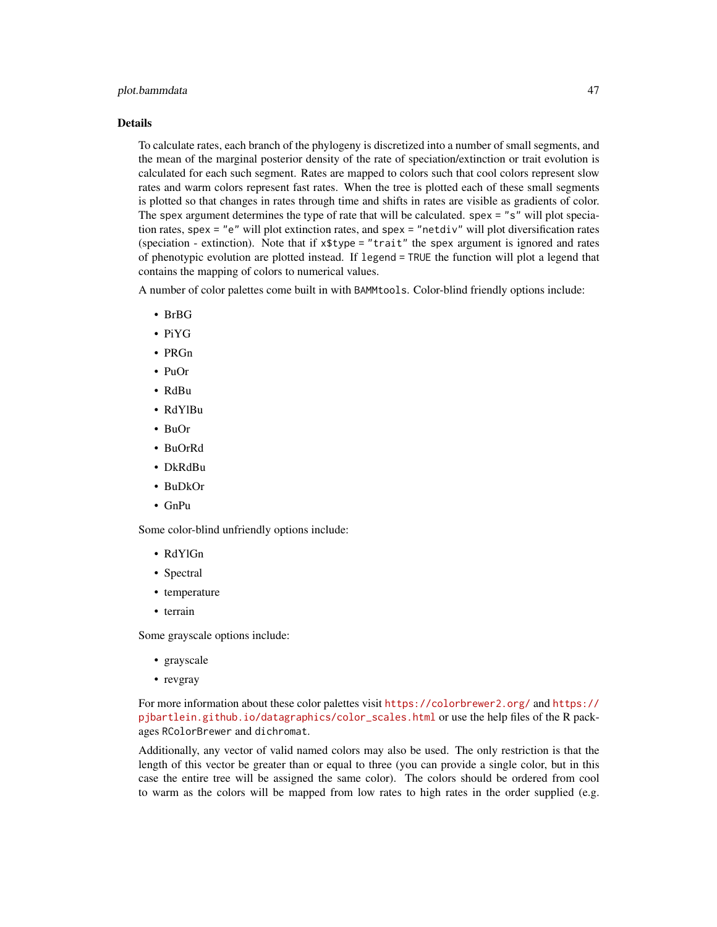## plot.bammdata 47

#### Details

To calculate rates, each branch of the phylogeny is discretized into a number of small segments, and the mean of the marginal posterior density of the rate of speciation/extinction or trait evolution is calculated for each such segment. Rates are mapped to colors such that cool colors represent slow rates and warm colors represent fast rates. When the tree is plotted each of these small segments is plotted so that changes in rates through time and shifts in rates are visible as gradients of color. The spex argument determines the type of rate that will be calculated. spex = "s" will plot speciation rates, spex = "e" will plot extinction rates, and spex = "netdiv" will plot diversification rates (speciation - extinction). Note that if  $x\$ {type} = "trait" the spex argument is ignored and rates of phenotypic evolution are plotted instead. If legend = TRUE the function will plot a legend that contains the mapping of colors to numerical values.

A number of color palettes come built in with BAMMtools. Color-blind friendly options include:

- BrBG
- PiYG
- PRGn
- PuOr
- RdBu
- RdYlBu
- BuOr
- BuOrRd
- DkRdBu
- BuDkOr
- GnPu

Some color-blind unfriendly options include:

- RdYlGn
- Spectral
- temperature
- terrain

Some grayscale options include:

- grayscale
- revgray

For more information about these color palettes visit <https://colorbrewer2.org/> and [https://](https://pjbartlein.github.io/datagraphics/color_scales.html) [pjbartlein.github.io/datagraphics/color\\_scales.html](https://pjbartlein.github.io/datagraphics/color_scales.html) or use the help files of the R packages RColorBrewer and dichromat.

Additionally, any vector of valid named colors may also be used. The only restriction is that the length of this vector be greater than or equal to three (you can provide a single color, but in this case the entire tree will be assigned the same color). The colors should be ordered from cool to warm as the colors will be mapped from low rates to high rates in the order supplied (e.g.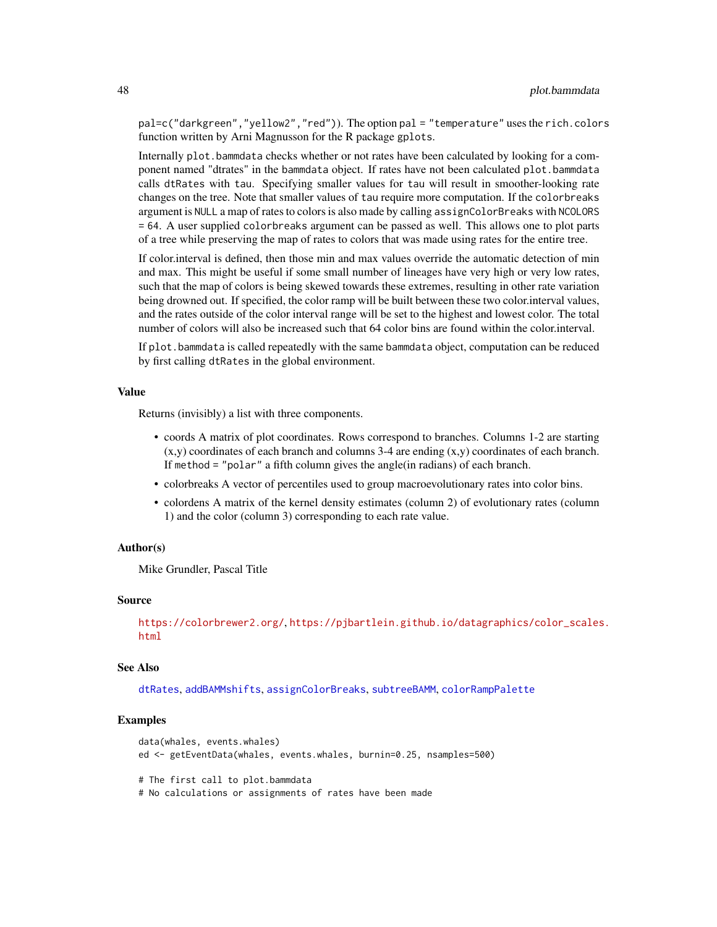pal=c("darkgreen","yellow2","red")). The option pal = "temperature" uses the rich.colors function written by Arni Magnusson for the R package gplots.

Internally plot.bammdata checks whether or not rates have been calculated by looking for a component named "dtrates" in the bammdata object. If rates have not been calculated plot.bammdata calls dtRates with tau. Specifying smaller values for tau will result in smoother-looking rate changes on the tree. Note that smaller values of tau require more computation. If the colorbreaks argument is NULL a map of rates to colors is also made by calling assignColorBreaks with NCOLORS = 64. A user supplied colorbreaks argument can be passed as well. This allows one to plot parts of a tree while preserving the map of rates to colors that was made using rates for the entire tree.

If color.interval is defined, then those min and max values override the automatic detection of min and max. This might be useful if some small number of lineages have very high or very low rates, such that the map of colors is being skewed towards these extremes, resulting in other rate variation being drowned out. If specified, the color ramp will be built between these two color.interval values, and the rates outside of the color interval range will be set to the highest and lowest color. The total number of colors will also be increased such that 64 color bins are found within the color.interval.

If plot.bammdata is called repeatedly with the same bammdata object, computation can be reduced by first calling dtRates in the global environment.

### Value

Returns (invisibly) a list with three components.

- coords A matrix of plot coordinates. Rows correspond to branches. Columns 1-2 are starting  $(x,y)$  coordinates of each branch and columns 3-4 are ending  $(x,y)$  coordinates of each branch. If method = "polar" a fifth column gives the angle(in radians) of each branch.
- colorbreaks A vector of percentiles used to group macroevolutionary rates into color bins.
- colordens A matrix of the kernel density estimates (column 2) of evolutionary rates (column 1) and the color (column 3) corresponding to each rate value.

## Author(s)

Mike Grundler, Pascal Title

# Source

```
https://colorbrewer2.org/, https://pjbartlein.github.io/datagraphics/color_scales.
html
```
### See Also

[dtRates](#page-21-0), [addBAMMshifts](#page-4-0), [assignColorBreaks](#page-5-0), [subtreeBAMM](#page-66-0), [colorRampPalette](#page-0-0)

```
data(whales, events.whales)
ed <- getEventData(whales, events.whales, burnin=0.25, nsamples=500)
# The first call to plot.bammdata
# No calculations or assignments of rates have been made
```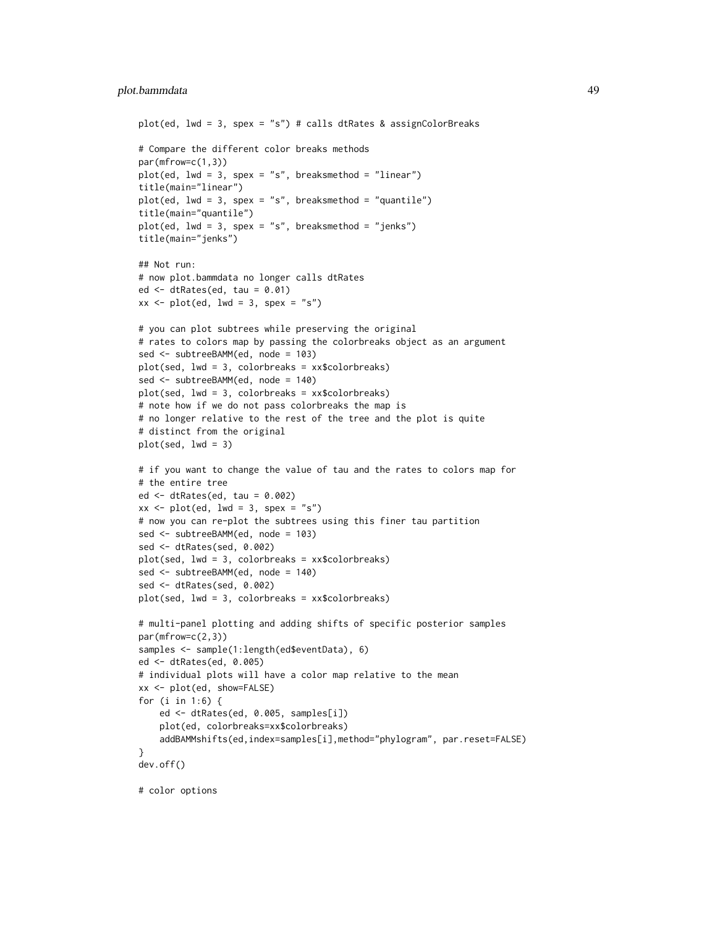## plot.bammdata 49

```
plot(ed, lwd = 3, spex = "s") # calls dtRates & assignColorBreaks
# Compare the different color breaks methods
par(mfrow=c(1,3))
plot(ed, lwd = 3, spex = "s", breaksmethod = "linear")title(main="linear")
plot(ed, lwd = 3, spex = "s", breaksmethod = "quantile")title(main="quantile")
plot(ed, lwd = 3, spec = "s", breaksmethod = "jenks")title(main="jenks")
## Not run:
# now plot.bammdata no longer calls dtRates
ed \leq dtRates(ed, tau = 0.01)
xx \le plot(ed, lwd = 3, spex = "s")
# you can plot subtrees while preserving the original
# rates to colors map by passing the colorbreaks object as an argument
sed <- subtreeBAMM(ed, node = 103)
plot(sed, lwd = 3, colorbreaks = xx$colorbreaks)
sed <- subtreeBAMM(ed, node = 140)
plot(sed, lwd = 3, colorbreaks = xx$colorbreaks)
# note how if we do not pass colorbreaks the map is
# no longer relative to the rest of the tree and the plot is quite
# distinct from the original
plot(sed, lwd = 3)
# if you want to change the value of tau and the rates to colors map for
# the entire tree
ed <- dtRates(ed, tau = 0.002)
xx \le - plot(ed, lwd = 3, spex = "s")
# now you can re-plot the subtrees using this finer tau partition
sed <- subtreeBAMM(ed, node = 103)
sed <- dtRates(sed, 0.002)
plot(sed, lwd = 3, colorbreaks = xx$colorbreaks)
sed <- subtreeBAMM(ed, node = 140)
sed <- dtRates(sed, 0.002)
plot(sed, lwd = 3, colorbreaks = xx$colorbreaks)
# multi-panel plotting and adding shifts of specific posterior samples
par(mfrow=c(2,3))
samples <- sample(1:length(ed$eventData), 6)
ed <- dtRates(ed, 0.005)
# individual plots will have a color map relative to the mean
xx <- plot(ed, show=FALSE)
for (i in 1:6) {
    ed <- dtRates(ed, 0.005, samples[i])
    plot(ed, colorbreaks=xx$colorbreaks)
    addBAMMshifts(ed,index=samples[i],method="phylogram", par.reset=FALSE)
}
dev.off()
# color options
```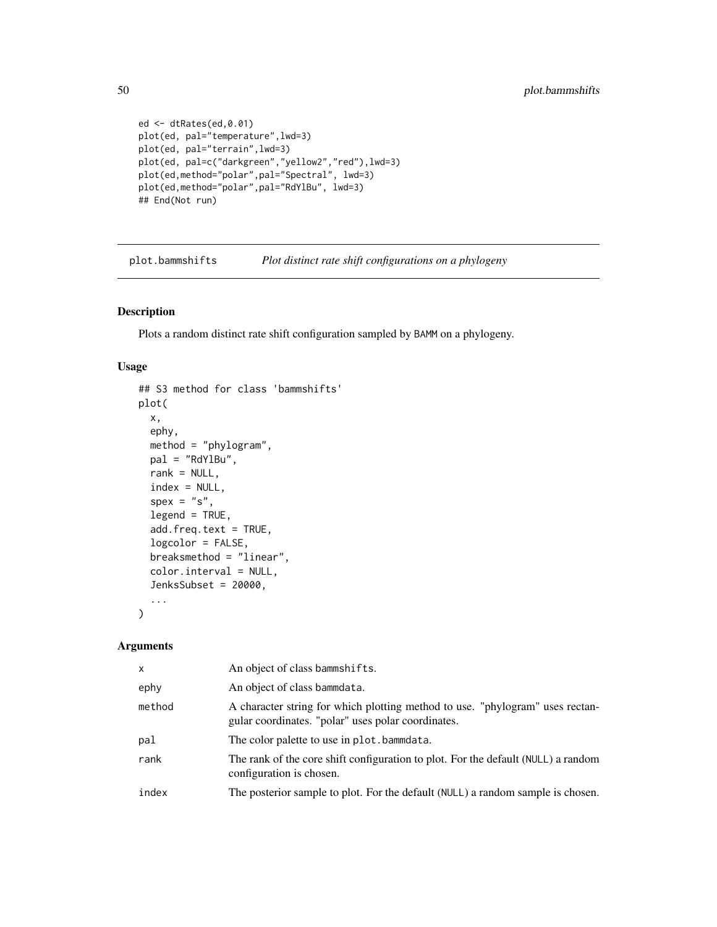```
ed <- dtRates(ed,0.01)
plot(ed, pal="temperature",lwd=3)
plot(ed, pal="terrain",lwd=3)
plot(ed, pal=c("darkgreen","yellow2","red"),lwd=3)
plot(ed,method="polar",pal="Spectral", lwd=3)
plot(ed,method="polar",pal="RdYlBu", lwd=3)
## End(Not run)
```
<span id="page-49-0"></span>plot.bammshifts *Plot distinct rate shift configurations on a phylogeny*

## Description

Plots a random distinct rate shift configuration sampled by BAMM on a phylogeny.

## Usage

```
## S3 method for class 'bammshifts'
plot(
  x,
  ephy,
 method = "phylogram",
 pal = "RdYlBu",
  rank = NULL,index = NULL,
  spec = "s",legend = TRUE,
  add.freq.text = TRUE,
  logcolor = FALSE,
  breaksmethod = "linear",
  color.interval = NULL,
  JenksSubset = 20000,
  ...
)
```

| x      | An object of class bammshifts.                                                                                                      |
|--------|-------------------------------------------------------------------------------------------------------------------------------------|
| ephy   | An object of class bammdata.                                                                                                        |
| method | A character string for which plotting method to use. "phylogram" uses rectan-<br>gular coordinates. "polar" uses polar coordinates. |
| pal    | The color palette to use in plot.bammdata.                                                                                          |
| rank   | The rank of the core shift configuration to plot. For the default (NULL) a random<br>configuration is chosen.                       |
| index  | The posterior sample to plot. For the default (NULL) a random sample is chosen.                                                     |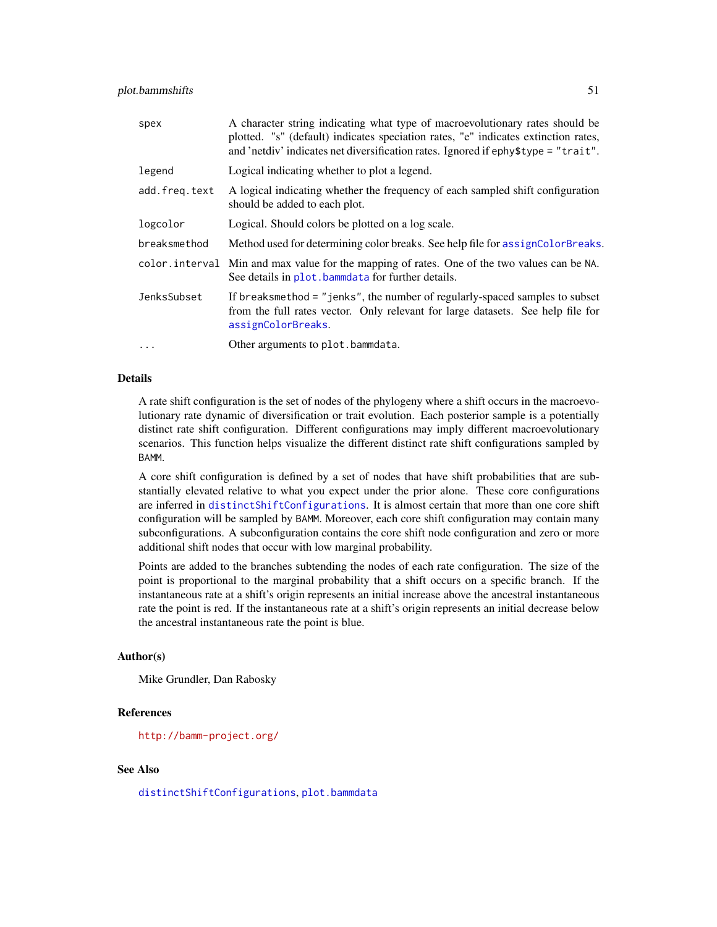| spex          | A character string indicating what type of macroevolutionary rates should be<br>plotted. "s" (default) indicates speciation rates, "e" indicates extinction rates,<br>and 'netdiv' indicates net diversification rates. Ignored if ephy\$type = "trait". |
|---------------|----------------------------------------------------------------------------------------------------------------------------------------------------------------------------------------------------------------------------------------------------------|
| legend        | Logical indicating whether to plot a legend.                                                                                                                                                                                                             |
| add.freq.text | A logical indicating whether the frequency of each sampled shift configuration<br>should be added to each plot.                                                                                                                                          |
| logcolor      | Logical. Should colors be plotted on a log scale.                                                                                                                                                                                                        |
| breaksmethod  | Method used for determining color breaks. See help file for assign Color Breaks.                                                                                                                                                                         |
|               | color interval Min and max value for the mapping of rates. One of the two values can be NA.<br>See details in plot, bammedata for further details.                                                                                                       |
| JenksSubset   | If breaksmethod $=$ "jenks", the number of regularly-spaced samples to subset<br>from the full rates vector. Only relevant for large datasets. See help file for<br>assignColorBreaks.                                                                   |
| $\cdots$      | Other arguments to plot.bammdata.                                                                                                                                                                                                                        |

A rate shift configuration is the set of nodes of the phylogeny where a shift occurs in the macroevolutionary rate dynamic of diversification or trait evolution. Each posterior sample is a potentially distinct rate shift configuration. Different configurations may imply different macroevolutionary scenarios. This function helps visualize the different distinct rate shift configurations sampled by BAMM.

A core shift configuration is defined by a set of nodes that have shift probabilities that are substantially elevated relative to what you expect under the prior alone. These core configurations are inferred in [distinctShiftConfigurations](#page-19-0). It is almost certain that more than one core shift configuration will be sampled by BAMM. Moreover, each core shift configuration may contain many subconfigurations. A subconfiguration contains the core shift node configuration and zero or more additional shift nodes that occur with low marginal probability.

Points are added to the branches subtending the nodes of each rate configuration. The size of the point is proportional to the marginal probability that a shift occurs on a specific branch. If the instantaneous rate at a shift's origin represents an initial increase above the ancestral instantaneous rate the point is red. If the instantaneous rate at a shift's origin represents an initial decrease below the ancestral instantaneous rate the point is blue.

### Author(s)

Mike Grundler, Dan Rabosky

### References

<http://bamm-project.org/>

## See Also

[distinctShiftConfigurations](#page-19-0), [plot.bammdata](#page-44-0)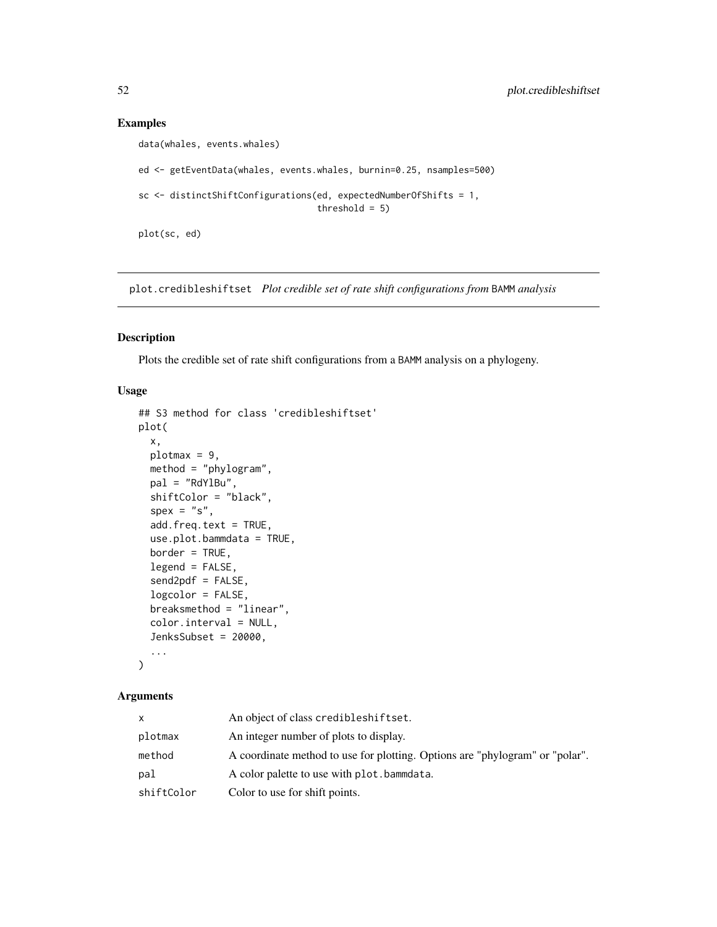# Examples

```
data(whales, events.whales)
ed <- getEventData(whales, events.whales, burnin=0.25, nsamples=500)
sc <- distinctShiftConfigurations(ed, expectedNumberOfShifts = 1,
                                  threshold = 5)
plot(sc, ed)
```
plot.credibleshiftset *Plot credible set of rate shift configurations from* BAMM *analysis*

# Description

Plots the credible set of rate shift configurations from a BAMM analysis on a phylogeny.

## Usage

```
## S3 method for class 'credibleshiftset'
plot(
 x,
 plotmax = 9,
 method = "phylogram",
 pal = "RdYlBu",
  shiftColor = "black",
  spec = "s",add.freq.text = TRUE,
  use.plot.bammdata = TRUE,
  border = TRUE,legend = FALSE,
  send2pdf = FALSE,
  logcolor = FALSE,
  breaksmethod = "linear",
  color.interval = NULL,
  JenksSubset = 20000,
  ...
)
```

|            | An object of class credibleshiftset.                                         |
|------------|------------------------------------------------------------------------------|
| plotmax    | An integer number of plots to display.                                       |
| method     | A coordinate method to use for plotting. Options are "phylogram" or "polar". |
| pal        | A color palette to use with plot.bammdata.                                   |
| shiftColor | Color to use for shift points.                                               |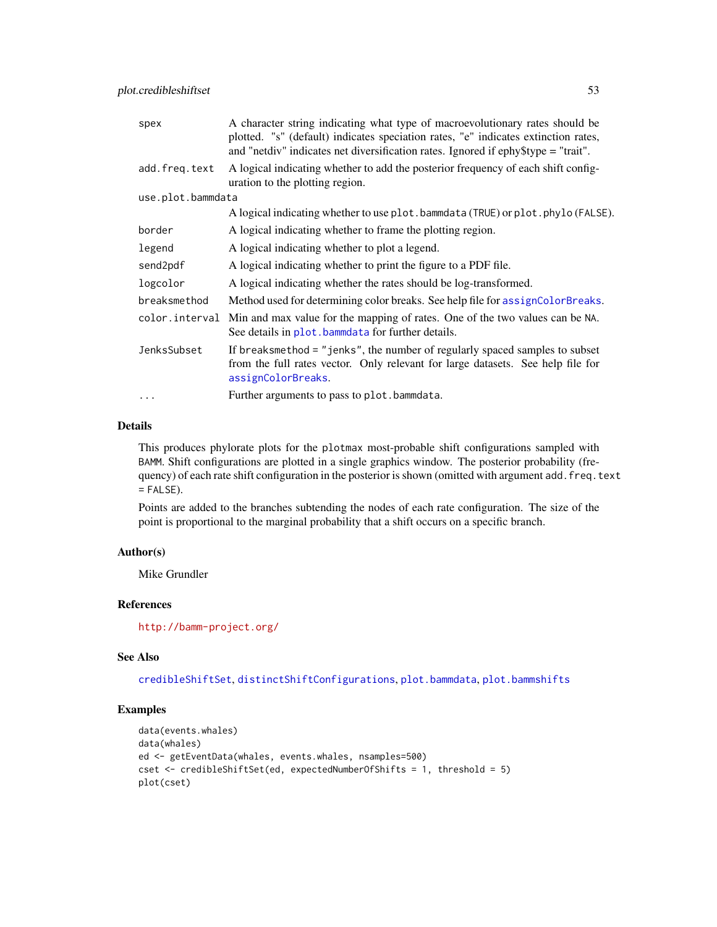| spex              | A character string indicating what type of macroevolutionary rates should be<br>plotted. "s" (default) indicates speciation rates, "e" indicates extinction rates,<br>and "netdiv" indicates net diversification rates. Ignored if ephy\$type = "trait". |
|-------------------|----------------------------------------------------------------------------------------------------------------------------------------------------------------------------------------------------------------------------------------------------------|
| add.freq.text     | A logical indicating whether to add the posterior frequency of each shift config-<br>uration to the plotting region.                                                                                                                                     |
| use.plot.bammdata |                                                                                                                                                                                                                                                          |
|                   | A logical indicating whether to use plot. bammdata (TRUE) or plot. phylo (FALSE).                                                                                                                                                                        |
| border            | A logical indicating whether to frame the plotting region.                                                                                                                                                                                               |
| legend            | A logical indicating whether to plot a legend.                                                                                                                                                                                                           |
| send2pdf          | A logical indicating whether to print the figure to a PDF file.                                                                                                                                                                                          |
| logcolor          | A logical indicating whether the rates should be log-transformed.                                                                                                                                                                                        |
| breaksmethod      | Method used for determining color breaks. See help file for assignColorBreaks.                                                                                                                                                                           |
| color.interval    | Min and max value for the mapping of rates. One of the two values can be NA.<br>See details in plot. bammedata for further details.                                                                                                                      |
| JenksSubset       | If breaksmethod = "jenks", the number of regularly spaced samples to subset<br>from the full rates vector. Only relevant for large datasets. See help file for<br>assignColorBreaks.                                                                     |
| .                 | Further arguments to pass to plot.bammdata.                                                                                                                                                                                                              |

This produces phylorate plots for the plotmax most-probable shift configurations sampled with BAMM. Shift configurations are plotted in a single graphics window. The posterior probability (frequency) of each rate shift configuration in the posterior is shown (omitted with argument add. freq.text  $=$  FALSE).

Points are added to the branches subtending the nodes of each rate configuration. The size of the point is proportional to the marginal probability that a shift occurs on a specific branch.

# Author(s)

Mike Grundler

# References

<http://bamm-project.org/>

### See Also

[credibleShiftSet](#page-14-0), [distinctShiftConfigurations](#page-19-0), [plot.bammdata](#page-44-0), [plot.bammshifts](#page-49-0)

```
data(events.whales)
data(whales)
ed <- getEventData(whales, events.whales, nsamples=500)
cset <- credibleShiftSet(ed, expectedNumberOfShifts = 1, threshold = 5)
plot(cset)
```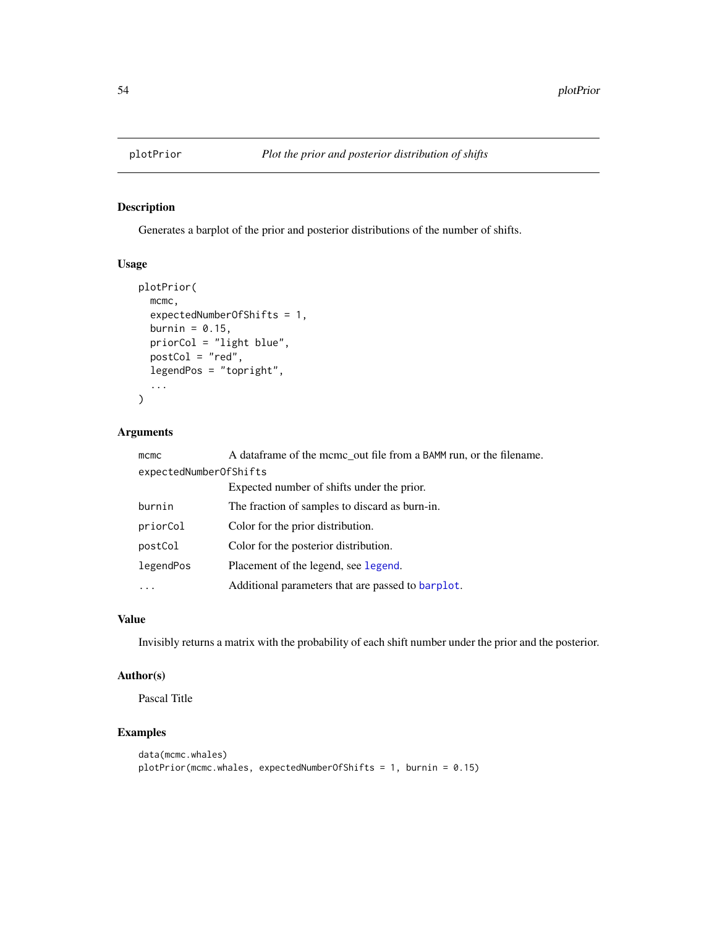# Description

Generates a barplot of the prior and posterior distributions of the number of shifts.

# Usage

```
plotPrior(
 mcmc,
  expectedNumberOfShifts = 1,
 burnin = 0.15,
 priorCol = "light blue",
 postCol = "red",
  legendPos = "topright",
  ...
\mathcal{L}
```
# Arguments

| mcmc                   | A dataframe of the mcmc_out file from a BAMM run, or the filename. |
|------------------------|--------------------------------------------------------------------|
| expectedNumberOfShifts |                                                                    |
|                        | Expected number of shifts under the prior.                         |
| burnin                 | The fraction of samples to discard as burn-in.                     |
| priorCol               | Color for the prior distribution.                                  |
| postCol                | Color for the posterior distribution.                              |
| legendPos              | Placement of the legend, see legend.                               |
|                        | Additional parameters that are passed to barplot.                  |

# Value

Invisibly returns a matrix with the probability of each shift number under the prior and the posterior.

# Author(s)

Pascal Title

```
data(mcmc.whales)
plotPrior(mcmc.whales, expectedNumberOfShifts = 1, burnin = 0.15)
```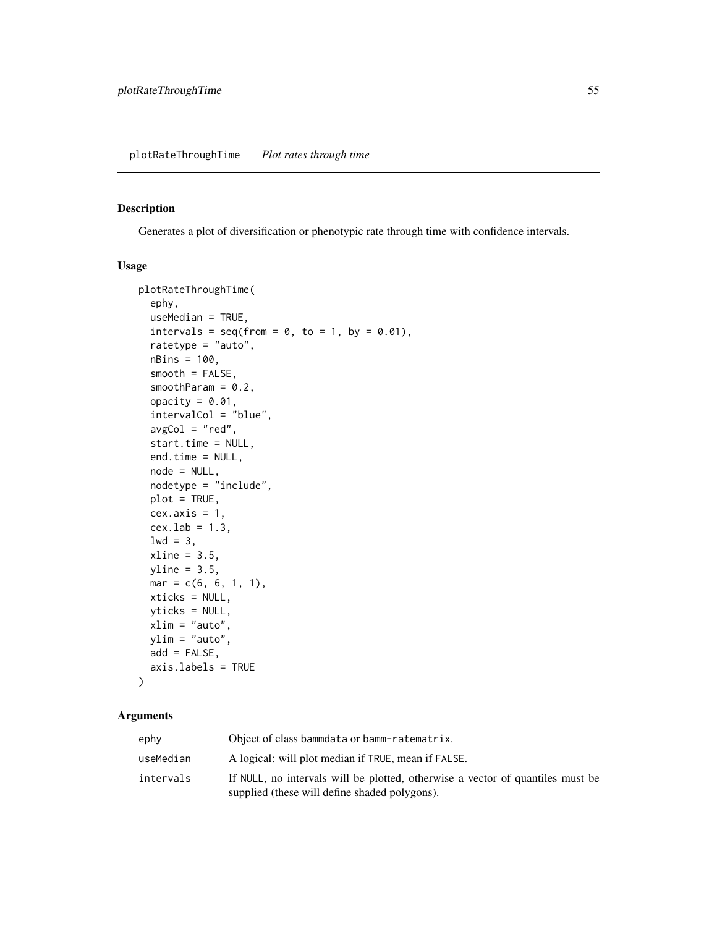### <span id="page-54-0"></span>Description

Generates a plot of diversification or phenotypic rate through time with confidence intervals.

## Usage

```
plotRateThroughTime(
  ephy,
  useMedian = TRUE,
  intervals = seq(from = 0, to = 1, by = 0.01),
  ratetype = "auto",
  nBins = 100,
  smooth = FALSE,
  smoothParam = 0.2,
  opacity = 0.01,intervalCol = "blue",
  avgCol = "red",start.time = NULL,
  end.time = NULL,
  node = NULL,
  nodetype = "include",
 plot = TRUE,
  cex. axis = 1,cex.1ab = 1.3,
  1wd = 3,
  xline = 3.5,
 yline = 3.5,
 mar = c(6, 6, 1, 1),xticks = NULL,
 yticks = NULL,
 xlim = "auto",ylim = "auto",
 add = FALSE,axis.labels = TRUE
```
# )

| ephy      | Object of class bammdata or bamm-ratematrix.                                                                                    |
|-----------|---------------------------------------------------------------------------------------------------------------------------------|
| useMedian | A logical: will plot median if TRUE, mean if FALSE.                                                                             |
| intervals | If NULL, no intervals will be plotted, otherwise a vector of quantiles must be<br>supplied (these will define shaded polygons). |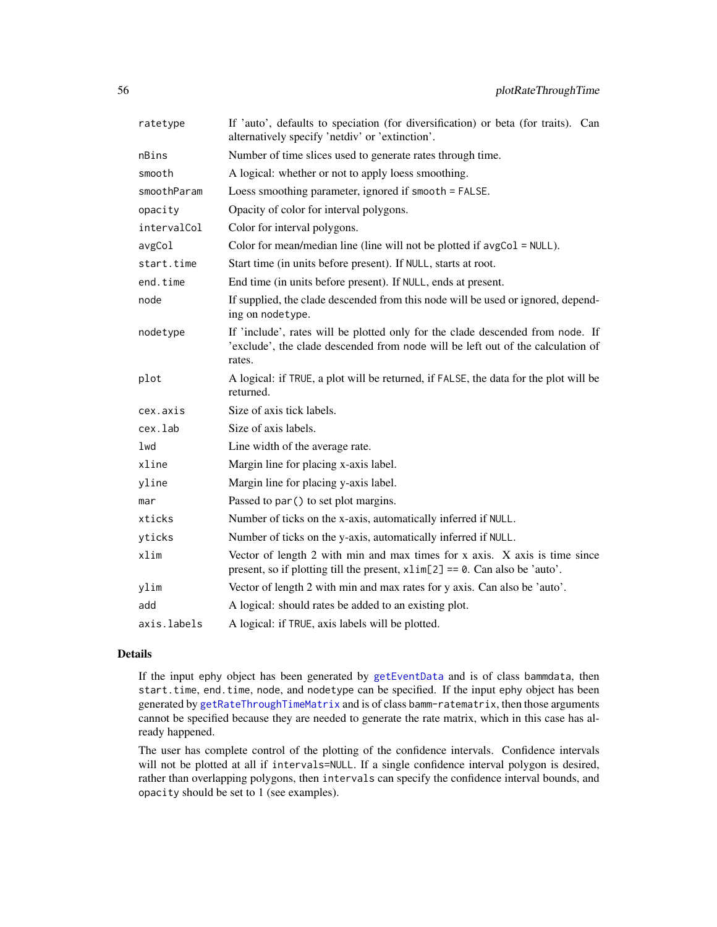| ratetype    | If 'auto', defaults to speciation (for diversification) or beta (for traits). Can<br>alternatively specify 'netdiv' or 'extinction'.                                        |
|-------------|-----------------------------------------------------------------------------------------------------------------------------------------------------------------------------|
| nBins       | Number of time slices used to generate rates through time.                                                                                                                  |
| smooth      | A logical: whether or not to apply loess smoothing.                                                                                                                         |
| smoothParam | Loess smoothing parameter, ignored if smooth = FALSE.                                                                                                                       |
| opacity     | Opacity of color for interval polygons.                                                                                                                                     |
| intervalCol | Color for interval polygons.                                                                                                                                                |
| avgCol      | Color for mean/median line (line will not be plotted if $avgCol = NULL$ ).                                                                                                  |
| start.time  | Start time (in units before present). If NULL, starts at root.                                                                                                              |
| end.time    | End time (in units before present). If NULL, ends at present.                                                                                                               |
| node        | If supplied, the clade descended from this node will be used or ignored, depend-<br>ing on nodetype.                                                                        |
| nodetype    | If 'include', rates will be plotted only for the clade descended from node. If<br>'exclude', the clade descended from node will be left out of the calculation of<br>rates. |
| plot        | A logical: if TRUE, a plot will be returned, if FALSE, the data for the plot will be<br>returned.                                                                           |
| cex.axis    | Size of axis tick labels.                                                                                                                                                   |
| cex.lab     | Size of axis labels.                                                                                                                                                        |
| lwd         | Line width of the average rate.                                                                                                                                             |
| xline       | Margin line for placing x-axis label.                                                                                                                                       |
| yline       | Margin line for placing y-axis label.                                                                                                                                       |
| mar         | Passed to par () to set plot margins.                                                                                                                                       |
| xticks      | Number of ticks on the x-axis, automatically inferred if NULL.                                                                                                              |
| yticks      | Number of ticks on the y-axis, automatically inferred if NULL.                                                                                                              |
| xlim        | Vector of length $2$ with min and max times for $x$ axis. $X$ axis is time since<br>present, so if plotting till the present, $x \lim[2] == 0$ . Can also be 'auto'.        |
| ylim        | Vector of length 2 with min and max rates for y axis. Can also be 'auto'.                                                                                                   |
| add         | A logical: should rates be added to an existing plot.                                                                                                                       |
| axis.labels | A logical: if TRUE, axis labels will be plotted.                                                                                                                            |

If the input ephy object has been generated by [getEventData](#page-29-0) and is of class bammdata, then start.time, end.time, node, and nodetype can be specified. If the input ephy object has been generated by [getRateThroughTimeMatrix](#page-36-0) and is of class bamm-ratematrix, then those arguments cannot be specified because they are needed to generate the rate matrix, which in this case has already happened.

The user has complete control of the plotting of the confidence intervals. Confidence intervals will not be plotted at all if intervals=NULL. If a single confidence interval polygon is desired, rather than overlapping polygons, then intervals can specify the confidence interval bounds, and opacity should be set to 1 (see examples).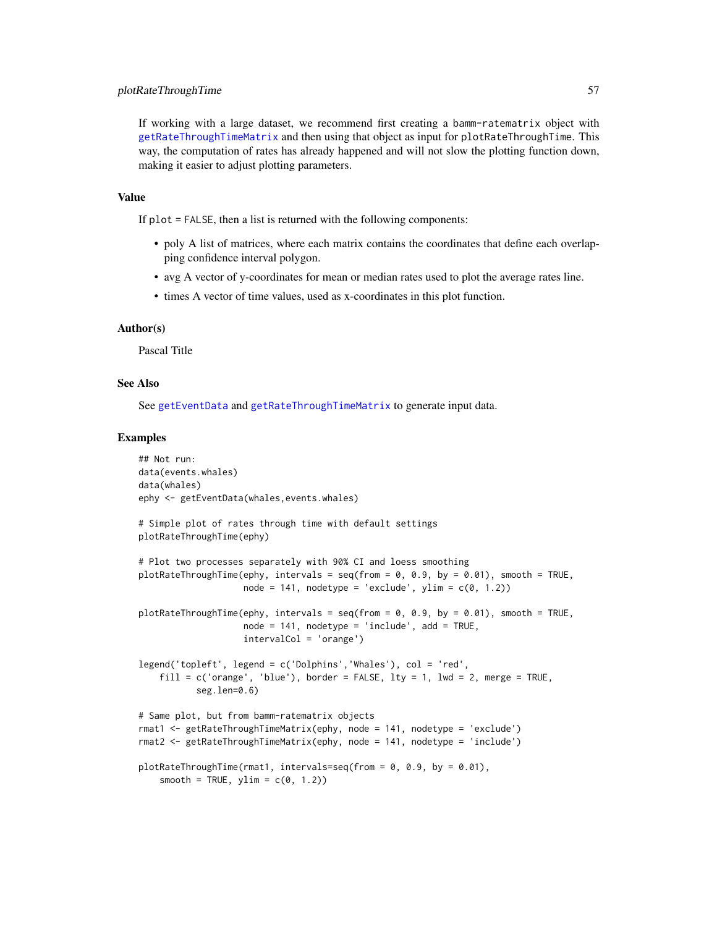If working with a large dataset, we recommend first creating a bamm-ratematrix object with [getRateThroughTimeMatrix](#page-36-0) and then using that object as input for plotRateThroughTime. This way, the computation of rates has already happened and will not slow the plotting function down, making it easier to adjust plotting parameters.

### Value

If plot = FALSE, then a list is returned with the following components:

- poly A list of matrices, where each matrix contains the coordinates that define each overlapping confidence interval polygon.
- avg A vector of y-coordinates for mean or median rates used to plot the average rates line.
- times A vector of time values, used as x-coordinates in this plot function.

### Author(s)

Pascal Title

# See Also

See [getEventData](#page-29-0) and [getRateThroughTimeMatrix](#page-36-0) to generate input data.

```
## Not run:
data(events.whales)
data(whales)
ephy <- getEventData(whales,events.whales)
# Simple plot of rates through time with default settings
plotRateThroughTime(ephy)
# Plot two processes separately with 90% CI and loess smoothing
plotRateThroughTime(ephy, intervals = seq(from = 0, 0.9, by = 0.01), smooth = TRUE,
                    node = 141, nodetype = 'exclude', ylim = c(\theta, 1.2))
plotRateThroughTime(ephy, intervals = seq(from = 0, 0.9, by = 0.01), smooth = TRUE,
                    node = 141, nodetype = 'include', add = TRUE,
                    intervalCol = 'orange')
legend('topleft', legend = c('Dolphins','Whales'), col = 'red',
    fill = c('orange', 'blue'), border = FALSE, lty = 1, lwd = 2, merge = TRUE,seg.len=0.6)
# Same plot, but from bamm-ratematrix objects
rmat1 <- getRateThroughTimeMatrix(ephy, node = 141, nodetype = 'exclude')
rmat2 <- getRateThroughTimeMatrix(ephy, node = 141, nodetype = 'include')
plotRateThroughTime(rmat1, intervals=seq(from = 0, 0.9, by = 0.01),
    smooth = TRUE, ylim = c(0, 1.2)
```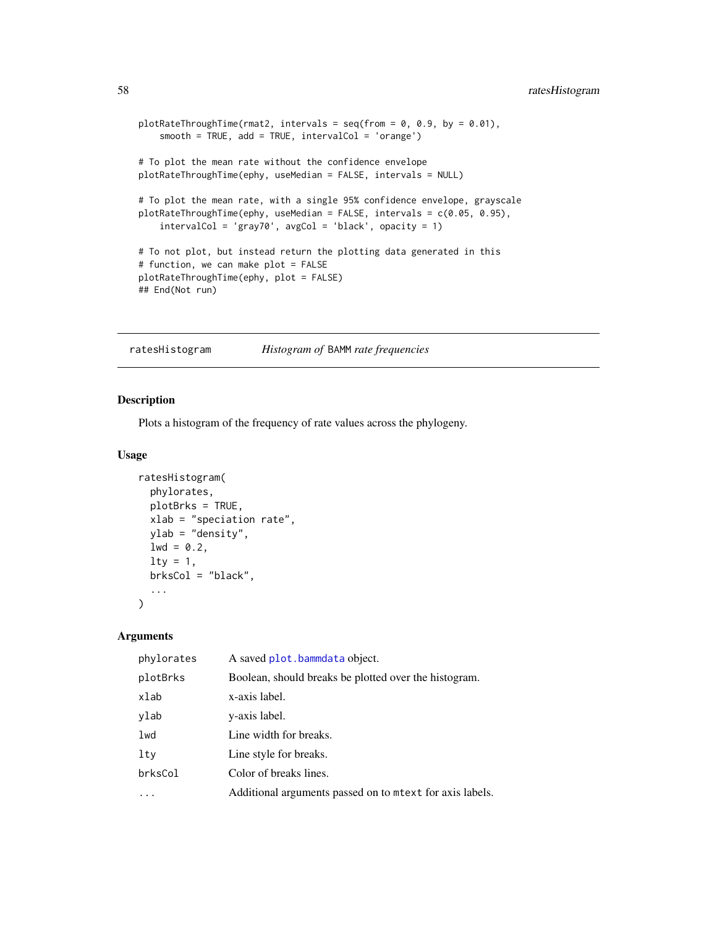```
plotRateThroughTime(rmat2, intervals = seq(from = 0, 0.9, by = 0.01),
    smooth = TRUE, add = TRUE, intervalCol = 'orange')
# To plot the mean rate without the confidence envelope
plotRateThroughTime(ephy, useMedian = FALSE, intervals = NULL)
# To plot the mean rate, with a single 95% confidence envelope, grayscale
plotRateThroughTime(ephy, useMedian = FALSE, intervals = c(0.05, 0.95),
    intervalCol = 'gray70', avgCol = 'black', opacity = 1)# To not plot, but instead return the plotting data generated in this
# function, we can make plot = FALSE
plotRateThroughTime(ephy, plot = FALSE)
## End(Not run)
```
ratesHistogram *Histogram of* BAMM *rate frequencies*

# Description

Plots a histogram of the frequency of rate values across the phylogeny.

### Usage

```
ratesHistogram(
 phylorates,
 plotBrks = TRUE,
 xlab = "speciation rate",
 ylab = "density",
 1wd = 0.2,
 \frac{1}{1}brksCol = "black",
  ...
)
```

| phylorates | A saved plot.bammdata object.                           |
|------------|---------------------------------------------------------|
| plotBrks   | Boolean, should breaks be plotted over the histogram.   |
| xlab       | x-axis label.                                           |
| ylab       | y-axis label.                                           |
| lwd        | Line width for breaks.                                  |
| lty        | Line style for breaks.                                  |
| brksCol    | Color of breaks lines.                                  |
|            | Additional arguments passed on to metx for axis labels. |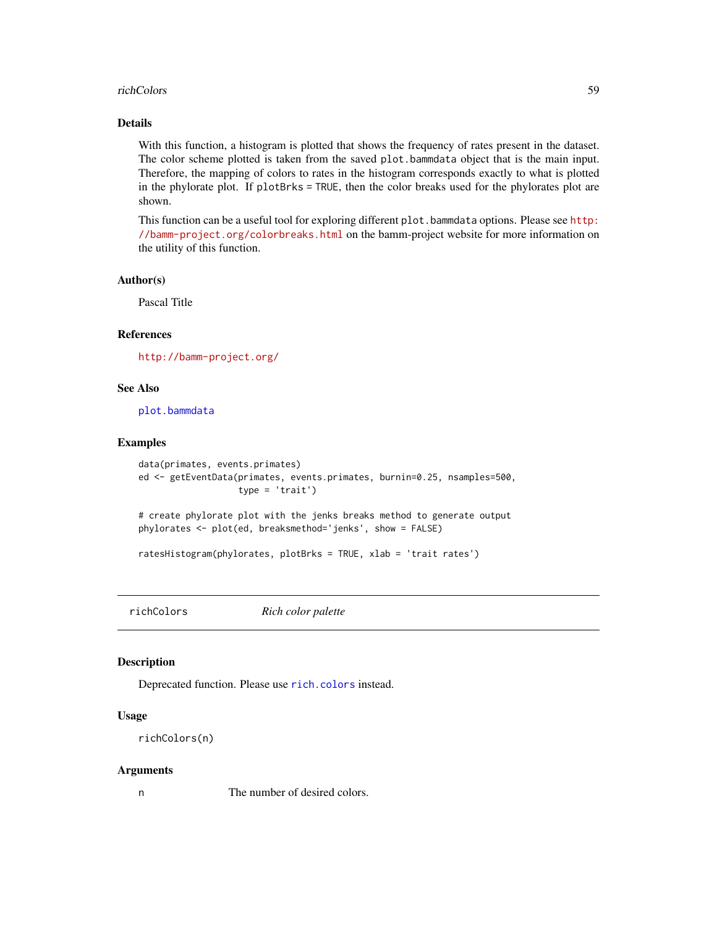#### richColors 59

# Details

With this function, a histogram is plotted that shows the frequency of rates present in the dataset. The color scheme plotted is taken from the saved plot.bammdata object that is the main input. Therefore, the mapping of colors to rates in the histogram corresponds exactly to what is plotted in the phylorate plot. If plotBrks = TRUE, then the color breaks used for the phylorates plot are shown.

This function can be a useful tool for exploring different plot.bammdata options. Please see [http:](http://bamm-project.org/colorbreaks.html) [//bamm-project.org/colorbreaks.html](http://bamm-project.org/colorbreaks.html) on the bamm-project website for more information on the utility of this function.

#### Author(s)

Pascal Title

# References

<http://bamm-project.org/>

### See Also

[plot.bammdata](#page-44-0)

# Examples

```
data(primates, events.primates)
ed <- getEventData(primates, events.primates, burnin=0.25, nsamples=500,
                   type = 'trait')
```
# create phylorate plot with the jenks breaks method to generate output phylorates <- plot(ed, breaksmethod='jenks', show = FALSE)

ratesHistogram(phylorates, plotBrks = TRUE, xlab = 'trait rates')

richColors *Rich color palette*

### Description

Deprecated function. Please use [rich.colors](#page-0-0) instead.

### Usage

```
richColors(n)
```
#### Arguments

n The number of desired colors.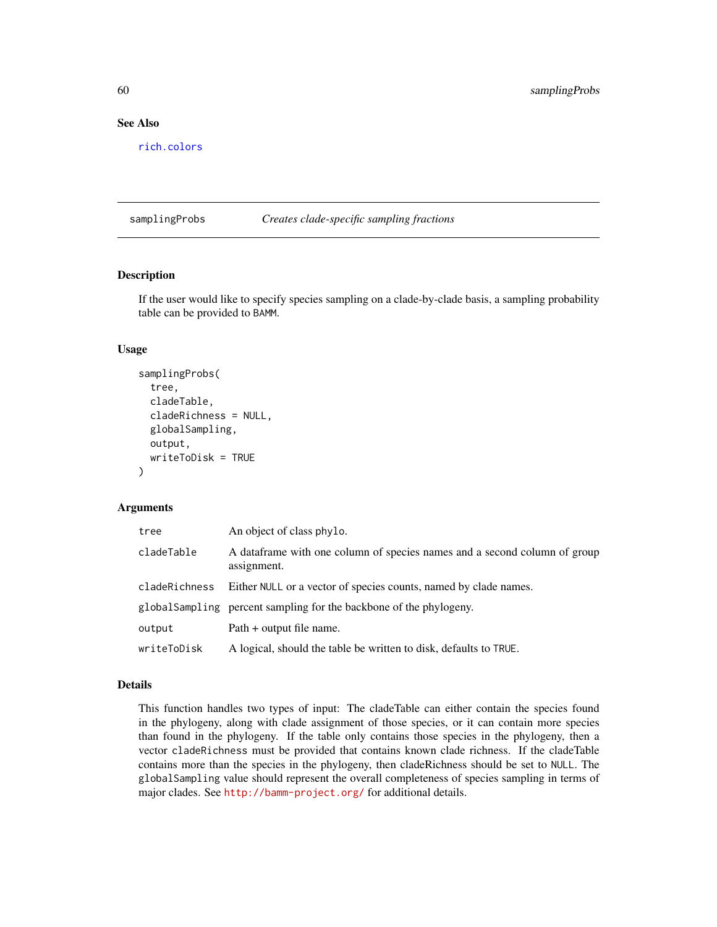# See Also

[rich.colors](#page-0-0)

samplingProbs *Creates clade-specific sampling fractions*

# Description

If the user would like to specify species sampling on a clade-by-clade basis, a sampling probability table can be provided to BAMM.

### Usage

```
samplingProbs(
  tree,
  cladeTable,
  cladeRichness = NULL,
  globalSampling,
 output,
 writeToDisk = TRUE
)
```
## Arguments

| tree          | An object of class phylo.                                                                |
|---------------|------------------------------------------------------------------------------------------|
| cladeTable    | A dataframe with one column of species names and a second column of group<br>assignment. |
| cladeRichness | Either NULL or a vector of species counts, named by clade names.                         |
|               | globalSampling percent sampling for the backbone of the phylogeny.                       |
| output        | Path + output file name.                                                                 |
| writeToDisk   | A logical, should the table be written to disk, defaults to TRUE.                        |

# Details

This function handles two types of input: The cladeTable can either contain the species found in the phylogeny, along with clade assignment of those species, or it can contain more species than found in the phylogeny. If the table only contains those species in the phylogeny, then a vector cladeRichness must be provided that contains known clade richness. If the cladeTable contains more than the species in the phylogeny, then cladeRichness should be set to NULL. The globalSampling value should represent the overall completeness of species sampling in terms of major clades. See <http://bamm-project.org/> for additional details.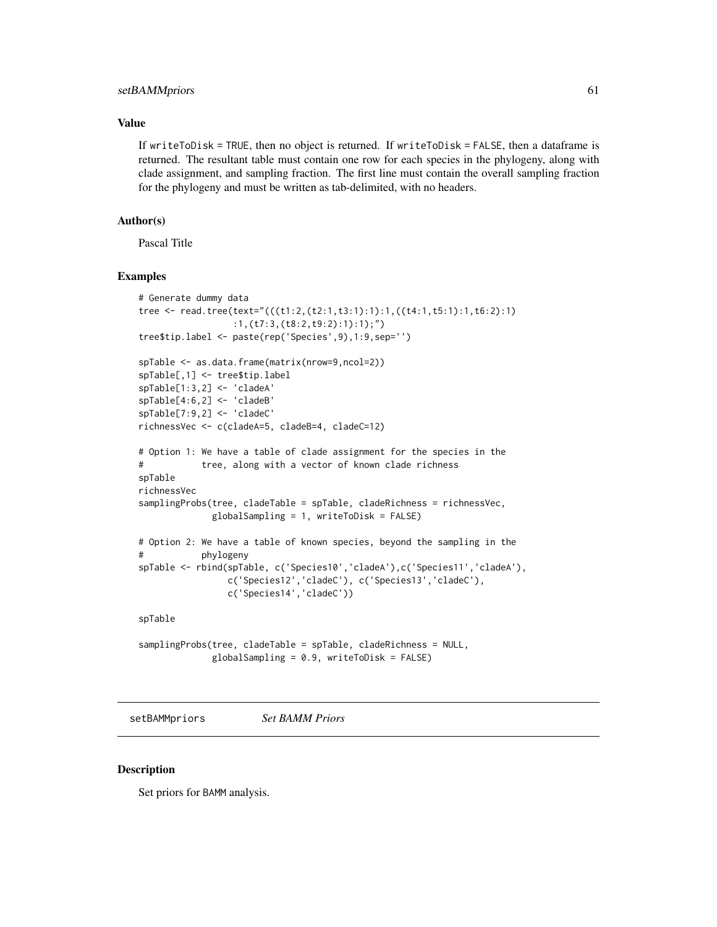### setBAMMpriors 61

## Value

If writeToDisk = TRUE, then no object is returned. If writeToDisk = FALSE, then a dataframe is returned. The resultant table must contain one row for each species in the phylogeny, along with clade assignment, and sampling fraction. The first line must contain the overall sampling fraction for the phylogeny and must be written as tab-delimited, with no headers.

## Author(s)

Pascal Title

# Examples

```
# Generate dummy data
tree <- read.tree(text="(((t1:2,(t2:1,t3:1):1):1,((t4:1,t5:1):1,t6:2):1)
                  :1,(t7:3,(t8:2,t9:2):1):1);")
tree$tip.label <- paste(rep('Species',9),1:9,sep='')
spTable <- as.data.frame(matrix(nrow=9,ncol=2))
spTable[,1] <- tree$tip.label
spTable[1:3,2] <- 'cladeA'
spTable[4:6,2] <- 'cladeB'
spTable[7:9,2] <- 'cladeC'
richnessVec <- c(cladeA=5, cladeB=4, cladeC=12)
# Option 1: We have a table of clade assignment for the species in the
# tree, along with a vector of known clade richness
spTable
richnessVec
samplingProbs(tree, cladeTable = spTable, cladeRichness = richnessVec,
             globalSampling = 1, writeToDisk = FALSE)
# Option 2: We have a table of known species, beyond the sampling in the
# phylogeny
spTable <- rbind(spTable, c('Species10','cladeA'),c('Species11','cladeA'),
                c('Species12','cladeC'), c('Species13','cladeC'),
                c('Species14','cladeC'))
spTable
samplingProbs(tree, cladeTable = spTable, cladeRichness = NULL,
              globalSampling = 0.9, writeToDisk = FALSE)
```
setBAMMpriors *Set BAMM Priors*

#### Description

Set priors for BAMM analysis.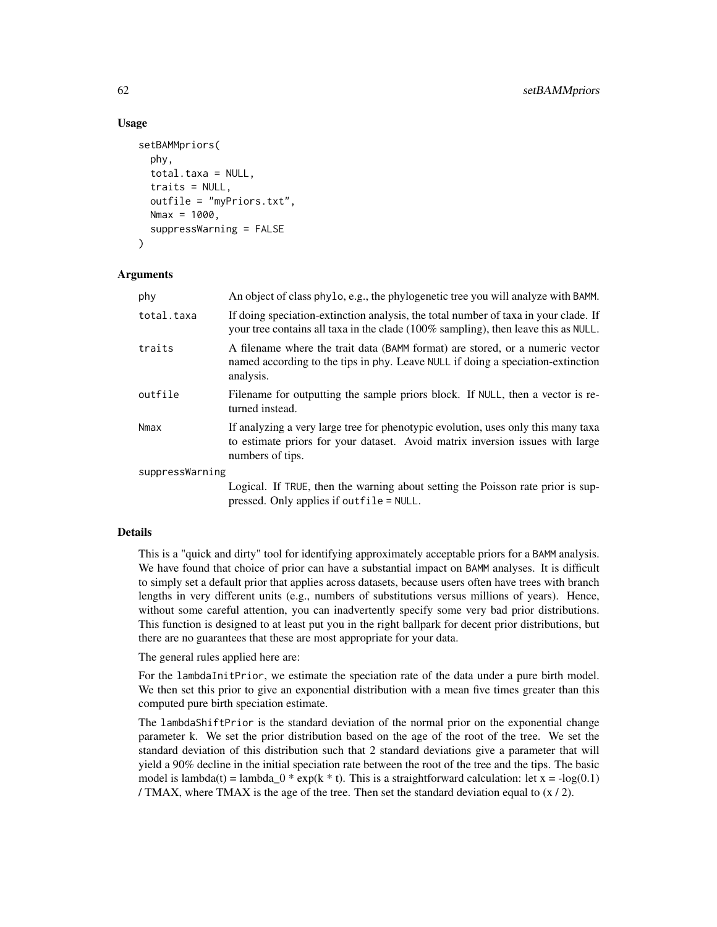### Usage

```
setBAMMpriors(
 phy,
  total.taxa = NULL,
  traits = NULL,
  outfile = "myPriors.txt",
 Nmax = 1000,
  suppressWarning = FALSE
)
```
#### Arguments

| phy             | An object of class phylo, e.g., the phylogenetic tree you will analyze with BAMM.                                                                                                      |
|-----------------|----------------------------------------------------------------------------------------------------------------------------------------------------------------------------------------|
| total.taxa      | If doing speciation-extinction analysis, the total number of taxa in your clade. If<br>your tree contains all taxa in the clade (100% sampling), then leave this as NULL.              |
| traits          | A filename where the trait data (BAMM format) are stored, or a numeric vector<br>named according to the tips in phy. Leave NULL if doing a speciation-extinction<br>analysis.          |
| outfile         | Filename for outputting the sample priors block. If NULL, then a vector is re-<br>turned instead.                                                                                      |
| Nmax            | If analyzing a very large tree for phenotypic evolution, uses only this many taxa<br>to estimate priors for your dataset. Avoid matrix inversion issues with large<br>numbers of tips. |
| suppressWarning |                                                                                                                                                                                        |
|                 | Logical If TPUE then the warning about setting the Poisson rate prior is sup-                                                                                                          |

Logical. If TRUE, then the warning about setting the Poisson rate prior is suppressed. Only applies if outfile = NULL.

### Details

This is a "quick and dirty" tool for identifying approximately acceptable priors for a BAMM analysis. We have found that choice of prior can have a substantial impact on BAMM analyses. It is difficult to simply set a default prior that applies across datasets, because users often have trees with branch lengths in very different units (e.g., numbers of substitutions versus millions of years). Hence, without some careful attention, you can inadvertently specify some very bad prior distributions. This function is designed to at least put you in the right ballpark for decent prior distributions, but there are no guarantees that these are most appropriate for your data.

# The general rules applied here are:

For the lambdaInitPrior, we estimate the speciation rate of the data under a pure birth model. We then set this prior to give an exponential distribution with a mean five times greater than this computed pure birth speciation estimate.

The lambdaShiftPrior is the standard deviation of the normal prior on the exponential change parameter k. We set the prior distribution based on the age of the root of the tree. We set the standard deviation of this distribution such that 2 standard deviations give a parameter that will yield a 90% decline in the initial speciation rate between the root of the tree and the tips. The basic model is lambda(t) = lambda\_0  $*$  exp(k  $*$  t). This is a straightforward calculation: let x = -log(0.1) / TMAX, where TMAX is the age of the tree. Then set the standard deviation equal to  $(x / 2)$ .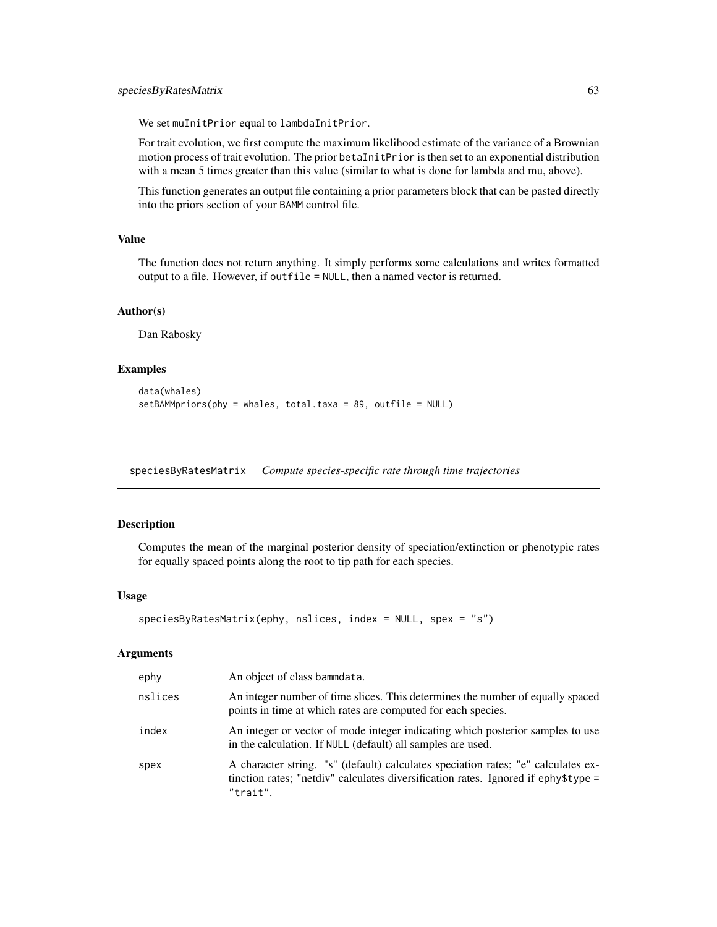We set muInitPrior equal to lambdaInitPrior.

For trait evolution, we first compute the maximum likelihood estimate of the variance of a Brownian motion process of trait evolution. The prior betaInitPrior is then set to an exponential distribution with a mean 5 times greater than this value (similar to what is done for lambda and mu, above).

This function generates an output file containing a prior parameters block that can be pasted directly into the priors section of your BAMM control file.

# Value

The function does not return anything. It simply performs some calculations and writes formatted output to a file. However, if outfile = NULL, then a named vector is returned.

### Author(s)

Dan Rabosky

### Examples

```
data(whales)
setBAMMpriors(phy = whales, total.taxa = 89, outfile = NULL)
```
speciesByRatesMatrix *Compute species-specific rate through time trajectories*

#### Description

Computes the mean of the marginal posterior density of speciation/extinction or phenotypic rates for equally spaced points along the root to tip path for each species.

### Usage

```
speciesByRatesMatrix(ephy, nslices, index = NULL, spex = "s")
```

| ephy    | An object of class bammdata.                                                                                                                                                        |
|---------|-------------------------------------------------------------------------------------------------------------------------------------------------------------------------------------|
| nslices | An integer number of time slices. This determines the number of equally spaced<br>points in time at which rates are computed for each species.                                      |
| index   | An integer or vector of mode integer indicating which posterior samples to use<br>in the calculation. If NULL (default) all samples are used.                                       |
| spex    | A character string. "s" (default) calculates speciation rates; "e" calculates ex-<br>tinction rates; "netdiv" calculates diversification rates. Ignored if ephy\$type =<br>"trait". |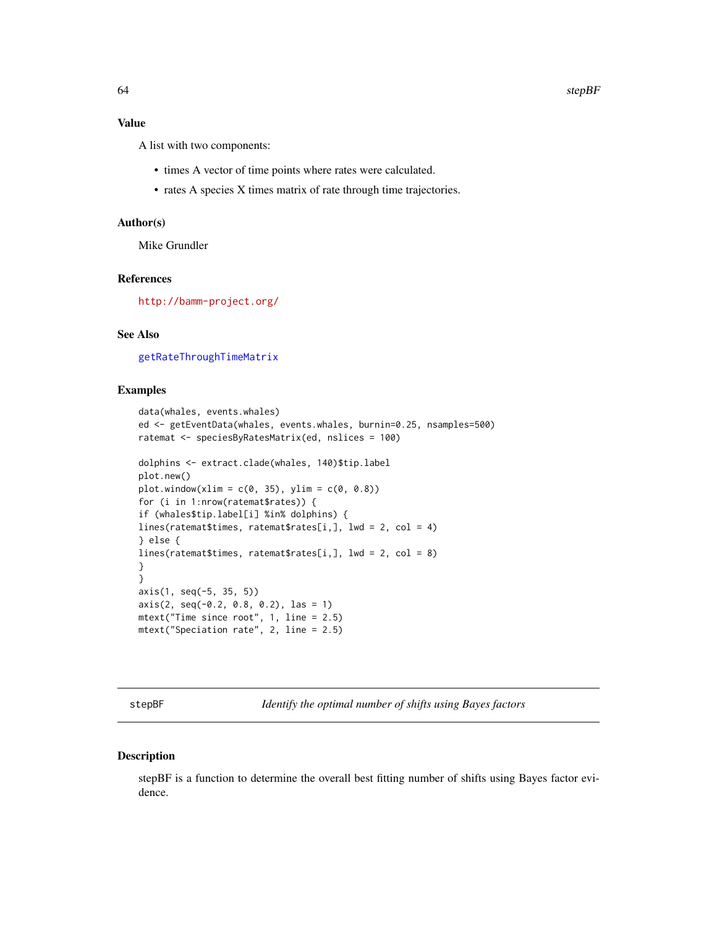### Value

A list with two components:

- times A vector of time points where rates were calculated.
- rates A species X times matrix of rate through time trajectories.

### Author(s)

Mike Grundler

# References

<http://bamm-project.org/>

# See Also

[getRateThroughTimeMatrix](#page-36-0)

### Examples

```
data(whales, events.whales)
ed <- getEventData(whales, events.whales, burnin=0.25, nsamples=500)
ratemat <- speciesByRatesMatrix(ed, nslices = 100)
dolphins <- extract.clade(whales, 140)$tip.label
plot.new()
plot.window(xlim = c(0, 35), ylim = c(0, 0.8))for (i in 1:nrow(ratemat$rates)) {
if (whales$tip.label[i] %in% dolphins) {
lines(ratemat$times, ratemat$rates[i,], lwd = 2, col = 4)
} else {
lines(ratemat$times, ratemat$rates[i,], lwd = 2, col = 8)
}
}
axis(1, seq(-5, 35, 5))
axis(2, seq(-0.2, 0.8, 0.2), las = 1)
mtext("Time since root", 1, line = 2.5)
mtext("Speciation rate", 2, line = 2.5)
```
stepBF *Identify the optimal number of shifts using Bayes factors*

### Description

stepBF is a function to determine the overall best fitting number of shifts using Bayes factor evidence.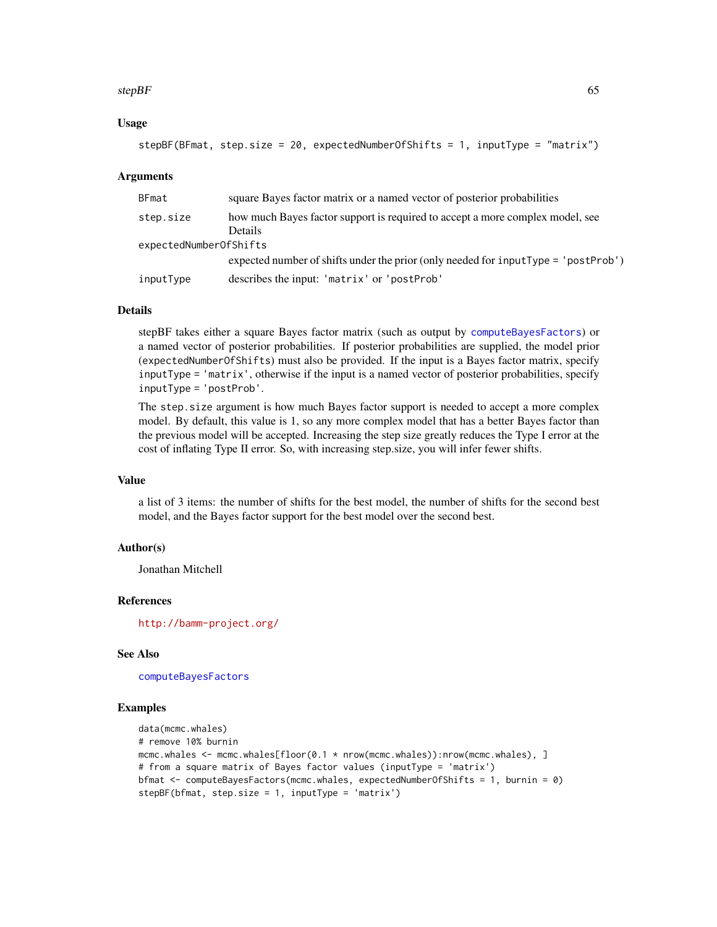### $stepBF$  65

## Usage

```
stepBF(BFmat, step.size = 20, expectedNumberOfShifts = 1, inputType = "matrix")
```
### Arguments

| <b>BFmat</b>           | square Bayes factor matrix or a named vector of posterior probabilities               |
|------------------------|---------------------------------------------------------------------------------------|
| step.size              | how much Bayes factor support is required to accept a more complex model, see         |
|                        | <b>Details</b>                                                                        |
| expectedNumberOfShifts |                                                                                       |
|                        | expected number of shifts under the prior (only needed for $inputType = 'postProb'$ ) |
| inputType              | describes the input: 'matrix' or 'postProb'                                           |

# Details

stepBF takes either a square Bayes factor matrix (such as output by [computeBayesFactors](#page-12-0)) or a named vector of posterior probabilities. If posterior probabilities are supplied, the model prior (expectedNumberOfShifts) must also be provided. If the input is a Bayes factor matrix, specify inputType = 'matrix', otherwise if the input is a named vector of posterior probabilities, specify inputType = 'postProb'.

The step.size argument is how much Bayes factor support is needed to accept a more complex model. By default, this value is 1, so any more complex model that has a better Bayes factor than the previous model will be accepted. Increasing the step size greatly reduces the Type I error at the cost of inflating Type II error. So, with increasing step.size, you will infer fewer shifts.

## Value

a list of 3 items: the number of shifts for the best model, the number of shifts for the second best model, and the Bayes factor support for the best model over the second best.

# Author(s)

Jonathan Mitchell

# References

<http://bamm-project.org/>

## See Also

[computeBayesFactors](#page-12-0)

```
data(mcmc.whales)
# remove 10% burnin
mcmc.whales <- mcmc.whales[floor(0.1 * nrow(mcmc.whales)):nrow(mcmc.whales), ]
# from a square matrix of Bayes factor values (inputType = 'matrix')
bfmat <- computeBayesFactors(mcmc.whales, expectedNumberOfShifts = 1, burnin = 0)
stepBF(bfmat, step.size = 1, inputType = 'matrix')
```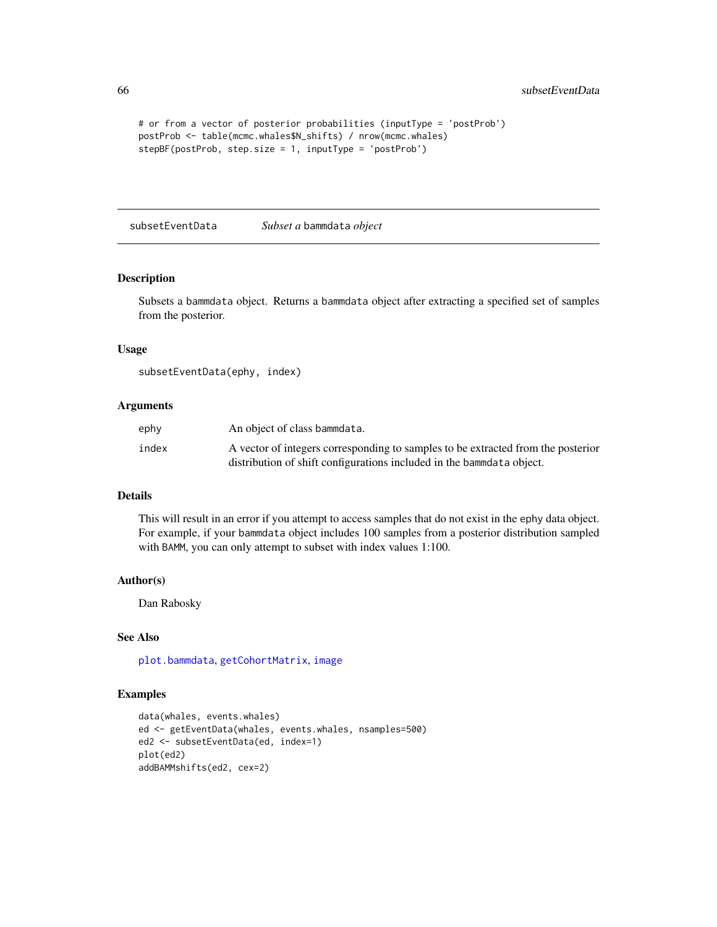```
# or from a vector of posterior probabilities (inputType = 'postProb')
postProb <- table(mcmc.whales$N_shifts) / nrow(mcmc.whales)
stepBF(postProb, step.size = 1, inputType = 'postProb')
```
subsetEventData *Subset a* bammdata *object*

#### Description

Subsets a bammdata object. Returns a bammdata object after extracting a specified set of samples from the posterior.

#### Usage

subsetEventData(ephy, index)

# Arguments

| ephy  | An object of class bammdata.                                                     |
|-------|----------------------------------------------------------------------------------|
| index | A vector of integers corresponding to samples to be extracted from the posterior |
|       | distribution of shift configurations included in the bammedata object.           |

## Details

This will result in an error if you attempt to access samples that do not exist in the ephy data object. For example, if your bammdata object includes 100 samples from a posterior distribution sampled with BAMM, you can only attempt to subset with index values 1:100.

#### Author(s)

Dan Rabosky

## See Also

[plot.bammdata](#page-44-0), [getCohortMatrix](#page-28-0), [image](#page-0-0)

```
data(whales, events.whales)
ed <- getEventData(whales, events.whales, nsamples=500)
ed2 <- subsetEventData(ed, index=1)
plot(ed2)
addBAMMshifts(ed2, cex=2)
```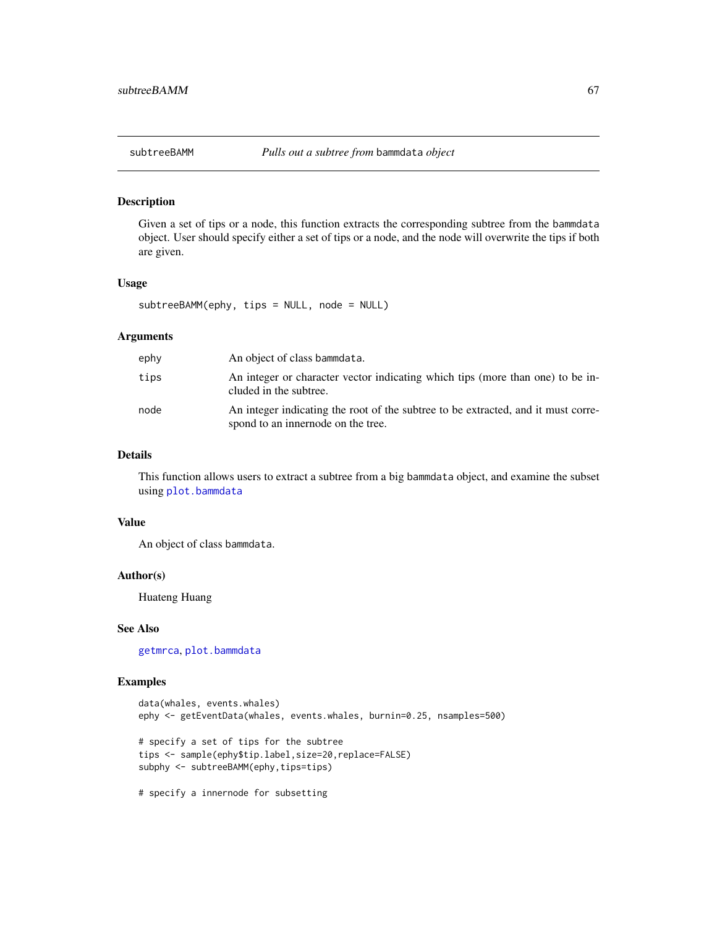<span id="page-66-0"></span>

# Description

Given a set of tips or a node, this function extracts the corresponding subtree from the bammdata object. User should specify either a set of tips or a node, and the node will overwrite the tips if both are given.

## Usage

```
subtreeBAMM(ephy, tips = NULL, node = NULL)
```
### Arguments

| ephy | An object of class bammdata.                                                                                            |
|------|-------------------------------------------------------------------------------------------------------------------------|
| tips | An integer or character vector indicating which tips (more than one) to be in-<br>cluded in the subtree.                |
| node | An integer indicating the root of the subtree to be extracted, and it must corre-<br>spond to an innernode on the tree. |

# Details

This function allows users to extract a subtree from a big bammdata object, and examine the subset using [plot.bammdata](#page-44-0)

#### Value

An object of class bammdata.

### Author(s)

Huateng Huang

### See Also

[getmrca](#page-35-0), [plot.bammdata](#page-44-0)

```
data(whales, events.whales)
ephy <- getEventData(whales, events.whales, burnin=0.25, nsamples=500)
# specify a set of tips for the subtree
tips <- sample(ephy$tip.label,size=20,replace=FALSE)
subphy <- subtreeBAMM(ephy,tips=tips)
# specify a innernode for subsetting
```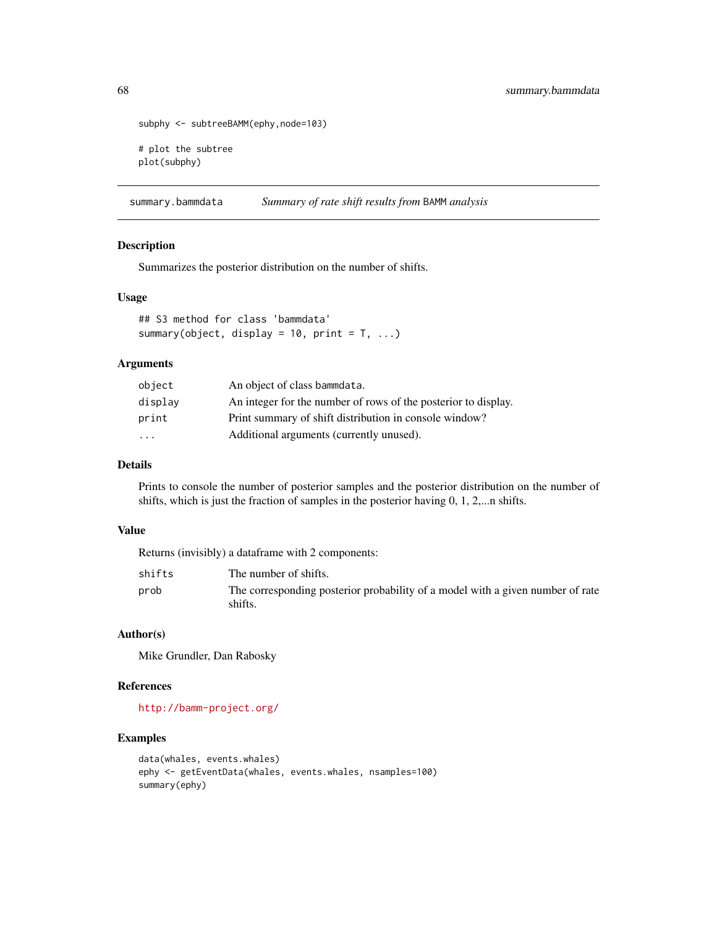```
subphy <- subtreeBAMM(ephy, node=103)
# plot the subtree
plot(subphy)
```
summary.bammdata *Summary of rate shift results from* BAMM *analysis*

## Description

Summarizes the posterior distribution on the number of shifts.

# Usage

```
## S3 method for class 'bammdata'
summary(object, display = 10, print = T, ...)
```
### Arguments

| object                  | An object of class bammdata.                                   |
|-------------------------|----------------------------------------------------------------|
| display                 | An integer for the number of rows of the posterior to display. |
| print                   | Print summary of shift distribution in console window?         |
| $\cdot$ $\cdot$ $\cdot$ | Additional arguments (currently unused).                       |

## Details

Prints to console the number of posterior samples and the posterior distribution on the number of shifts, which is just the fraction of samples in the posterior having 0, 1, 2,...n shifts.

### Value

Returns (invisibly) a dataframe with 2 components:

| shifts | The number of shifts.                                                                     |
|--------|-------------------------------------------------------------------------------------------|
| prob   | The corresponding posterior probability of a model with a given number of rate<br>shifts. |

## Author(s)

Mike Grundler, Dan Rabosky

# References

<http://bamm-project.org/>

```
data(whales, events.whales)
ephy <- getEventData(whales, events.whales, nsamples=100)
summary(ephy)
```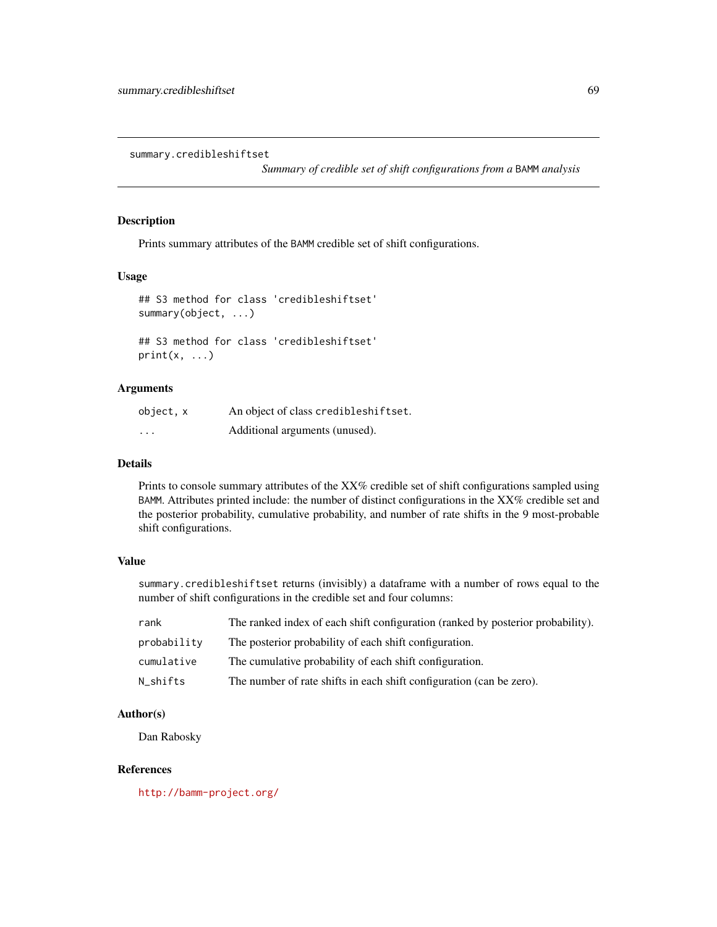summary.credibleshiftset

*Summary of credible set of shift configurations from a* BAMM *analysis*

# Description

Prints summary attributes of the BAMM credible set of shift configurations.

# Usage

```
## S3 method for class 'credibleshiftset'
summary(object, ...)
## S3 method for class 'credibleshiftset'
print(x, \ldots)
```
# Arguments

| object, x | An object of class credibleshiftset. |
|-----------|--------------------------------------|
| $\cdots$  | Additional arguments (unused).       |

#### Details

Prints to console summary attributes of the XX% credible set of shift configurations sampled using BAMM. Attributes printed include: the number of distinct configurations in the XX% credible set and the posterior probability, cumulative probability, and number of rate shifts in the 9 most-probable shift configurations.

# Value

summary.credibleshiftset returns (invisibly) a dataframe with a number of rows equal to the number of shift configurations in the credible set and four columns:

| rank        | The ranked index of each shift configuration (ranked by posterior probability). |
|-------------|---------------------------------------------------------------------------------|
| probability | The posterior probability of each shift configuration.                          |
| cumulative  | The cumulative probability of each shift configuration.                         |
| N shifts    | The number of rate shifts in each shift configuration (can be zero).            |

## Author(s)

Dan Rabosky

### References

<http://bamm-project.org/>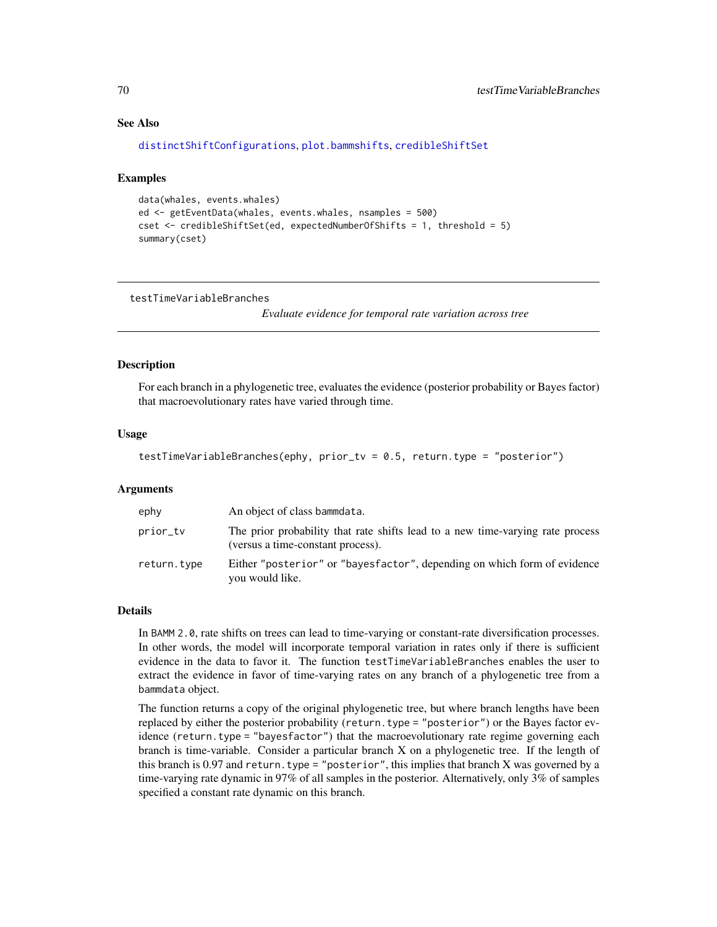# See Also

```
distinctShiftConfigurations, plot.bammshifts, credibleShiftSet
```
#### Examples

```
data(whales, events.whales)
ed <- getEventData(whales, events.whales, nsamples = 500)
cset <- credibleShiftSet(ed, expectedNumberOfShifts = 1, threshold = 5)
summary(cset)
```
testTimeVariableBranches

*Evaluate evidence for temporal rate variation across tree*

### **Description**

For each branch in a phylogenetic tree, evaluates the evidence (posterior probability or Bayes factor) that macroevolutionary rates have varied through time.

#### Usage

```
testTimeVariableBranches(ephy, prior_tv = 0.5, return.type = "posterior")
```
### **Arguments**

| ephy        | An object of class bammdata.                                                                                        |
|-------------|---------------------------------------------------------------------------------------------------------------------|
| prior_tv    | The prior probability that rate shifts lead to a new time-varying rate process<br>(versus a time-constant process). |
| return.type | Either "posterior" or "bayesfactor", depending on which form of evidence<br>you would like.                         |

#### Details

In BAMM 2.0, rate shifts on trees can lead to time-varying or constant-rate diversification processes. In other words, the model will incorporate temporal variation in rates only if there is sufficient evidence in the data to favor it. The function testTimeVariableBranches enables the user to extract the evidence in favor of time-varying rates on any branch of a phylogenetic tree from a bammdata object.

The function returns a copy of the original phylogenetic tree, but where branch lengths have been replaced by either the posterior probability (return.type = "posterior") or the Bayes factor evidence (return.type = "bayesfactor") that the macroevolutionary rate regime governing each branch is time-variable. Consider a particular branch X on a phylogenetic tree. If the length of this branch is 0.97 and return.type = "posterior", this implies that branch X was governed by a time-varying rate dynamic in 97% of all samples in the posterior. Alternatively, only 3% of samples specified a constant rate dynamic on this branch.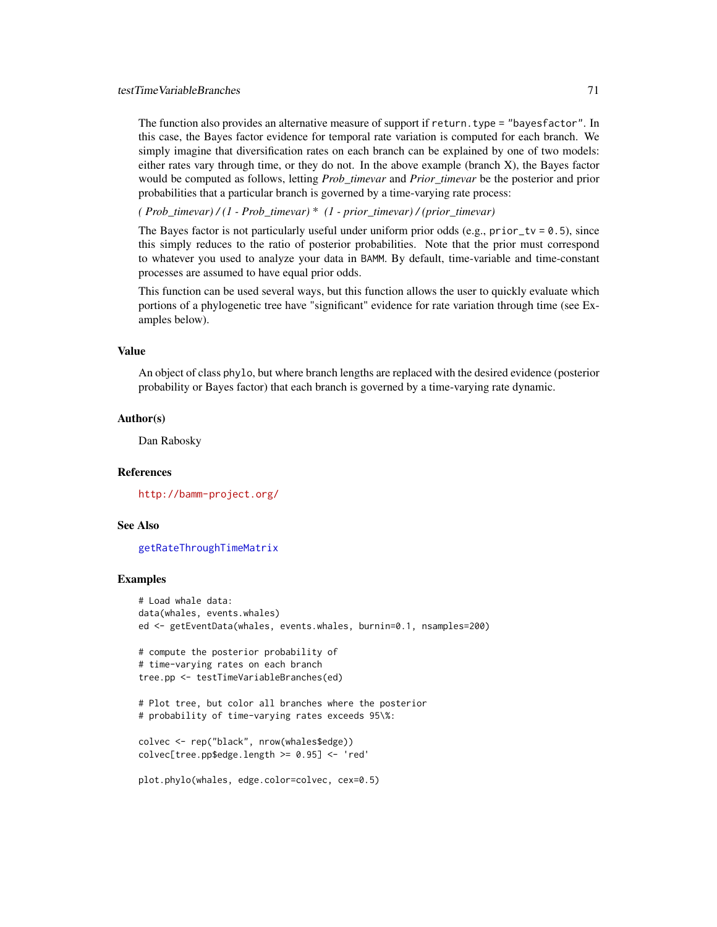## testTimeVariableBranches 71

The function also provides an alternative measure of support if return. type = "bayesfactor". In this case, the Bayes factor evidence for temporal rate variation is computed for each branch. We simply imagine that diversification rates on each branch can be explained by one of two models: either rates vary through time, or they do not. In the above example (branch X), the Bayes factor would be computed as follows, letting *Prob\_timevar* and *Prior\_timevar* be the posterior and prior probabilities that a particular branch is governed by a time-varying rate process:

*( Prob\_timevar) / (1 - Prob\_timevar)* \* *(1 - prior\_timevar) / (prior\_timevar)*

The Bayes factor is not particularly useful under uniform prior odds (e.g., prior\_tv =  $0.5$ ), since this simply reduces to the ratio of posterior probabilities. Note that the prior must correspond to whatever you used to analyze your data in BAMM. By default, time-variable and time-constant processes are assumed to have equal prior odds.

This function can be used several ways, but this function allows the user to quickly evaluate which portions of a phylogenetic tree have "significant" evidence for rate variation through time (see Examples below).

### Value

An object of class phylo, but where branch lengths are replaced with the desired evidence (posterior probability or Bayes factor) that each branch is governed by a time-varying rate dynamic.

### Author(s)

Dan Rabosky

#### References

<http://bamm-project.org/>

# See Also

[getRateThroughTimeMatrix](#page-36-0)

```
# Load whale data:
data(whales, events.whales)
ed <- getEventData(whales, events.whales, burnin=0.1, nsamples=200)
# compute the posterior probability of
# time-varying rates on each branch
tree.pp <- testTimeVariableBranches(ed)
# Plot tree, but color all branches where the posterior
# probability of time-varying rates exceeds 95\%:
colvec <- rep("black", nrow(whales$edge))
colvec[tree.pp$edge.length >= 0.95] <- 'red'
plot.phylo(whales, edge.color=colvec, cex=0.5)
```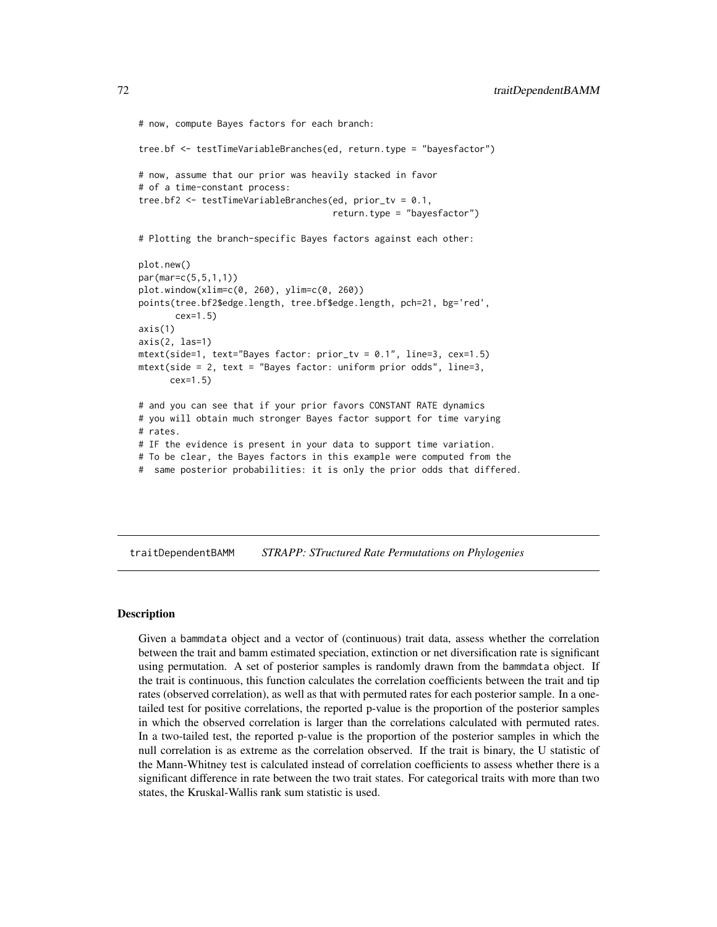```
# now, compute Bayes factors for each branch:
tree.bf <- testTimeVariableBranches(ed, return.type = "bayesfactor")
# now, assume that our prior was heavily stacked in favor
# of a time-constant process:
tree.bf2 <- testTimeVariableBranches(ed, prior_tv = 0.1,
                                     return.type = "bayesfactor")
# Plotting the branch-specific Bayes factors against each other:
plot.new()
par(mar=c(5,5,1,1))
plot.window(xlim=c(0, 260), ylim=c(0, 260))
points(tree.bf2$edge.length, tree.bf$edge.length, pch=21, bg='red',
      cex=1.5)
axis(1)
axis(2, las=1)mtext(side=1, text="Bayes factor: prior_tv = 0.1", line=3, cex=1.5)
mtext(side = 2, text = "Bayes factor: uniform prior odds", line=3,
     cex=1.5)
# and you can see that if your prior favors CONSTANT RATE dynamics
# you will obtain much stronger Bayes factor support for time varying
# rates.
# IF the evidence is present in your data to support time variation.
# To be clear, the Bayes factors in this example were computed from the
# same posterior probabilities: it is only the prior odds that differed.
```
traitDependentBAMM *STRAPP: STructured Rate Permutations on Phylogenies*

### Description

Given a bammdata object and a vector of (continuous) trait data, assess whether the correlation between the trait and bamm estimated speciation, extinction or net diversification rate is significant using permutation. A set of posterior samples is randomly drawn from the bammdata object. If the trait is continuous, this function calculates the correlation coefficients between the trait and tip rates (observed correlation), as well as that with permuted rates for each posterior sample. In a onetailed test for positive correlations, the reported p-value is the proportion of the posterior samples in which the observed correlation is larger than the correlations calculated with permuted rates. In a two-tailed test, the reported p-value is the proportion of the posterior samples in which the null correlation is as extreme as the correlation observed. If the trait is binary, the U statistic of the Mann-Whitney test is calculated instead of correlation coefficients to assess whether there is a significant difference in rate between the two trait states. For categorical traits with more than two states, the Kruskal-Wallis rank sum statistic is used.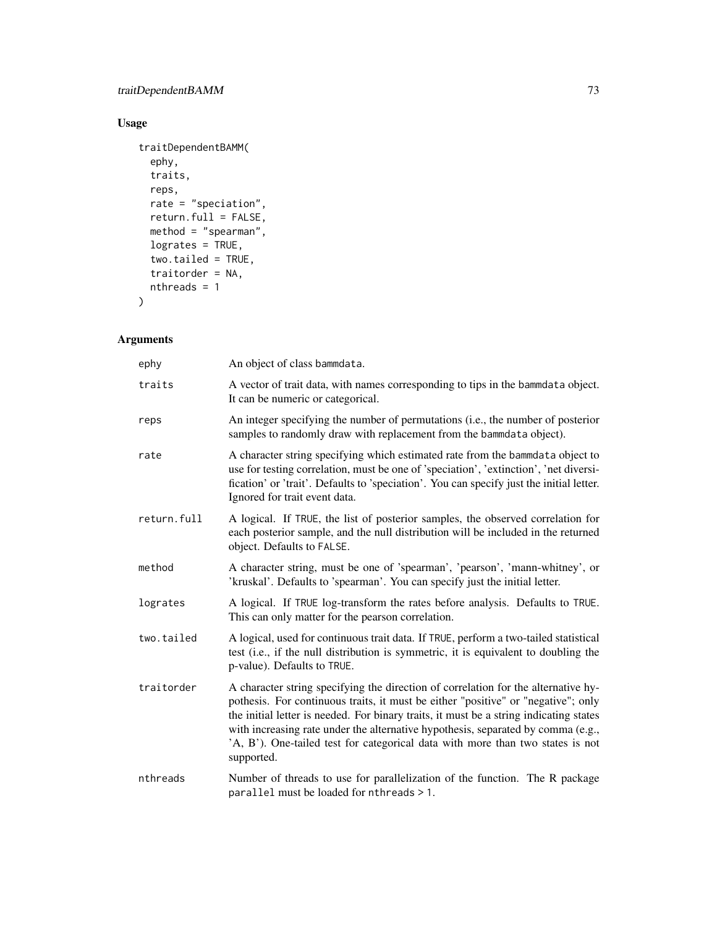# Usage

```
traitDependentBAMM(
 ephy,
 traits,
 reps,
 rate = "speciation",return.full = FALSE,
 method = "spearman",
 logrates = TRUE,
  two.tailed = TRUE,
 traitorder = NA,
 nthreads = 1
\mathcal{L}
```
# Arguments

| ephy        | An object of class bammdata.                                                                                                                                                                                                                                                                                                                                                                                                                          |  |
|-------------|-------------------------------------------------------------------------------------------------------------------------------------------------------------------------------------------------------------------------------------------------------------------------------------------------------------------------------------------------------------------------------------------------------------------------------------------------------|--|
| traits      | A vector of trait data, with names corresponding to tips in the bammdata object.<br>It can be numeric or categorical.                                                                                                                                                                                                                                                                                                                                 |  |
| reps        | An integer specifying the number of permutations (i.e., the number of posterior<br>samples to randomly draw with replacement from the bammdata object).                                                                                                                                                                                                                                                                                               |  |
| rate        | A character string specifying which estimated rate from the bammdata object to<br>use for testing correlation, must be one of 'speciation', 'extinction', 'net diversi-<br>fication' or 'trait'. Defaults to 'speciation'. You can specify just the initial letter.<br>Ignored for trait event data.                                                                                                                                                  |  |
| return.full | A logical. If TRUE, the list of posterior samples, the observed correlation for<br>each posterior sample, and the null distribution will be included in the returned<br>object. Defaults to FALSE.                                                                                                                                                                                                                                                    |  |
| method      | A character string, must be one of 'spearman', 'pearson', 'mann-whitney', or<br>'kruskal'. Defaults to 'spearman'. You can specify just the initial letter.                                                                                                                                                                                                                                                                                           |  |
| logrates    | A logical. If TRUE log-transform the rates before analysis. Defaults to TRUE.<br>This can only matter for the pearson correlation.                                                                                                                                                                                                                                                                                                                    |  |
| two.tailed  | A logical, used for continuous trait data. If TRUE, perform a two-tailed statistical<br>test (i.e., if the null distribution is symmetric, it is equivalent to doubling the<br>p-value). Defaults to TRUE.                                                                                                                                                                                                                                            |  |
| traitorder  | A character string specifying the direction of correlation for the alternative hy-<br>pothesis. For continuous traits, it must be either "positive" or "negative"; only<br>the initial letter is needed. For binary traits, it must be a string indicating states<br>with increasing rate under the alternative hypothesis, separated by comma (e.g.,<br>'A, B'). One-tailed test for categorical data with more than two states is not<br>supported. |  |
| nthreads    | Number of threads to use for parallelization of the function. The R package<br>parallel must be loaded for nthreads > 1.                                                                                                                                                                                                                                                                                                                              |  |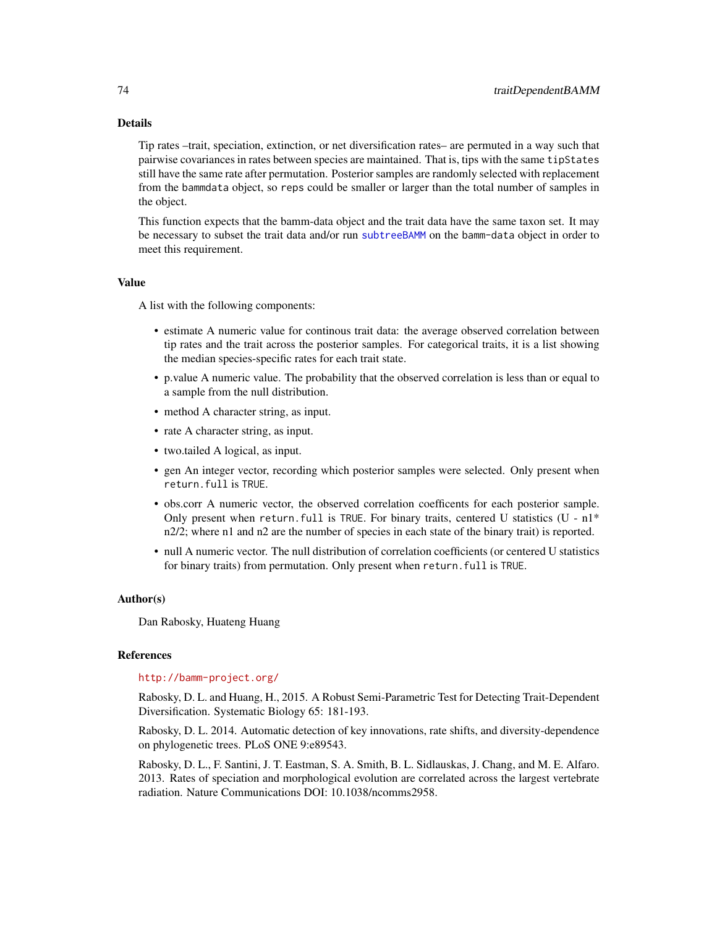#### <span id="page-73-0"></span>Details

Tip rates –trait, speciation, extinction, or net diversification rates– are permuted in a way such that pairwise covariances in rates between species are maintained. That is, tips with the same tipStates still have the same rate after permutation. Posterior samples are randomly selected with replacement from the bammdata object, so reps could be smaller or larger than the total number of samples in the object.

This function expects that the bamm-data object and the trait data have the same taxon set. It may be necessary to subset the trait data and/or run [subtreeBAMM](#page-66-0) on the bamm-data object in order to meet this requirement.

#### Value

A list with the following components:

- estimate A numeric value for continous trait data: the average observed correlation between tip rates and the trait across the posterior samples. For categorical traits, it is a list showing the median species-specific rates for each trait state.
- p.value A numeric value. The probability that the observed correlation is less than or equal to a sample from the null distribution.
- method A character string, as input.
- rate A character string, as input.
- two.tailed A logical, as input.
- gen An integer vector, recording which posterior samples were selected. Only present when return.full is TRUE.
- obs.corr A numeric vector, the observed correlation coefficents for each posterior sample. Only present when return.full is TRUE. For binary traits, centered U statistics  $(U - n1^*)$ n2/2; where n1 and n2 are the number of species in each state of the binary trait) is reported.
- null A numeric vector. The null distribution of correlation coefficients (or centered U statistics for binary traits) from permutation. Only present when return. full is TRUE.

#### Author(s)

Dan Rabosky, Huateng Huang

#### References

#### <http://bamm-project.org/>

Rabosky, D. L. and Huang, H., 2015. A Robust Semi-Parametric Test for Detecting Trait-Dependent Diversification. Systematic Biology 65: 181-193.

Rabosky, D. L. 2014. Automatic detection of key innovations, rate shifts, and diversity-dependence on phylogenetic trees. PLoS ONE 9:e89543.

Rabosky, D. L., F. Santini, J. T. Eastman, S. A. Smith, B. L. Sidlauskas, J. Chang, and M. E. Alfaro. 2013. Rates of speciation and morphological evolution are correlated across the largest vertebrate radiation. Nature Communications DOI: 10.1038/ncomms2958.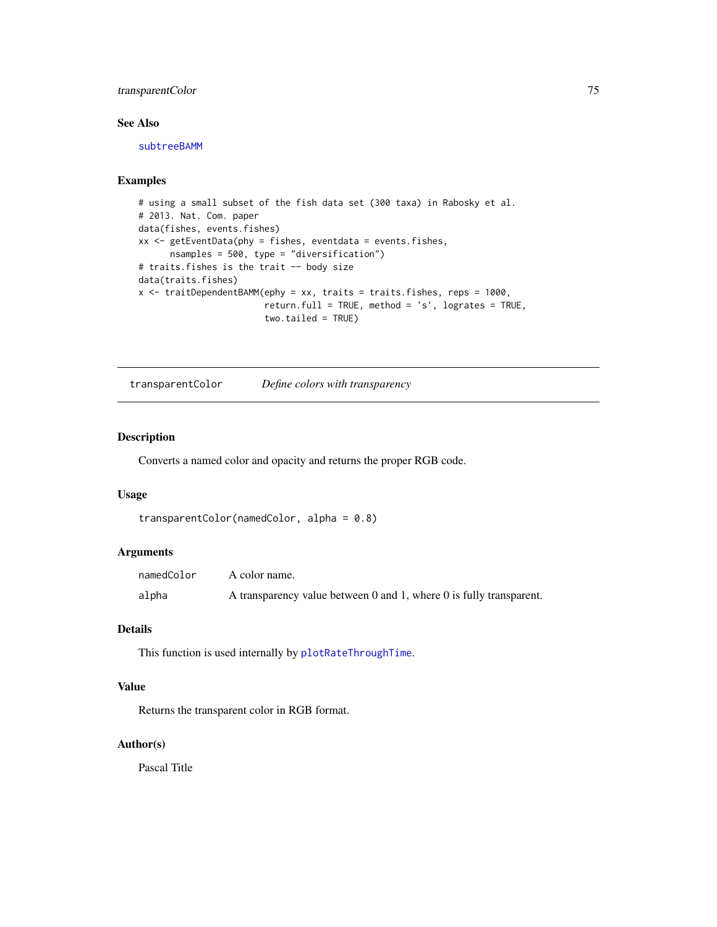### <span id="page-74-0"></span>transparentColor 75

#### See Also

[subtreeBAMM](#page-66-0)

### Examples

```
# using a small subset of the fish data set (300 taxa) in Rabosky et al.
# 2013. Nat. Com. paper
data(fishes, events.fishes)
xx <- getEventData(phy = fishes, eventdata = events.fishes,
      nsamples = 500, type = "diversification")
# traits.fishes is the trait -- body size
data(traits.fishes)
x <- traitDependentBAMM(ephy = xx, traits = traits.fishes, reps = 1000,
                        return.full = TRUE, method = 's', logrates = TRUE,
                        two.tailed = TRUE)
```
transparentColor *Define colors with transparency*

#### Description

Converts a named color and opacity and returns the proper RGB code.

#### Usage

```
transparentColor(namedColor, alpha = 0.8)
```
#### Arguments

| namedColor | A color name.                                                              |
|------------|----------------------------------------------------------------------------|
| alpha      | A transparency value between $0$ and $1$ , where $0$ is fully transparent. |

#### Details

This function is used internally by [plotRateThroughTime](#page-54-0).

#### Value

Returns the transparent color in RGB format.

#### Author(s)

Pascal Title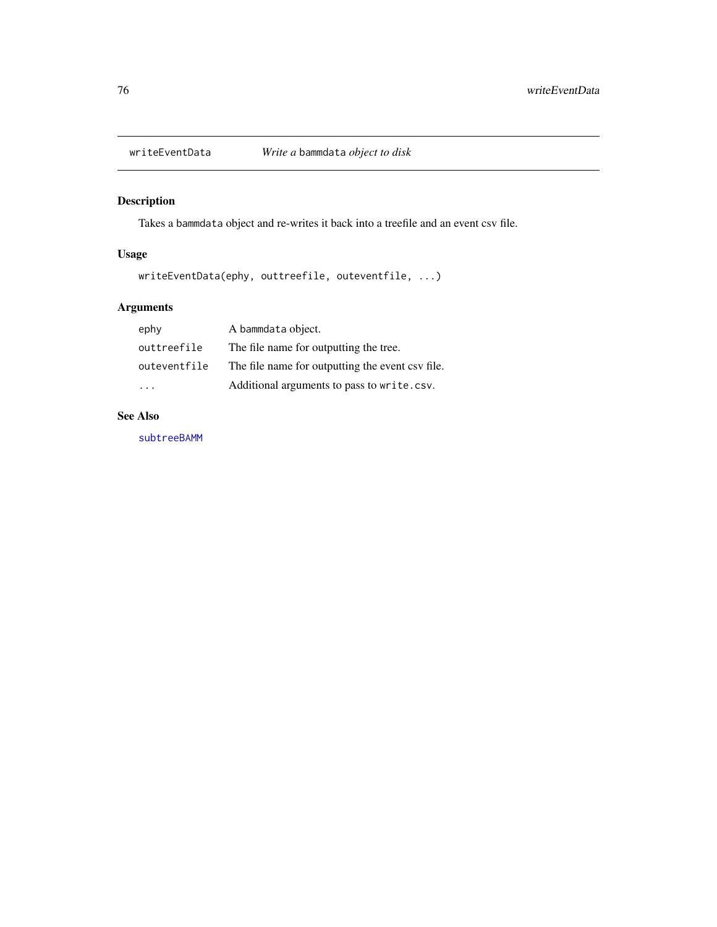<span id="page-75-0"></span>

# Description

Takes a bammdata object and re-writes it back into a treefile and an event csv file.

### Usage

writeEventData(ephy, outtreefile, outeventfile, ...)

# Arguments

| ephy         | A bammdata object.                               |
|--------------|--------------------------------------------------|
| outtreefile  | The file name for outputting the tree.           |
| outeventfile | The file name for outputting the event csv file. |
|              | Additional arguments to pass to write.csv.       |

### See Also

[subtreeBAMM](#page-66-0)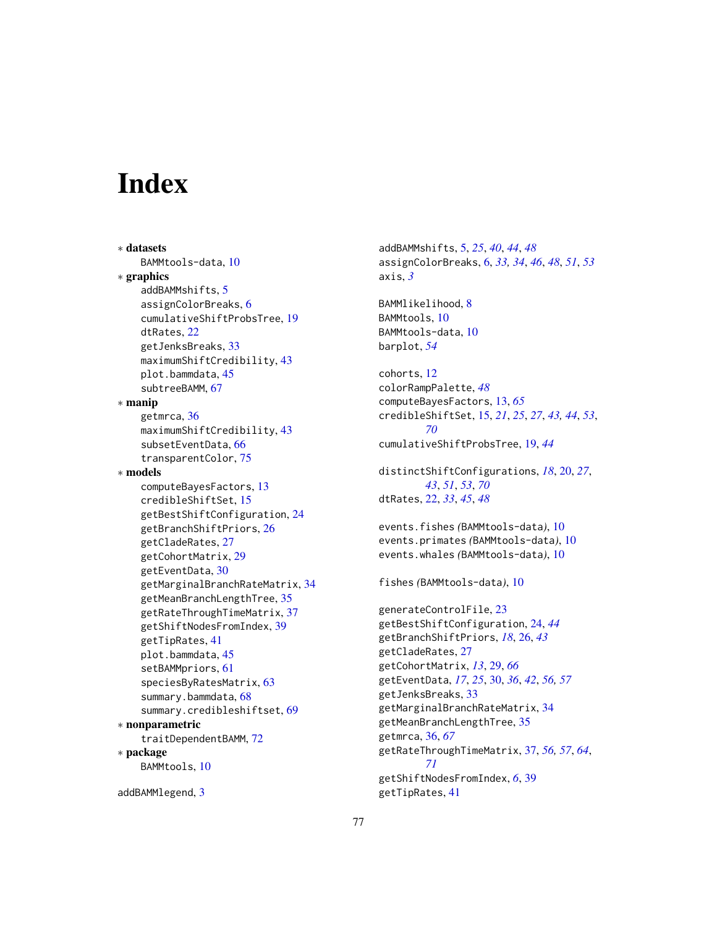# **Index**

∗ datasets BAMMtools-data, [10](#page-9-0) ∗ graphics addBAMMshifts, [5](#page-4-0) assignColorBreaks, [6](#page-5-0) cumulativeShiftProbsTree, [19](#page-18-0) dtRates, [22](#page-21-0) getJenksBreaks, [33](#page-32-0) maximumShiftCredibility, [43](#page-42-0) plot.bammdata, [45](#page-44-0) subtreeBAMM, [67](#page-66-1) ∗ manip getmrca, [36](#page-35-0) maximumShiftCredibility, [43](#page-42-0) subsetEventData, [66](#page-65-0) transparentColor, [75](#page-74-0) ∗ models computeBayesFactors, [13](#page-12-0) credibleShiftSet, [15](#page-14-0) getBestShiftConfiguration, [24](#page-23-0) getBranchShiftPriors, [26](#page-25-0) getCladeRates, [27](#page-26-0) getCohortMatrix, [29](#page-28-0) getEventData, [30](#page-29-0) getMarginalBranchRateMatrix, [34](#page-33-0) getMeanBranchLengthTree, [35](#page-34-0) getRateThroughTimeMatrix, [37](#page-36-0) getShiftNodesFromIndex, [39](#page-38-0) getTipRates, [41](#page-40-0) plot.bammdata, [45](#page-44-0) setBAMMpriors, [61](#page-60-0) speciesByRatesMatrix, [63](#page-62-0) summary.bammdata, [68](#page-67-0) summary.credibleshiftset, [69](#page-68-0) ∗ nonparametric traitDependentBAMM, [72](#page-71-0) ∗ package BAMMtools, [10](#page-9-0)

addBAMMlegend, [3](#page-2-0)

addBAMMshifts, [5,](#page-4-0) *[25](#page-24-0)*, *[40](#page-39-0)*, *[44](#page-43-0)*, *[48](#page-47-0)* assignColorBreaks, [6,](#page-5-0) *[33,](#page-32-0) [34](#page-33-0)*, *[46](#page-45-0)*, *[48](#page-47-0)*, *[51](#page-50-0)*, *[53](#page-52-0)* axis, *[3](#page-2-0)*

BAMMlikelihood, [8](#page-7-0) BAMMtools, [10](#page-9-0) BAMMtools-data, [10](#page-9-0) barplot, *[54](#page-53-0)*

cohorts, [12](#page-11-0) colorRampPalette, *[48](#page-47-0)* computeBayesFactors, [13,](#page-12-0) *[65](#page-64-0)* credibleShiftSet, [15,](#page-14-0) *[21](#page-20-0)*, *[25](#page-24-0)*, *[27](#page-26-0)*, *[43,](#page-42-0) [44](#page-43-0)*, *[53](#page-52-0)*, *[70](#page-69-0)* cumulativeShiftProbsTree, [19,](#page-18-0) *[44](#page-43-0)*

distinctShiftConfigurations, *[18](#page-17-0)*, [20,](#page-19-0) *[27](#page-26-0)*, *[43](#page-42-0)*, *[51](#page-50-0)*, *[53](#page-52-0)*, *[70](#page-69-0)* dtRates, [22,](#page-21-0) *[33](#page-32-0)*, *[45](#page-44-0)*, *[48](#page-47-0)*

events.fishes *(*BAMMtools-data*)*, [10](#page-9-0) events.primates *(*BAMMtools-data*)*, [10](#page-9-0) events.whales *(*BAMMtools-data*)*, [10](#page-9-0)

fishes *(*BAMMtools-data*)*, [10](#page-9-0)

generateControlFile, [23](#page-22-0) getBestShiftConfiguration, [24,](#page-23-0) *[44](#page-43-0)* getBranchShiftPriors, *[18](#page-17-0)*, [26,](#page-25-0) *[43](#page-42-0)* getCladeRates, [27](#page-26-0) getCohortMatrix, *[13](#page-12-0)*, [29,](#page-28-0) *[66](#page-65-0)* getEventData, *[17](#page-16-0)*, *[25](#page-24-0)*, [30,](#page-29-0) *[36](#page-35-0)*, *[42](#page-41-0)*, *[56,](#page-55-0) [57](#page-56-0)* getJenksBreaks, [33](#page-32-0) getMarginalBranchRateMatrix, [34](#page-33-0) getMeanBranchLengthTree, [35](#page-34-0) getmrca, [36,](#page-35-0) *[67](#page-66-1)* getRateThroughTimeMatrix, [37,](#page-36-0) *[56,](#page-55-0) [57](#page-56-0)*, *[64](#page-63-0)*, *[71](#page-70-0)* getShiftNodesFromIndex, *[6](#page-5-0)*, [39](#page-38-0) getTipRates, [41](#page-40-0)